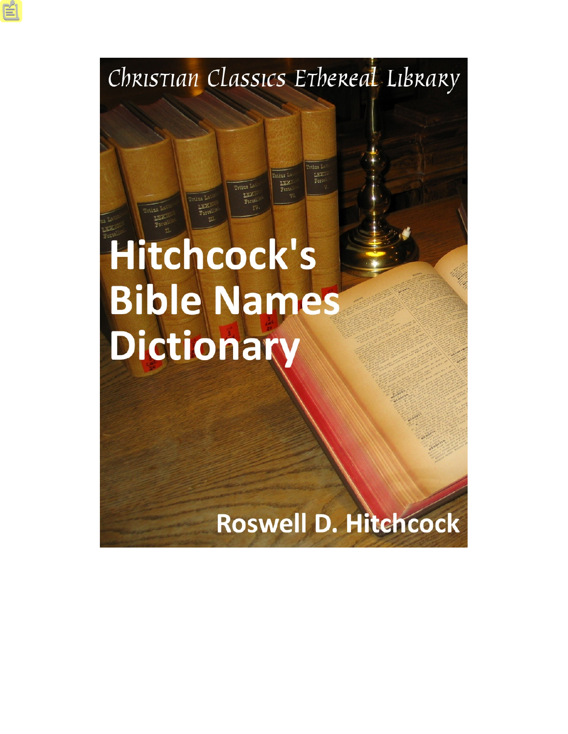### Christian Classics Ethereal Library

# Hitchcock's **Bible Names** Dictionary

## Roswell D. Hitchcock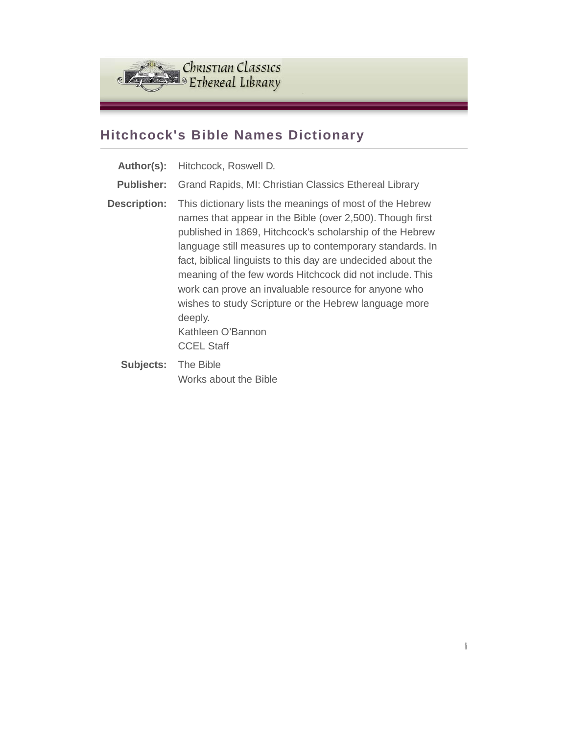

#### **Hitchcock's Bible Names Dictionary**

| Author(s):          | Hitchcock, Roswell D.                                                                                                                                                                                                                                                                                                                                                                                                                                                                                                                           |
|---------------------|-------------------------------------------------------------------------------------------------------------------------------------------------------------------------------------------------------------------------------------------------------------------------------------------------------------------------------------------------------------------------------------------------------------------------------------------------------------------------------------------------------------------------------------------------|
| <b>Publisher:</b>   | Grand Rapids, MI: Christian Classics Ethereal Library                                                                                                                                                                                                                                                                                                                                                                                                                                                                                           |
| <b>Description:</b> | This dictionary lists the meanings of most of the Hebrew<br>names that appear in the Bible (over 2,500). Though first<br>published in 1869, Hitchcock's scholarship of the Hebrew<br>language still measures up to contemporary standards. In<br>fact, biblical linguists to this day are undecided about the<br>meaning of the few words Hitchcock did not include. This<br>work can prove an invaluable resource for anyone who<br>wishes to study Scripture or the Hebrew language more<br>deeply.<br>Kathleen O'Bannon<br><b>CCEL Staff</b> |
| .                   |                                                                                                                                                                                                                                                                                                                                                                                                                                                                                                                                                 |

**Subjects:** The Bible Works about the Bible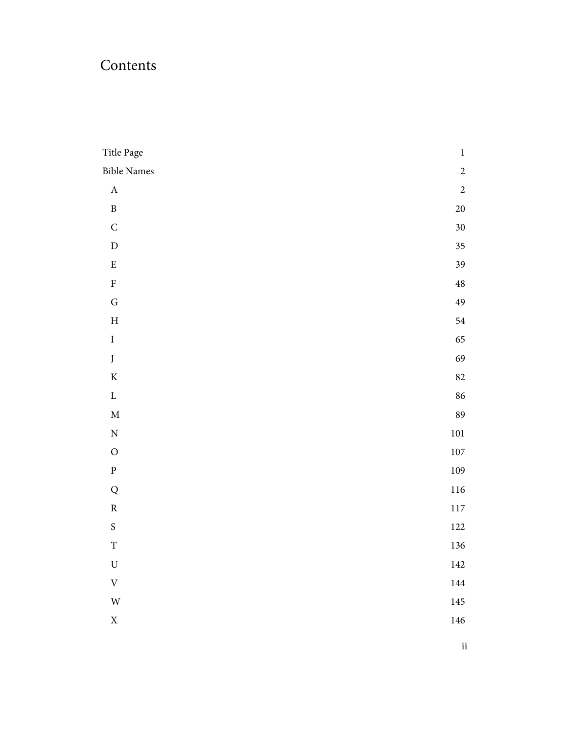### Contents

| Title Page                | $\,1$          |
|---------------------------|----------------|
| <b>Bible Names</b>        | $\overline{c}$ |
| $\mathbf A$               | $\sqrt{2}$     |
| $\, {\bf B}$              | $20\,$         |
| $\mathsf C$               | $30\,$         |
| $\mathbf{D}%$             | $35\,$         |
| ${\bf E}$                 | 39             |
| $\rm F$                   | $\bf 48$       |
| ${\bf G}$                 | 49             |
| $\, {\rm H}$              | 54             |
| $\rm I$                   | 65             |
| $\boldsymbol{J}$          | 69             |
| $\rm K$                   | $82\,$         |
| $\mathbf L$               | 86             |
| $\mathbf M$               | 89             |
| $\mathbf N$               | $101\,$        |
| $\mathcal O$              | $107\,$        |
| ${\bf p}$                 | $109\,$        |
| ${\bf Q}$                 | $116\,$        |
| ${\bf R}$                 | $117\,$        |
| ${\mathsf S}$             | $122\,$        |
| $\mathbf T$               | 136            |
| $\mathbf U$               | $142\,$        |
| $\ensuremath{\mathbf{V}}$ | $144\,$        |
| $\ensuremath{\text{W}}$   | 145            |
| $\mathbf X$               | 146            |
|                           |                |

ii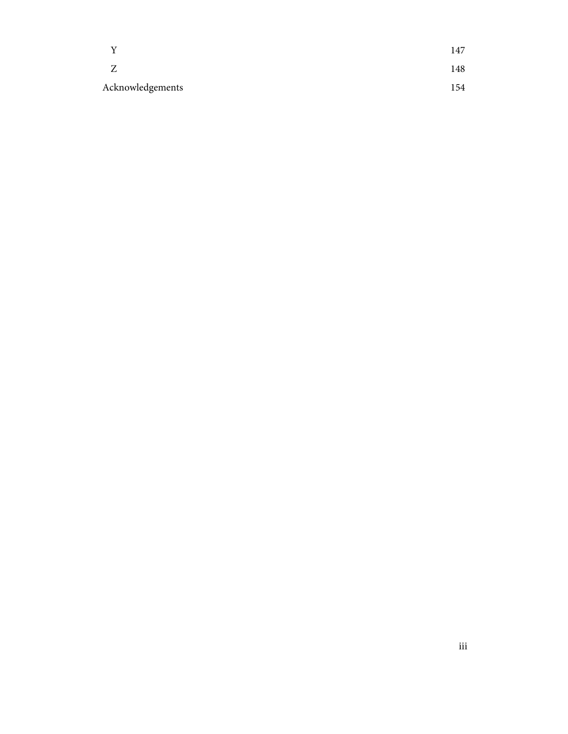|                  | 147 |
|------------------|-----|
|                  | 148 |
| Acknowledgements | 154 |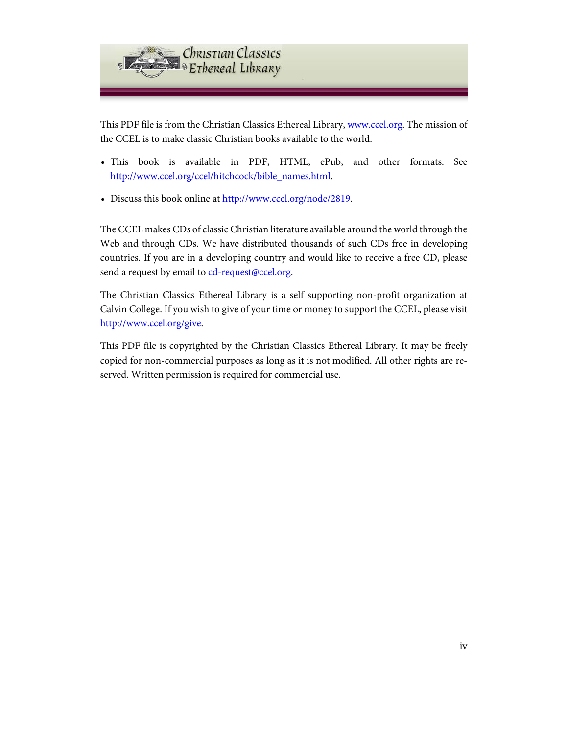

This PDF file is from the Christian Classics Ethereal Library, [www.ccel.org.](http://www.ccel.org) The mission of the CCEL is to make classic Christian books available to the world.

- This book is available in PDF, HTML, ePub, and other formats. See [http://www.ccel.org/ccel/hitchcock/bible\\_names.html](http://www.ccel.org/ccel/hitchcock/bible_names.html).
- Discuss this book online at [http://www.ccel.org/node/2819.](http://www.ccel.org/node/2819)

The CCEL makes CDs of classic Christian literature available around the world through the Web and through CDs. We have distributed thousands of such CDs free in developing countries. If you are in a developing country and would like to receive a free CD, please send a request by email to [cd-request@ccel.org.](mailto:cd-request@ccel.org)

The Christian Classics Ethereal Library is a self supporting non-profit organization at Calvin College. If you wish to give of your time or money to support the CCEL, please visit [http://www.ccel.org/give.](http://www.ccel.org/give)

This PDF file is copyrighted by the Christian Classics Ethereal Library. It may be freely copied for non-commercial purposes as long as it is not modified. All other rights are reserved. Written permission is required for commercial use.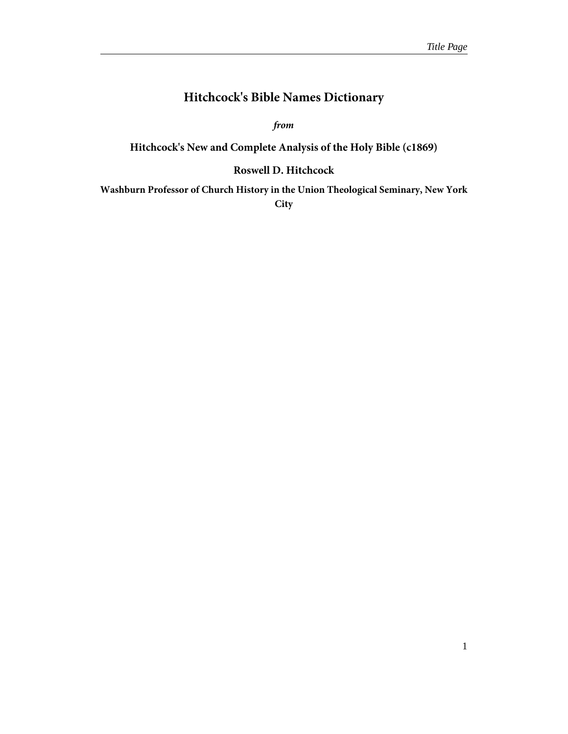#### **Hitchcock's Bible Names Dictionary**

*from*

#### <span id="page-5-0"></span>**Hitchcock's New and Complete Analysis of the Holy Bible (c1869)**

#### **Roswell D. Hitchcock**

**Washburn Professor of Church History in the Union Theological Seminary, New York City**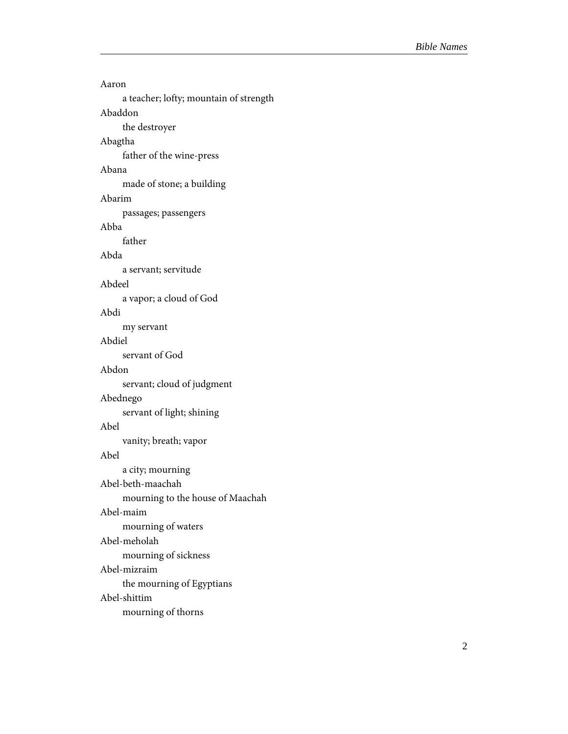<span id="page-6-0"></span>

| Aaron                                  |
|----------------------------------------|
| a teacher; lofty; mountain of strength |
| Abaddon                                |
| the destroyer                          |
| Abagtha                                |
| father of the wine-press               |
| Abana                                  |
| made of stone; a building              |
| Abarim                                 |
| passages; passengers                   |
| Abba                                   |
| father                                 |
| Abda                                   |
| a servant; servitude                   |
| Abdeel                                 |
| a vapor; a cloud of God                |
| Abdi                                   |
| my servant                             |
| Abdiel                                 |
| servant of God                         |
| Abdon                                  |
| servant; cloud of judgment             |
| Abednego                               |
| servant of light; shining              |
| Abel                                   |
| vanity; breath; vapor                  |
| Abel                                   |
| a city; mourning                       |
| Abel-beth-maachah                      |
| mourning to the house of Maachah       |
| Abel-maim                              |
| mourning of waters                     |
| Abel-meholah                           |
| mourning of sickness                   |
| Abel-mizraim                           |
| the mourning of Egyptians              |
| Abel-shittim                           |
| mourning of thorns                     |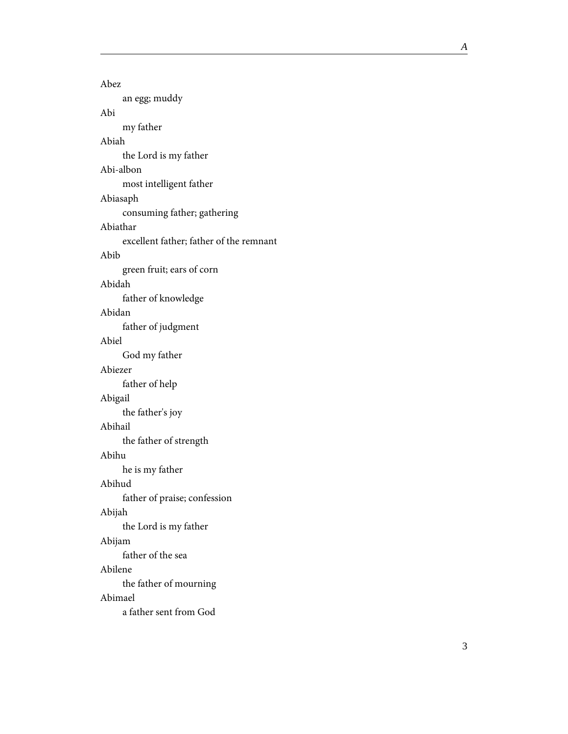Abez an egg; muddy Abi my father Abiah the Lord is my father Abi-albon most intelligent father Abiasaph consuming father; gathering Abiathar excellent father; father of the remnant Abib green fruit; ears of corn Abidah father of knowledge Abidan father of judgment Abiel God my father Abiezer father of help Abigail the father's joy Abihail the father of strength Abihu he is my father Abihud father of praise; confession Abijah the Lord is my father Abijam father of the sea Abilene the father of mourning Abimael a father sent from God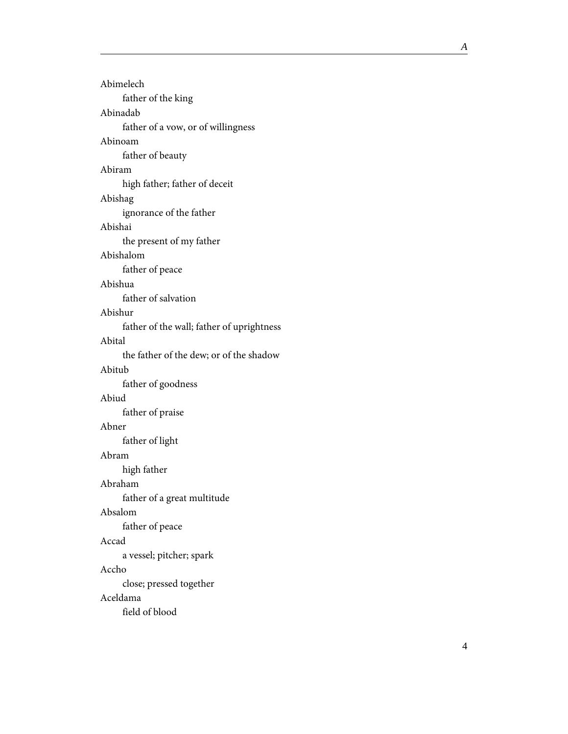| Abimelech                                 |
|-------------------------------------------|
| father of the king                        |
| Abinadab                                  |
| father of a vow, or of willingness        |
| Abinoam                                   |
| father of beauty                          |
| Abiram                                    |
| high father; father of deceit             |
| Abishag                                   |
| ignorance of the father                   |
| Abishai                                   |
| the present of my father                  |
| Abishalom                                 |
| father of peace                           |
| Abishua                                   |
| father of salvation                       |
| Abishur                                   |
| father of the wall; father of uprightness |
| Abital                                    |
| the father of the dew; or of the shadow   |
|                                           |
| Abitub                                    |
| father of goodness                        |
| Abiud                                     |
| father of praise                          |
| Abner                                     |
| father of light                           |
| Abram                                     |
| high father                               |
| Abraham                                   |
| father of a great multitude               |
| Absalom                                   |
| father of peace                           |
| Accad                                     |
| a vessel; pitcher; spark                  |
| Accho                                     |
| close; pressed together                   |
| Aceldama<br>field of blood                |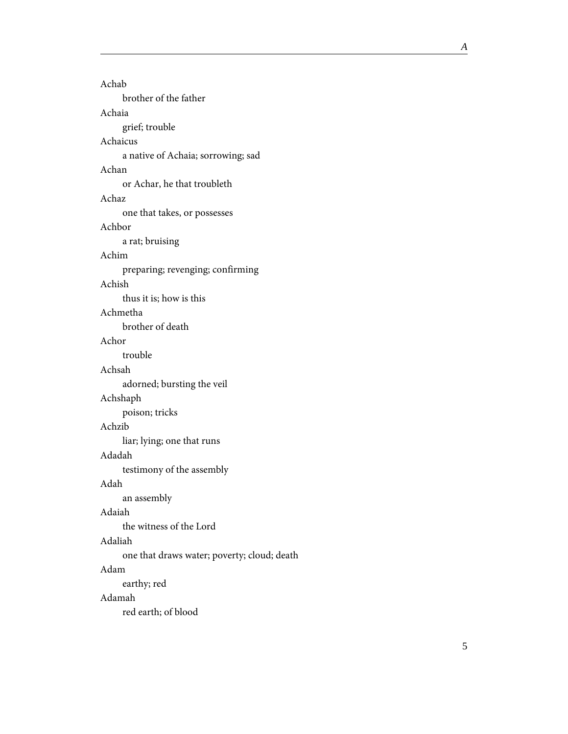| Achab                                       |
|---------------------------------------------|
| brother of the father                       |
| Achaia                                      |
| grief; trouble                              |
| Achaicus                                    |
| a native of Achaia; sorrowing; sad          |
| Achan                                       |
| or Achar, he that troubleth                 |
| Achaz                                       |
| one that takes, or possesses                |
| Achbor                                      |
| a rat; bruising                             |
| Achim                                       |
| preparing; revenging; confirming            |
| Achish                                      |
| thus it is; how is this                     |
| Achmetha                                    |
| brother of death                            |
| Achor                                       |
| trouble                                     |
| Achsah                                      |
| adorned; bursting the veil                  |
| Achshaph                                    |
| poison; tricks                              |
| Achzib                                      |
| liar; lying; one that runs                  |
| Adadah                                      |
| testimony of the assembly                   |
| Adah                                        |
| an assembly                                 |
| Adaiah                                      |
| the witness of the Lord                     |
| Adaliah                                     |
| one that draws water; poverty; cloud; death |
| Adam                                        |
| earthy; red                                 |
| Adamah                                      |
| red earth; of blood                         |
|                                             |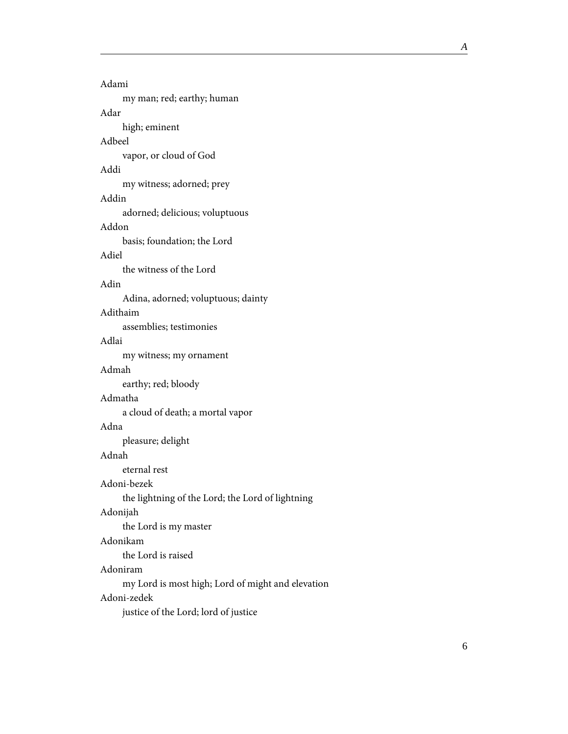| Adami                                             |
|---------------------------------------------------|
| my man; red; earthy; human                        |
| Adar                                              |
| high; eminent                                     |
| Adbeel                                            |
| vapor, or cloud of God                            |
| Addi                                              |
| my witness; adorned; prey                         |
| Addin                                             |
| adorned; delicious; voluptuous                    |
| Addon                                             |
| basis; foundation; the Lord                       |
| Adiel                                             |
| the witness of the Lord                           |
| Adin                                              |
| Adina, adorned; voluptuous; dainty                |
| Adithaim                                          |
| assemblies; testimonies                           |
| Adlai                                             |
| my witness; my ornament                           |
| Admah                                             |
| earthy; red; bloody                               |
| Admatha                                           |
| a cloud of death; a mortal vapor                  |
| Adna                                              |
| pleasure; delight                                 |
| Adnah                                             |
| eternal rest                                      |
| Adoni-bezek                                       |
| the lightning of the Lord; the Lord of lightning  |
| Adonijah                                          |
| the Lord is my master                             |
| Adonikam                                          |
| the Lord is raised                                |
| Adoniram                                          |
| my Lord is most high; Lord of might and elevation |
| Adoni-zedek                                       |
| justice of the Lord; lord of justice              |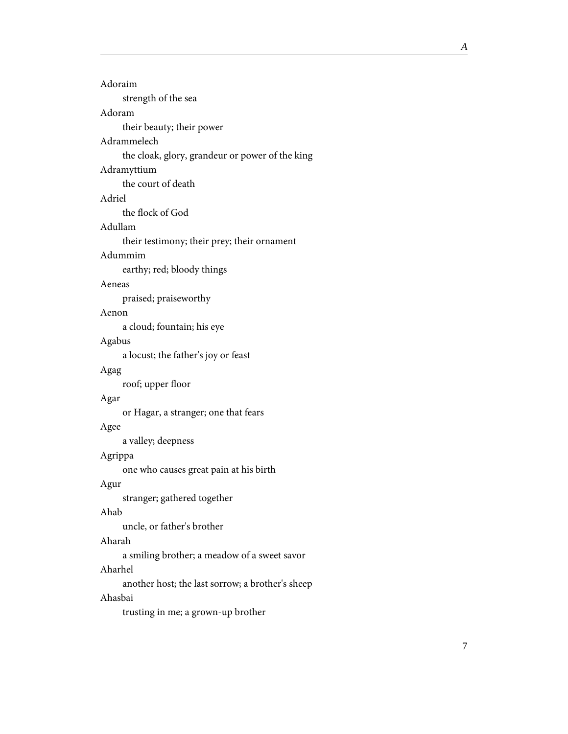| Adoraim                                          |  |
|--------------------------------------------------|--|
| strength of the sea                              |  |
| Adoram                                           |  |
| their beauty; their power                        |  |
| Adrammelech                                      |  |
| the cloak, glory, grandeur or power of the king  |  |
| Adramyttium                                      |  |
| the court of death                               |  |
| Adriel                                           |  |
| the flock of God                                 |  |
| Adullam                                          |  |
| their testimony; their prey; their ornament      |  |
| Adummim                                          |  |
| earthy; red; bloody things                       |  |
| Aeneas                                           |  |
| praised; praiseworthy                            |  |
| Aenon                                            |  |
| a cloud; fountain; his eye                       |  |
| Agabus                                           |  |
| a locust; the father's joy or feast              |  |
| Agag                                             |  |
| roof; upper floor                                |  |
| Agar                                             |  |
| or Hagar, a stranger; one that fears             |  |
| Agee                                             |  |
| a valley; deepness                               |  |
| Agrippa                                          |  |
| one who causes great pain at his birth           |  |
| Agur                                             |  |
| stranger; gathered together                      |  |
| Ahab                                             |  |
| uncle, or father's brother                       |  |
| Aharah                                           |  |
| a smiling brother; a meadow of a sweet savor     |  |
| Aharhel                                          |  |
| another host; the last sorrow; a brother's sheep |  |
|                                                  |  |

#### Ahasbai

trusting in me; a grown-up brother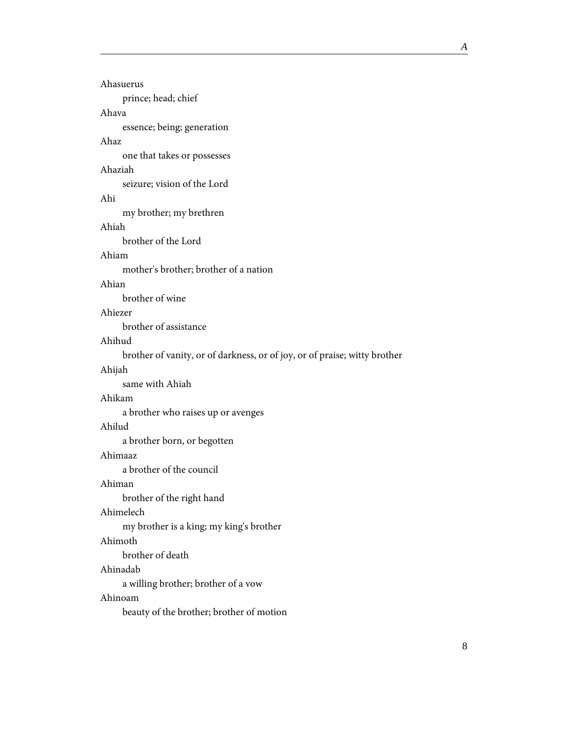| Ahasuerus                                                                 |
|---------------------------------------------------------------------------|
| prince; head; chief                                                       |
| Ahava                                                                     |
| essence; being; generation                                                |
| Ahaz                                                                      |
| one that takes or possesses                                               |
| Ahaziah                                                                   |
| seizure; vision of the Lord                                               |
| Ahi                                                                       |
| my brother; my brethren                                                   |
| Ahiah                                                                     |
| brother of the Lord                                                       |
| Ahiam                                                                     |
| mother's brother; brother of a nation                                     |
| Ahian                                                                     |
| brother of wine                                                           |
| Ahiezer                                                                   |
| brother of assistance                                                     |
| Ahihud                                                                    |
| brother of vanity, or of darkness, or of joy, or of praise; witty brother |
| Ahijah                                                                    |
| same with Ahiah                                                           |
| Ahikam                                                                    |
| a brother who raises up or avenges                                        |
| Ahilud                                                                    |
| a brother born, or begotten                                               |
| Ahimaaz                                                                   |
| a brother of the council                                                  |
| Ahiman                                                                    |
| brother of the right hand                                                 |
| Ahimelech                                                                 |
| my brother is a king; my king's brother                                   |
| Ahimoth                                                                   |
| brother of death                                                          |
| Ahinadab                                                                  |
| a willing brother; brother of a vow                                       |
| Ahinoam                                                                   |
| beauty of the brother; brother of motion                                  |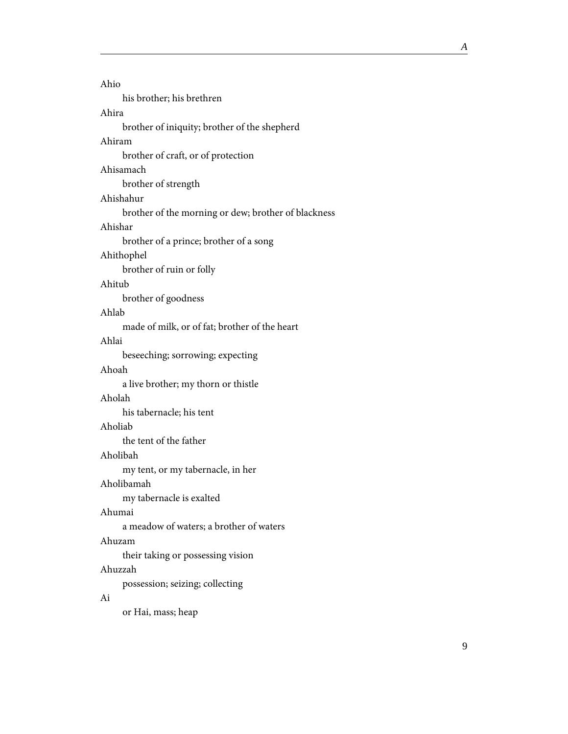| Ahio                                                |
|-----------------------------------------------------|
| his brother; his brethren                           |
| Ahira                                               |
| brother of iniquity; brother of the shepherd        |
| Ahiram                                              |
| brother of craft, or of protection                  |
| Ahisamach                                           |
| brother of strength                                 |
| Ahishahur                                           |
| brother of the morning or dew; brother of blackness |
| Ahishar                                             |
| brother of a prince; brother of a song              |
| Ahithophel                                          |
| brother of ruin or folly                            |
| Ahitub                                              |
| brother of goodness                                 |
| Ahlab                                               |
| made of milk, or of fat; brother of the heart       |
| Ahlai                                               |
| beseeching; sorrowing; expecting                    |
| Ahoah                                               |
| a live brother; my thorn or thistle                 |
| Aholah                                              |
| his tabernacle; his tent                            |
| Aholiab                                             |
| the tent of the father                              |
| Aholibah                                            |
| my tent, or my tabernacle, in her                   |
| Aholibamah                                          |
| my tabernacle is exalted                            |
| Ahumai                                              |
| a meadow of waters; a brother of waters             |
| Ahuzam                                              |
| their taking or possessing vision                   |
| Ahuzzah                                             |
| possession; seizing; collecting                     |
| Ai                                                  |

or Hai, mass; heap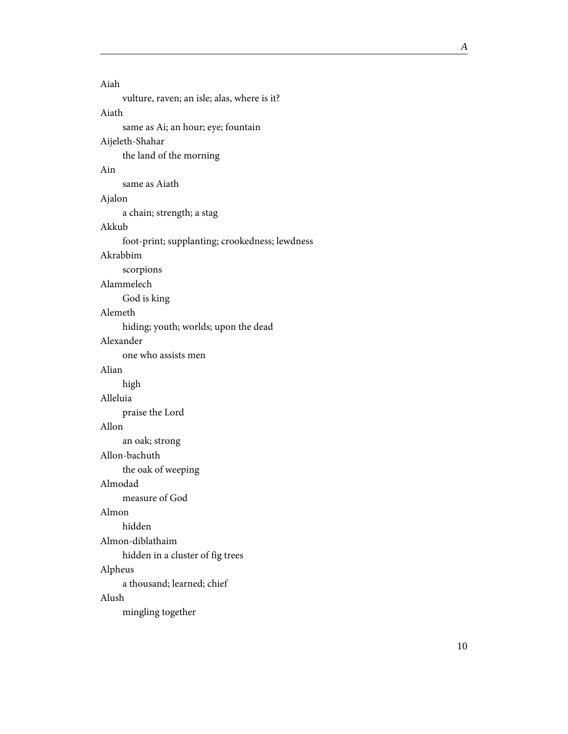| Aiah                                           |
|------------------------------------------------|
| vulture, raven; an isle; alas, where is it?    |
| Aiath                                          |
| same as Ai; an hour; eye; fountain             |
| Aijeleth-Shahar                                |
| the land of the morning                        |
| Ain                                            |
| same as Aiath                                  |
| Ajalon                                         |
| a chain; strength; a stag                      |
| Akkub                                          |
| foot-print; supplanting; crookedness; lewdness |
| Akrabbim                                       |
| scorpions                                      |
| Alammelech                                     |
| God is king                                    |
| Alemeth                                        |
| hiding; youth; worlds; upon the dead           |
| Alexander                                      |
| one who assists men                            |
| Alian                                          |
| high                                           |
| Alleluia                                       |
| praise the Lord                                |
| Allon                                          |
| an oak; strong                                 |
| Allon-bachuth                                  |
| the oak of weeping                             |
| Almodad                                        |
| measure of God                                 |
| Almon                                          |
| hidden                                         |
| Almon-diblathaim                               |
| hidden in a cluster of fig trees               |
| Alpheus                                        |
| a thousand; learned; chief                     |
| Alush                                          |
| mingling together                              |

ngling toge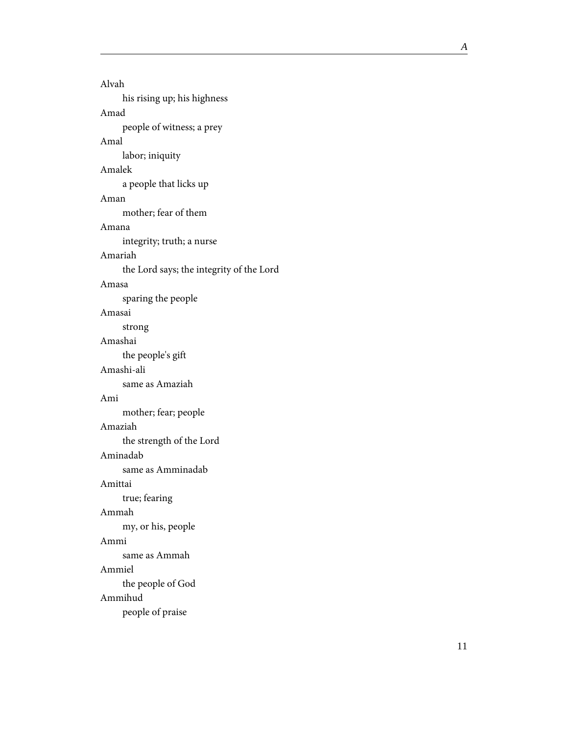Alvah his rising up; his highness Amad people of witness; a prey Amal labor; iniquity Amalek a people that licks up Aman mother; fear of them Amana integrity; truth; a nurse Amariah the Lord says; the integrity of the Lord Amasa sparing the people Amasai strong Amashai the people's gift Amashi-ali same as Amaziah Ami mother; fear; people Amaziah the strength of the Lord Aminadab same as Amminadab Amittai true; fearing Ammah my, or his, people Ammi same as Ammah Ammiel the people of God Ammihud people of praise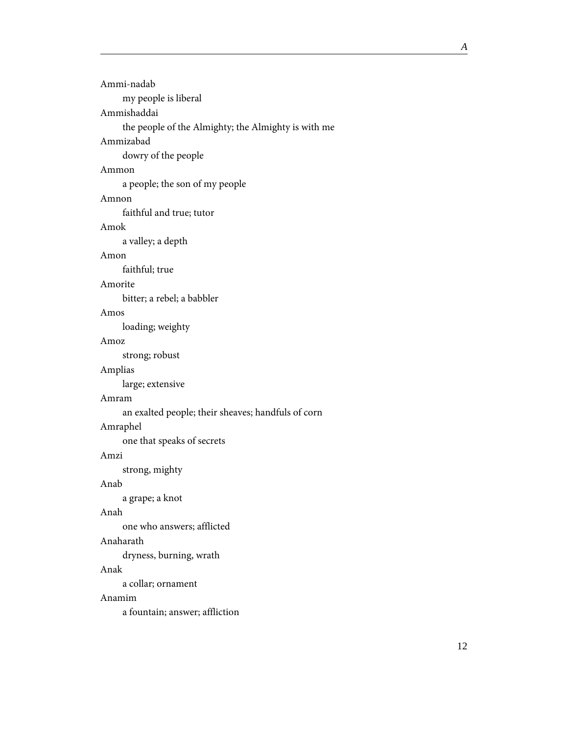| Ammi-nadab                                          |  |
|-----------------------------------------------------|--|
| my people is liberal                                |  |
| Ammishaddai                                         |  |
| the people of the Almighty; the Almighty is with me |  |
| Ammizabad                                           |  |
| dowry of the people                                 |  |
| Ammon                                               |  |
| a people; the son of my people                      |  |
| Amnon                                               |  |
| faithful and true; tutor                            |  |
| Amok                                                |  |
| a valley; a depth                                   |  |
| Amon                                                |  |
| faithful; true                                      |  |
| Amorite                                             |  |
| bitter; a rebel; a babbler                          |  |
| Amos                                                |  |
| loading; weighty                                    |  |
| Amoz                                                |  |
| strong; robust                                      |  |
| Amplias                                             |  |
| large; extensive                                    |  |
| Amram                                               |  |
| an exalted people; their sheaves; handfuls of corn  |  |
| Amraphel                                            |  |
| one that speaks of secrets                          |  |
| Amzi                                                |  |
| strong, mighty                                      |  |
| Anab                                                |  |
| a grape; a knot                                     |  |
| Anah                                                |  |
| one who answers; afflicted                          |  |
| Anaharath                                           |  |
| dryness, burning, wrath                             |  |
| Anak                                                |  |
| a collar; ornament                                  |  |
|                                                     |  |

#### Anamim

a fountain; answer; affliction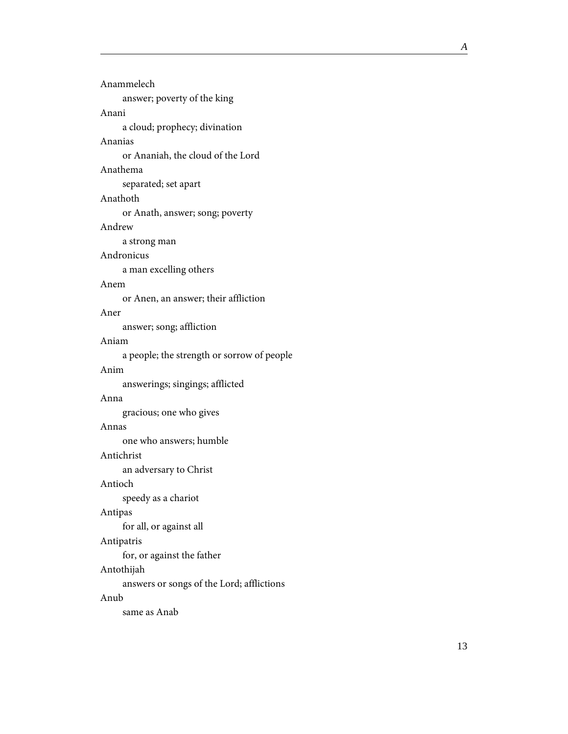| Anammelech                                 |
|--------------------------------------------|
| answer; poverty of the king                |
| Anani                                      |
| a cloud; prophecy; divination              |
| Ananias                                    |
| or Ananiah, the cloud of the Lord          |
| Anathema                                   |
| separated; set apart                       |
| Anathoth                                   |
| or Anath, answer; song; poverty            |
| Andrew                                     |
| a strong man                               |
| Andronicus                                 |
| a man excelling others                     |
| Anem                                       |
| or Anen, an answer; their affliction       |
| Aner                                       |
| answer; song; affliction                   |
| Aniam                                      |
| a people; the strength or sorrow of people |
| Anim                                       |
| answerings; singings; afflicted            |
| Anna                                       |
| gracious; one who gives                    |
| Annas                                      |
| one who answers; humble                    |
| Antichrist                                 |
| an adversary to Christ                     |
| Antioch                                    |
| speedy as a chariot                        |
| Antipas                                    |
| for all, or against all                    |
| Antipatris                                 |
| for, or against the father                 |
| Antothijah                                 |
| answers or songs of the Lord; afflictions  |
| Anub                                       |
| same as Anab                               |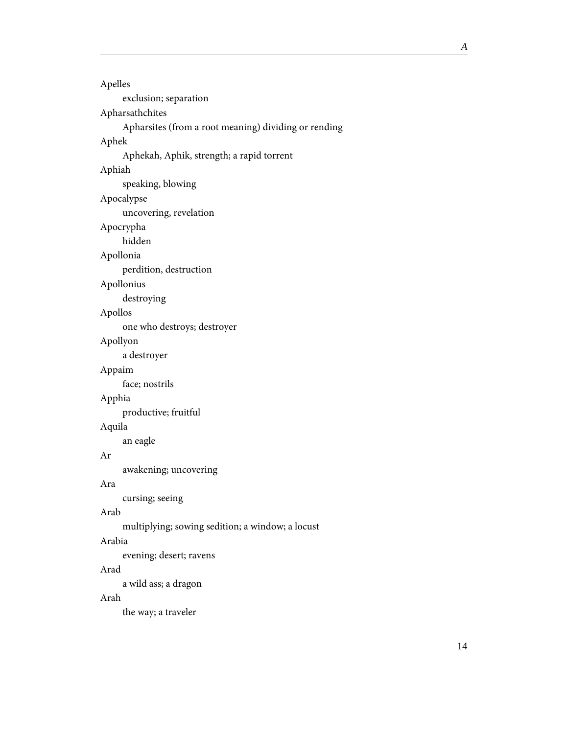```
Apelles
     exclusion; separation
Apharsathchites
     Apharsites (from a root meaning) dividing or rending
Aphek
     Aphekah, Aphik, strength; a rapid torrent
Aphiah
     speaking, blowing
Apocalypse
     uncovering, revelation
Apocrypha
     hidden
Apollonia
     perdition, destruction
Apollonius
     destroying
Apollos
     one who destroys; destroyer
Apollyon
     a destroyer
Appaim
     face; nostrils
Apphia
     productive; fruitful
Aquila
     an eagle
Ar
     awakening; uncovering
Ara
     cursing; seeing
Arab
     multiplying; sowing sedition; a window; a locust
Arabia
     evening; desert; ravens
Arad
     a wild ass; a dragon
Arah
     the way; a traveler
```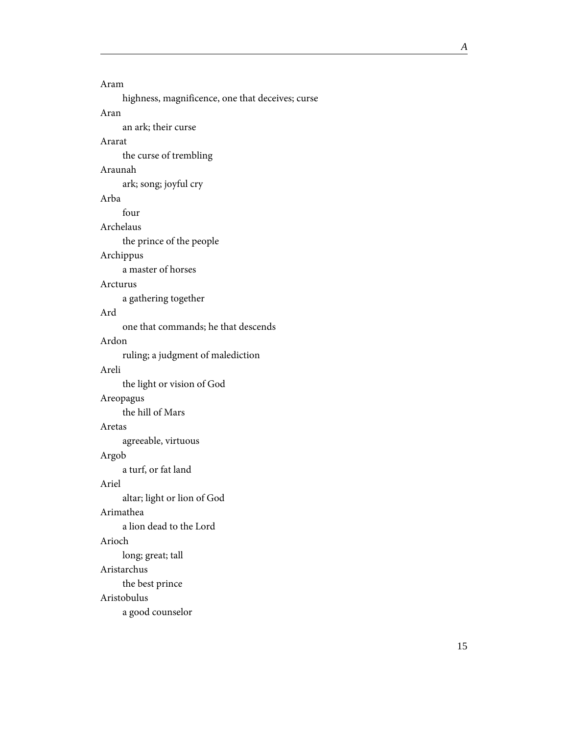#### Aram highness, magnificence, one that deceives; curse Aran an ark; their curse

#### Ararat

the curse of trembling

#### Araunah

ark; song; joyful cry

#### Arba

four

#### Archelaus

the prince of the people

#### Archippus

a master of horses

#### Arcturus

a gathering together

#### Ard

one that commands; he that descends

#### Ardon

ruling; a judgment of malediction

#### Areli

the light or vision of God

#### Areopagus

the hill of Mars

#### Aretas

agreeable, virtuous

#### Argob a turf, or fat land

Ariel

altar; light or lion of God

#### Arimathea

a lion dead to the Lord

#### Arioch

long; great; tall

#### Aristarchus

the best prince

#### Aristobulus

a good counselor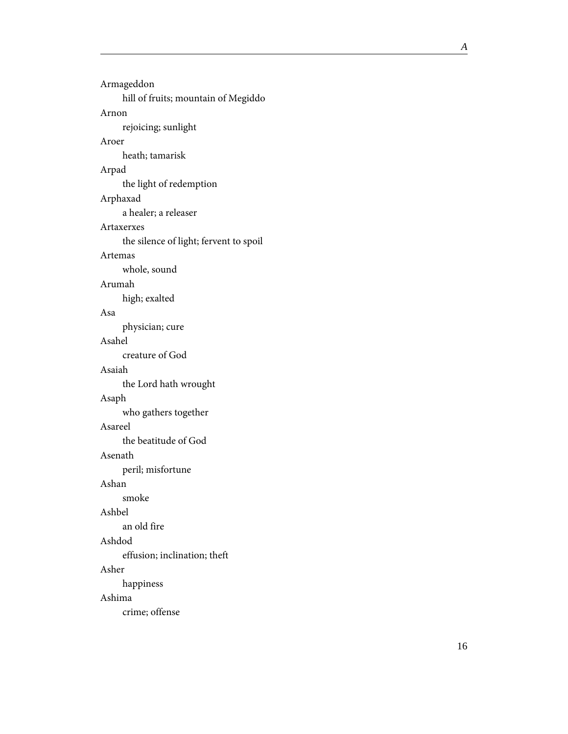| Armageddon                             |
|----------------------------------------|
| hill of fruits; mountain of Megiddo    |
| Arnon                                  |
| rejoicing; sunlight                    |
| Aroer                                  |
| heath; tamarisk                        |
| Arpad                                  |
| the light of redemption                |
| Arphaxad                               |
| a healer; a releaser                   |
| Artaxerxes                             |
| the silence of light; fervent to spoil |
| Artemas                                |
| whole, sound                           |
| Arumah                                 |
| high; exalted                          |
| Asa                                    |
| physician; cure                        |
| Asahel                                 |
| creature of God                        |
| Asaiah                                 |
| the Lord hath wrought                  |
| Asaph                                  |
| who gathers together                   |
| Asareel                                |
| the beatitude of God                   |
| Asenath                                |
| peril; misfortune                      |
| Ashan                                  |
| smoke                                  |
| Ashbel                                 |
| an old fire                            |
| Ashdod                                 |
| effusion; inclination; theft           |
| Asher                                  |
| happiness                              |
| Ashima                                 |
| crime; offense                         |
|                                        |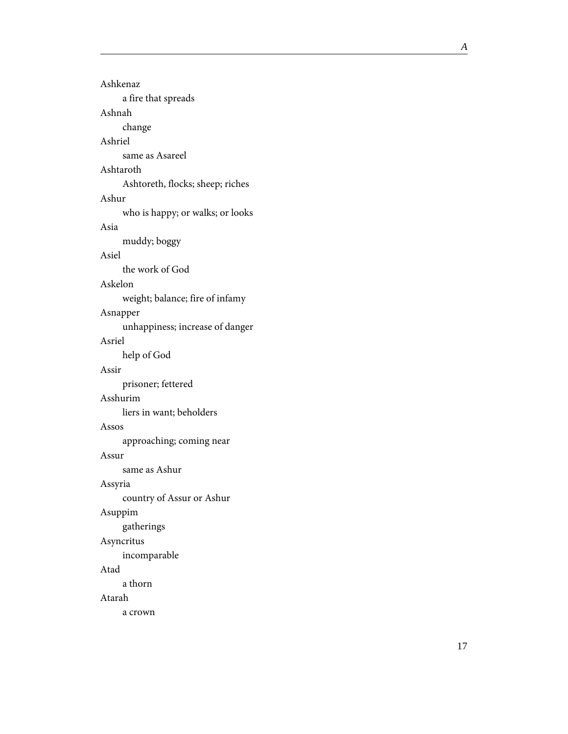Ashkenaz a fire that spreads Ashnah change Ashriel same as Asareel Ashtaroth Ashtoreth, flocks; sheep; riches Ashur who is happy; or walks; or looks Asia muddy; boggy Asiel the work of God Askelon weight; balance; fire of infamy Asnapper unhappiness; increase of danger Asriel help of God Assir prisoner; fettered Asshurim liers in want; beholders Assos approaching; coming near Assur same as Ashur Assyria country of Assur or Ashur Asuppim gatherings Asyncritus incomparable Atad a thorn Atarah a crown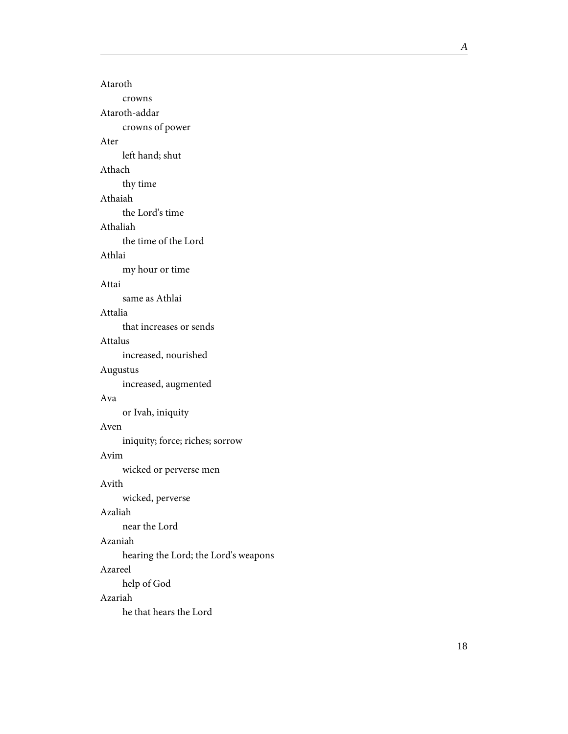Ataroth crowns Ataroth-addar crowns of power Ater left hand; shut Athach thy time Athaiah the Lord's time Athaliah the time of the Lord Athlai my hour or time Attai same as Athlai Attalia that increases or sends Attalus increased, nourished Augustus increased, augmented Ava or Ivah, iniquity Aven iniquity; force; riches; sorrow Avim wicked or perverse men Avith wicked, perverse Azaliah near the Lord Azaniah hearing the Lord; the Lord's weapons Azareel help of God Azariah he that hears the Lord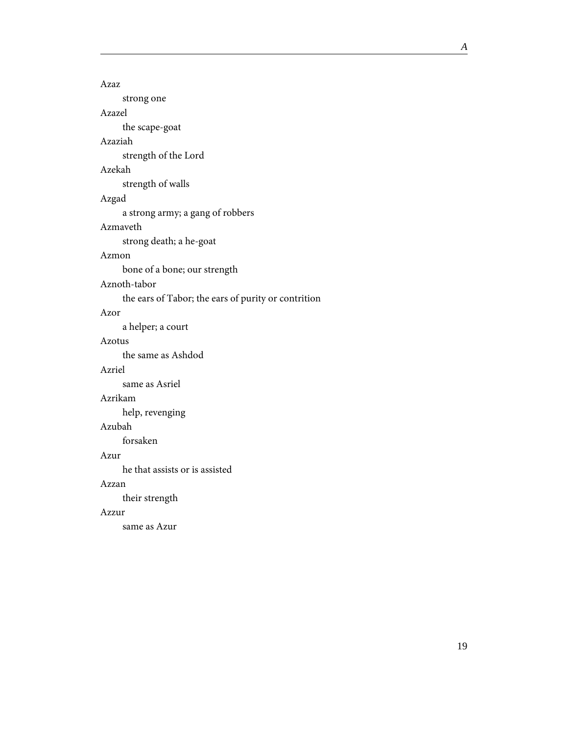| Azaz                                                |
|-----------------------------------------------------|
| strong one                                          |
| Azazel                                              |
| the scape-goat                                      |
| Azaziah                                             |
| strength of the Lord                                |
| Azekah                                              |
| strength of walls                                   |
| Azgad                                               |
| a strong army; a gang of robbers                    |
| Azmaveth                                            |
| strong death; a he-goat                             |
| Azmon                                               |
| bone of a bone; our strength                        |
| Aznoth-tabor                                        |
| the ears of Tabor; the ears of purity or contrition |
| Azor                                                |
| a helper; a court                                   |
| Azotus                                              |
| the same as Ashdod                                  |
| Azriel                                              |
| same as Asriel                                      |
| Azrikam                                             |
| help, revenging                                     |
| Azubah                                              |
| forsaken                                            |
| Azur                                                |
| he that assists or is assisted                      |
| Azzan                                               |
| their strength                                      |
| Azzur                                               |
| same as Azur                                        |
|                                                     |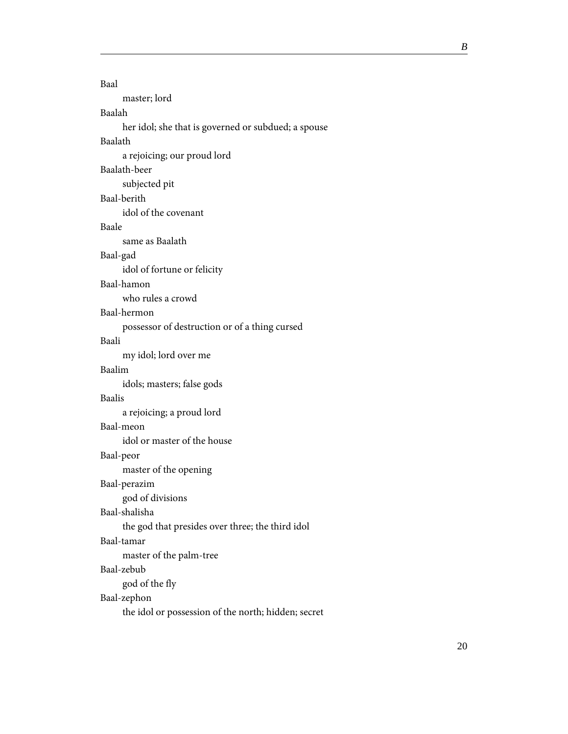<span id="page-24-0"></span>

| Baal                                                |
|-----------------------------------------------------|
| master; lord                                        |
| Baalah                                              |
| her idol; she that is governed or subdued; a spouse |
| Baalath                                             |
| a rejoicing; our proud lord                         |
| Baalath-beer                                        |
| subjected pit                                       |
| Baal-berith                                         |
| idol of the covenant                                |
| Baale                                               |
| same as Baalath                                     |
| Baal-gad                                            |
| idol of fortune or felicity                         |
| Baal-hamon                                          |
| who rules a crowd                                   |
| Baal-hermon                                         |
| possessor of destruction or of a thing cursed       |
| Baali                                               |
| my idol; lord over me                               |
| Baalim                                              |
| idols; masters; false gods                          |
| Baalis                                              |
| a rejoicing; a proud lord                           |
| Baal-meon                                           |
| idol or master of the house                         |
| Baal-peor                                           |
| master of the opening                               |
| Baal-perazim                                        |
| god of divisions                                    |
| Baal-shalisha                                       |
| the god that presides over three; the third idol    |
| Baal-tamar                                          |
| master of the palm-tree                             |
| Baal-zebub                                          |
| god of the fly                                      |
| Baal-zephon                                         |
| the idol or possession of the north; hidden; secret |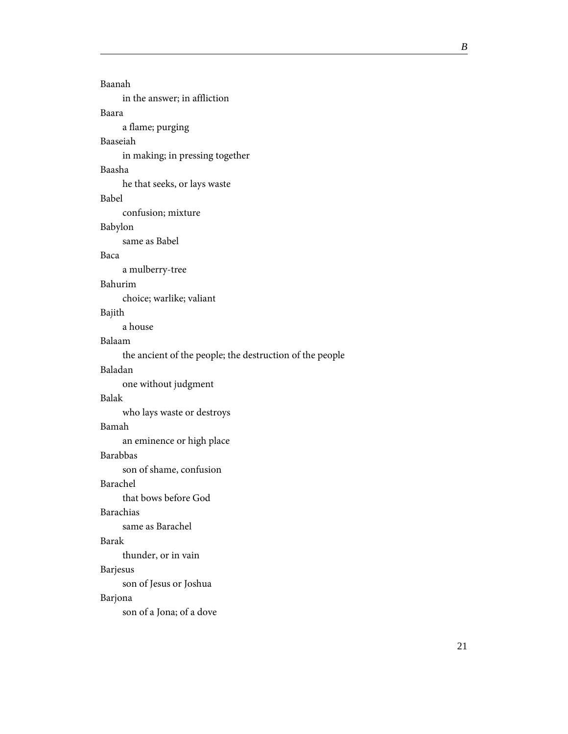| Baanah                                                   |
|----------------------------------------------------------|
| in the answer; in affliction                             |
| Baara                                                    |
| a flame; purging                                         |
| Baaseiah                                                 |
| in making; in pressing together                          |
| Baasha                                                   |
| he that seeks, or lays waste                             |
| Babel                                                    |
| confusion; mixture                                       |
| Babylon                                                  |
| same as Babel                                            |
| Baca                                                     |
| a mulberry-tree                                          |
| Bahurim                                                  |
| choice; warlike; valiant                                 |
| Bajith                                                   |
| a house                                                  |
| Balaam                                                   |
| the ancient of the people; the destruction of the people |
| Baladan                                                  |
| one without judgment                                     |
| Balak                                                    |
| who lays waste or destroys                               |
| Bamah                                                    |
| an eminence or high place                                |
| Barabbas                                                 |
| son of shame, confusion                                  |
| Barachel                                                 |
| that bows before God                                     |
| Barachias                                                |
| same as Barachel                                         |
| Barak                                                    |
| thunder, or in vain                                      |
| <b>Barjesus</b>                                          |
| son of Jesus or Joshua                                   |
| Barjona                                                  |
| son of a Jona; of a dove                                 |
|                                                          |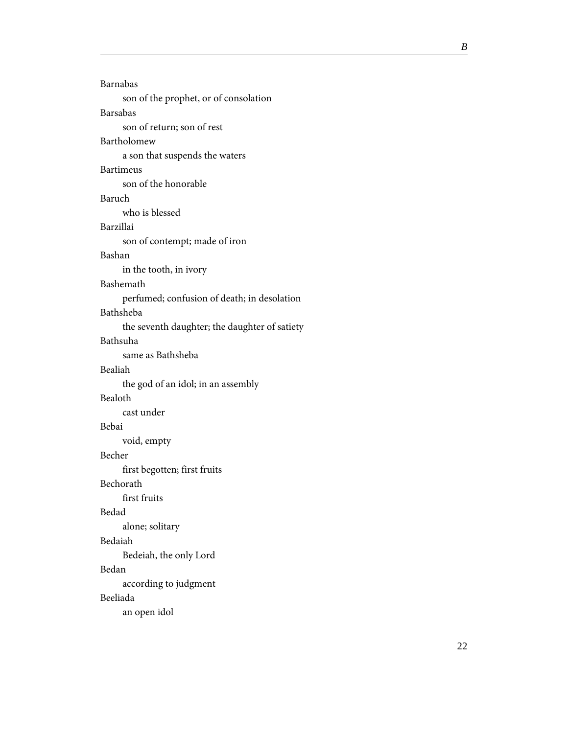| Barnabas                                      |
|-----------------------------------------------|
| son of the prophet, or of consolation         |
| Barsabas                                      |
| son of return; son of rest                    |
| Bartholomew                                   |
| a son that suspends the waters                |
| <b>Bartimeus</b>                              |
| son of the honorable                          |
| Baruch                                        |
| who is blessed                                |
| Barzillai                                     |
| son of contempt; made of iron                 |
| Bashan                                        |
| in the tooth, in ivory                        |
| Bashemath                                     |
| perfumed; confusion of death; in desolation   |
| Bathsheba                                     |
| the seventh daughter; the daughter of satiety |
| Bathsuha                                      |
| same as Bathsheba                             |
| Bealiah                                       |
| the god of an idol; in an assembly            |
| Bealoth                                       |
| cast under                                    |
| Bebai                                         |
| void, empty                                   |
| Becher                                        |
| first begotten; first fruits                  |
| Bechorath                                     |
| first fruits                                  |
| Bedad                                         |
| alone; solitary                               |
| Bedaiah                                       |
| Bedeiah, the only Lord                        |
| Bedan                                         |
| according to judgment                         |
| Beeliada                                      |
| an open idol                                  |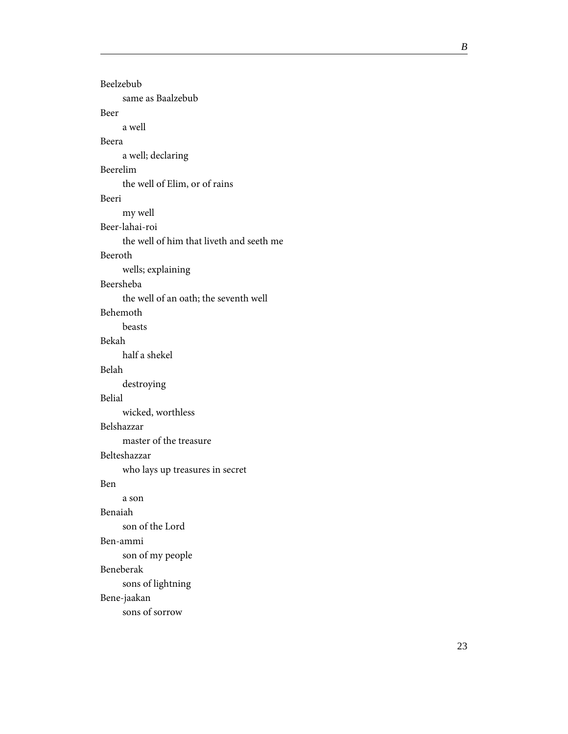| Beelzebub                                |
|------------------------------------------|
| same as Baalzebub                        |
| Beer                                     |
| a well                                   |
| Beera                                    |
| a well; declaring                        |
| Beerelim                                 |
| the well of Elim, or of rains            |
| Beeri                                    |
| my well                                  |
| Beer-lahai-roi                           |
| the well of him that liveth and seeth me |
| Beeroth                                  |
| wells; explaining                        |
| Beersheba                                |
| the well of an oath; the seventh well    |
| Behemoth                                 |
| beasts                                   |
| Bekah                                    |
| half a shekel                            |
| Belah                                    |
| destroying                               |
| Belial                                   |
| wicked, worthless                        |
| Belshazzar                               |
| master of the treasure                   |
| Belteshazzar                             |
| who lays up treasures in secret          |
| Ben                                      |
| a son                                    |
| Benaiah                                  |
| son of the Lord                          |
| Ben-ammi                                 |
| son of my people                         |
| Beneberak                                |
| sons of lightning                        |
| Bene-jaakan                              |
| sons of sorrow                           |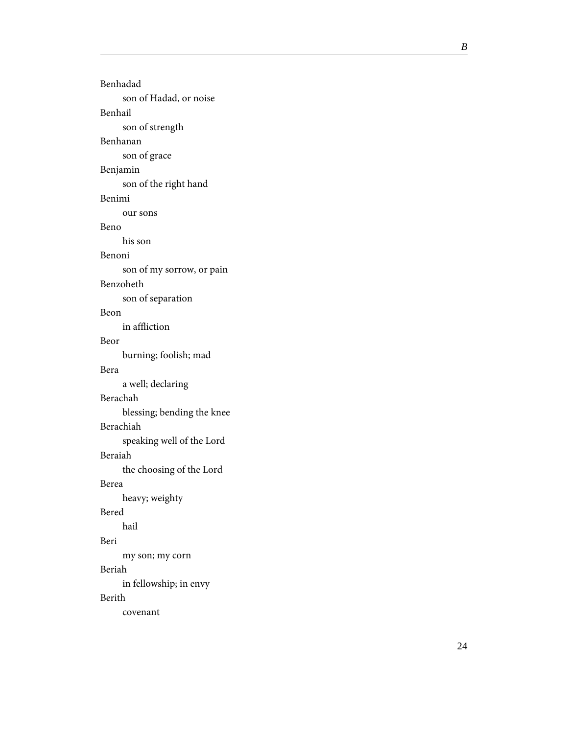Benhadad son of Hadad, or noise Benhail son of strength Benhanan son of grace Benjamin son of the right hand Benimi our sons Beno his son Benoni son of my sorrow, or pain Benzoheth son of separation Beon in affliction Beor burning; foolish; mad Bera a well; declaring Berachah blessing; bending the knee Berachiah speaking well of the Lord Beraiah the choosing of the Lord Berea heavy; weighty Bered hail Beri my son; my corn Beriah in fellowship; in envy Berith covenant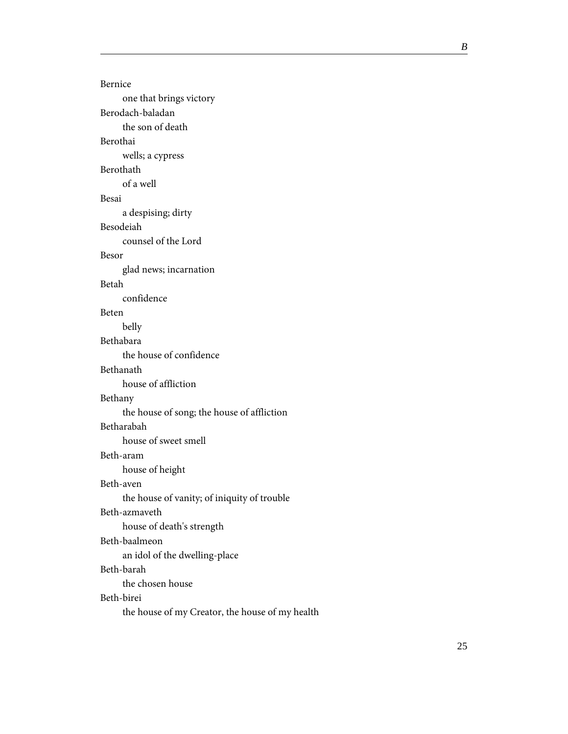Bernice one that brings victory Berodach-baladan the son of death Berothai wells; a cypress Berothath of a well Besai a despising; dirty Besodeiah counsel of the Lord Besor glad news; incarnation Betah confidence Beten belly Bethabara the house of confidence Bethanath house of affliction Bethany the house of song; the house of affliction Betharabah house of sweet smell Beth-aram house of height Beth-aven the house of vanity; of iniquity of trouble Beth-azmaveth house of death's strength Beth-baalmeon an idol of the dwelling-place Beth-barah the chosen house Beth-birei the house of my Creator, the house of my health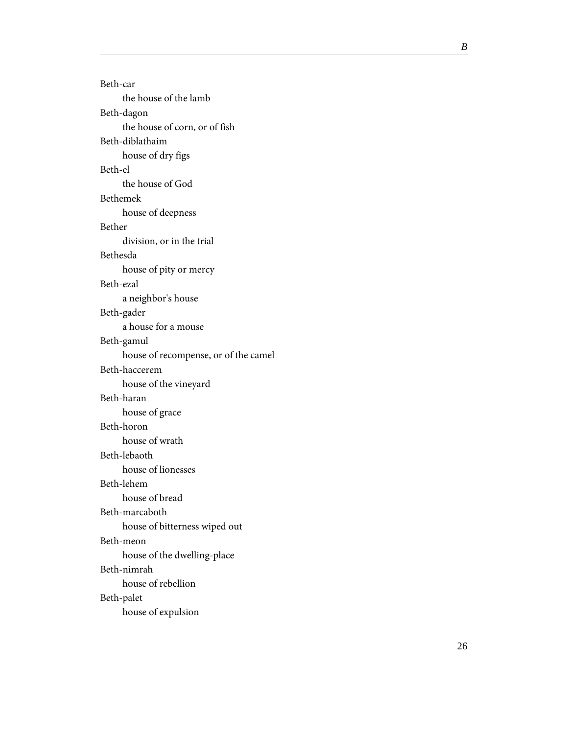| Beth-car                             |
|--------------------------------------|
| the house of the lamb                |
| Beth-dagon                           |
| the house of corn, or of fish        |
| Beth-diblathaim                      |
| house of dry figs                    |
| Beth-el                              |
| the house of God                     |
| Bethemek                             |
| house of deepness                    |
| Bether                               |
| division, or in the trial            |
| Bethesda                             |
| house of pity or mercy               |
| Beth-ezal                            |
| a neighbor's house                   |
| Beth-gader                           |
| a house for a mouse                  |
| Beth-gamul                           |
| house of recompense, or of the camel |
| Beth-haccerem                        |
| house of the vineyard                |
| Beth-haran                           |
| house of grace                       |
| Beth-horon                           |
| house of wrath                       |
| Beth-lebaoth                         |
| house of lionesses                   |
| Beth-lehem                           |
| house of bread                       |
| Beth-marcaboth                       |
| house of bitterness wiped out        |
| Beth-meon                            |
| house of the dwelling-place          |
| Beth-nimrah                          |
| house of rebellion                   |
| Beth-palet                           |
| house of expulsion                   |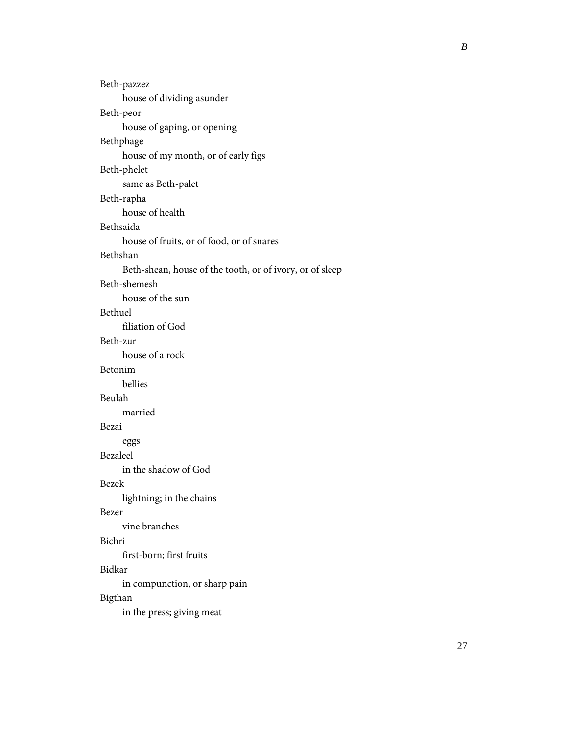| Beth-pazzez                                              |
|----------------------------------------------------------|
| house of dividing asunder                                |
| Beth-peor                                                |
| house of gaping, or opening                              |
| Bethphage                                                |
| house of my month, or of early figs                      |
| Beth-phelet                                              |
| same as Beth-palet                                       |
| Beth-rapha                                               |
| house of health                                          |
| Bethsaida                                                |
| house of fruits, or of food, or of snares                |
| Bethshan                                                 |
| Beth-shean, house of the tooth, or of ivory, or of sleep |
| Beth-shemesh                                             |
| house of the sun                                         |
| Bethuel                                                  |
| filiation of God                                         |
| Beth-zur                                                 |
| house of a rock                                          |
| Betonim                                                  |
| bellies                                                  |
| Beulah                                                   |
| married                                                  |
| Bezai                                                    |
| eggs                                                     |
| Bezaleel                                                 |
| in the shadow of God                                     |
| <b>Bezek</b>                                             |
| lightning; in the chains                                 |
| Bezer                                                    |
| vine branches                                            |
| Bichri                                                   |
| first-born; first fruits                                 |
| Bidkar                                                   |
| in compunction, or sharp pain                            |
| Bigthan                                                  |
| in the press; giving meat                                |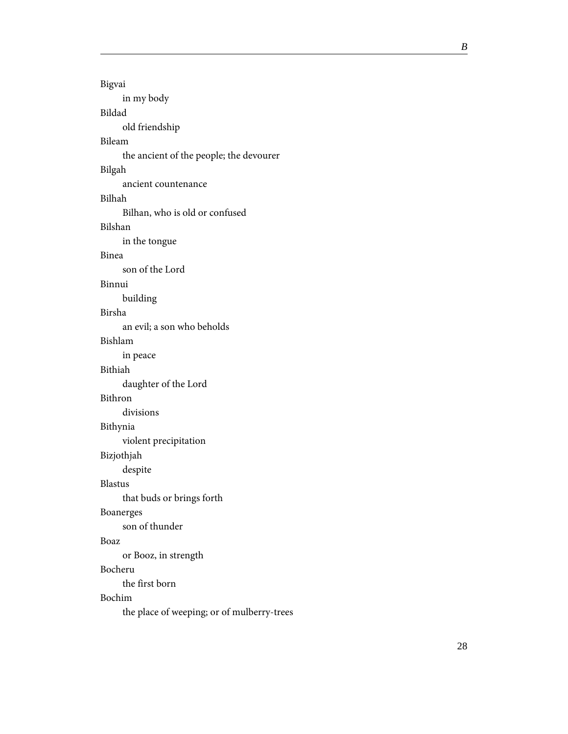Bigvai in my body Bildad old friendship Bileam the ancient of the people; the devourer Bilgah ancient countenance Bilhah Bilhan, who is old or confused Bilshan in the tongue Binea son of the Lord Binnui building Birsha an evil; a son who beholds Bishlam in peace Bithiah daughter of the Lord Bithron divisions Bithynia violent precipitation Bizjothjah despite Blastus that buds or brings forth Boanerges son of thunder Boaz or Booz, in strength Bocheru the first born Bochim the place of weeping; or of mulberry-trees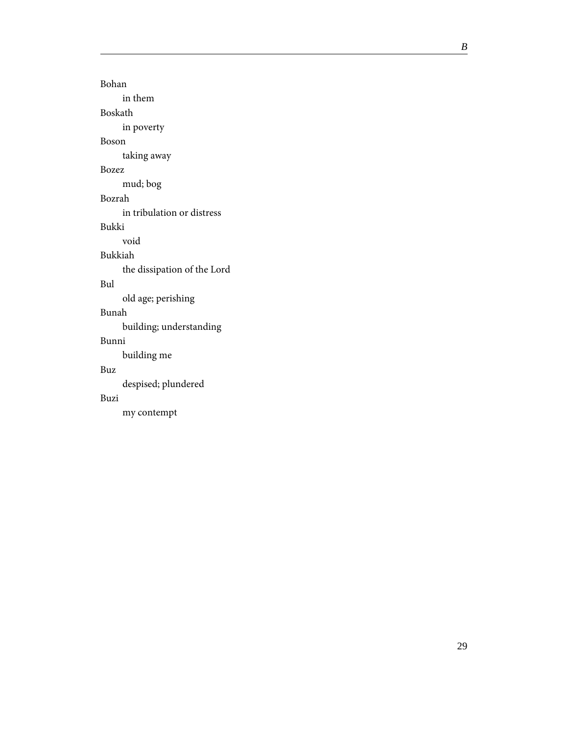Bohan in them Boskath in poverty Boson taking away Bozez mud; bog Bozrah in tribulation or distress Bukki void Bukkiah the dissipation of the Lord Bul old age; perishing Bunah building; understanding Bunni building me Buz despised; plundered Buzi my contempt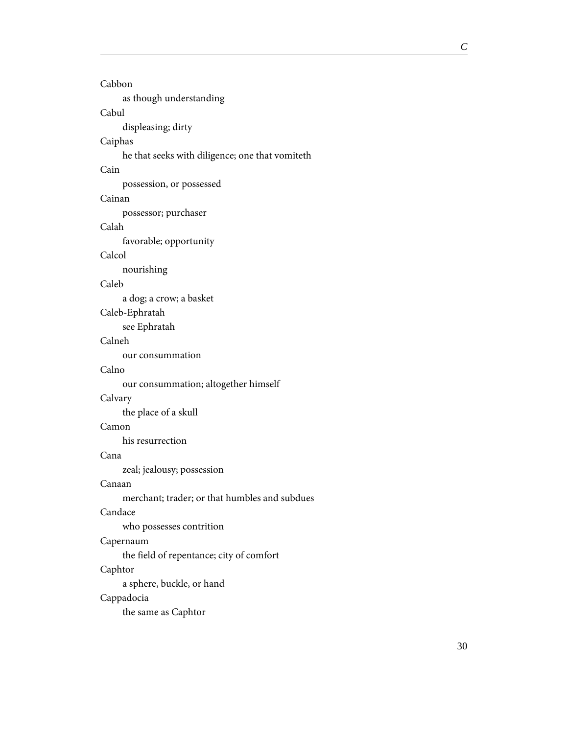#### <span id="page-34-0"></span>Cabbon

as though understanding

#### Cabul

displeasing; dirty

#### Caiphas

he that seeks with diligence; one that vomiteth

#### Cain

possession, or possessed

#### Cainan

possessor; purchaser

#### Calah

favorable; opportunity

#### Calcol

nourishing

#### Caleb

a dog; a crow; a basket

#### Caleb-Ephratah

see Ephratah

#### Calneh

our consummation

#### Calno

our consummation; altogether himself

#### Calvary

the place of a skull

#### Camon

his resurrection

#### Cana

zeal; jealousy; possession

#### Canaan

merchant; trader; or that humbles and subdues

#### Candace

who possesses contrition

#### Capernaum

the field of repentance; city of comfort

#### Caphtor

a sphere, buckle, or hand

#### Cappadocia

the same as Caphtor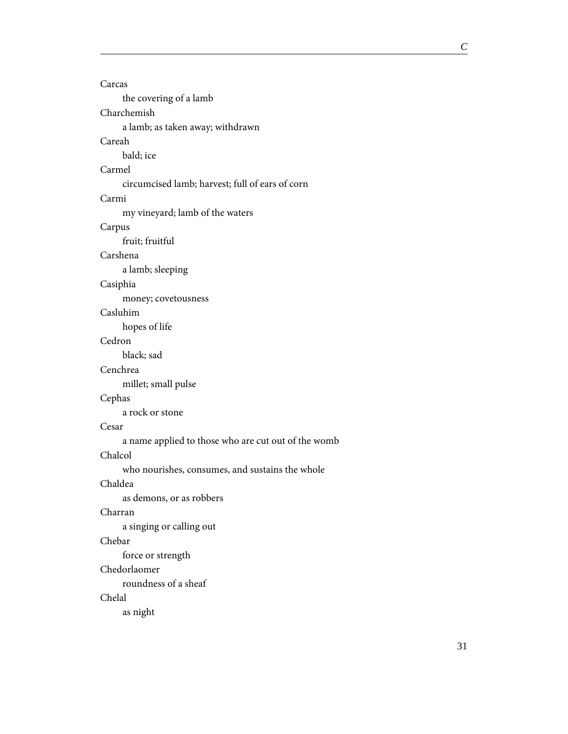Carcas the covering of a lamb Charchemish a lamb; as taken away; withdrawn Careah bald; ice Carmel circumcised lamb; harvest; full of ears of corn Carmi my vineyard; lamb of the waters Carpus fruit; fruitful Carshena a lamb; sleeping Casiphia money; covetousness Casluhim hopes of life Cedron black; sad Cenchrea millet; small pulse Cephas a rock or stone Cesar a name applied to those who are cut out of the womb Chalcol who nourishes, consumes, and sustains the whole Chaldea as demons, or as robbers Charran a singing or calling out Chebar force or strength Chedorlaomer roundness of a sheaf Chelal as night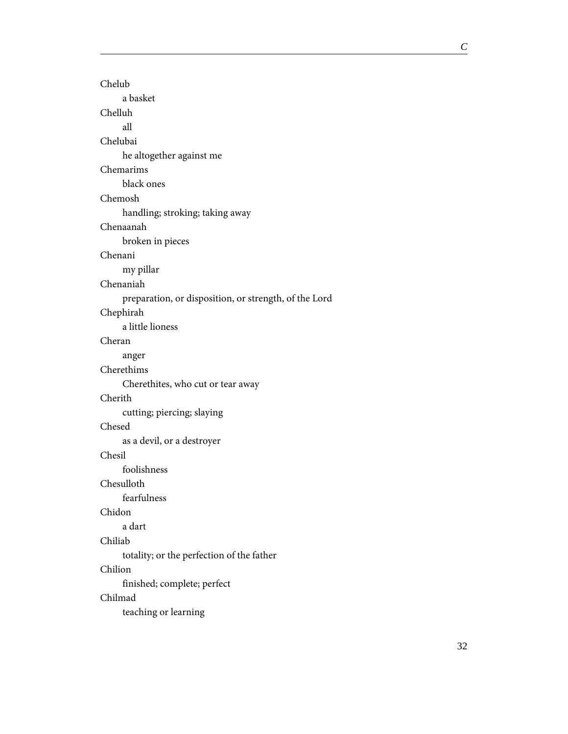Chelub a basket Chelluh all Chelubai he altogether against me Chemarims black ones Chemosh handling; stroking; taking away Chenaanah broken in pieces Chenani my pillar Chenaniah preparation, or disposition, or strength, of the Lord Chephirah a little lioness Cheran anger Cherethims Cherethites, who cut or tear away Cherith cutting; piercing; slaying Chesed as a devil, or a destroyer Chesil foolishness Chesulloth fearfulness Chidon a dart Chiliab totality; or the perfection of the father Chilion finished; complete; perfect Chilmad teaching or learning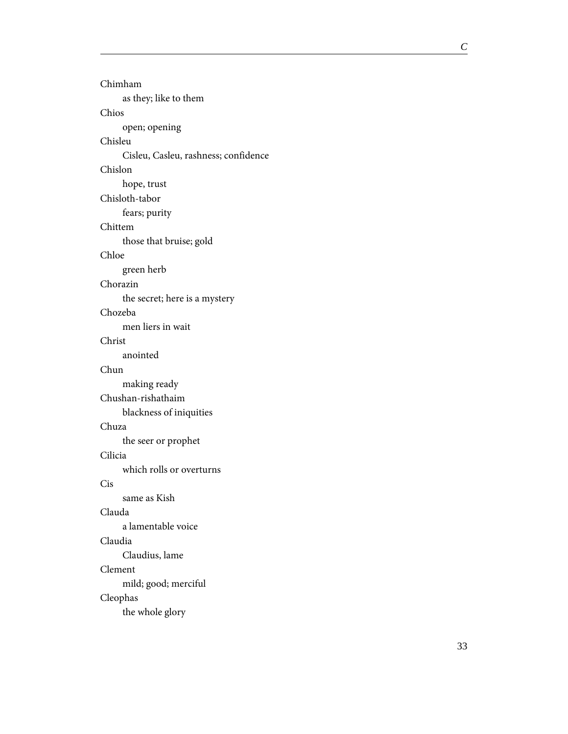| Chimham                              |
|--------------------------------------|
| as they; like to them                |
| Chios                                |
| open; opening                        |
| Chisleu                              |
| Cisleu, Casleu, rashness; confidence |
| Chislon                              |
| hope, trust                          |
| Chisloth-tabor                       |
| fears; purity                        |
| Chittem                              |
| those that bruise; gold              |
| Chloe                                |
| green herb                           |
| Chorazin                             |
| the secret; here is a mystery        |
| Chozeba                              |
| men liers in wait                    |
| Christ                               |
| anointed                             |
| Chun                                 |
| making ready                         |
| Chushan-rishathaim                   |
| blackness of iniquities              |
| Chuza                                |
| the seer or prophet                  |
| Cilicia                              |
| which rolls or overturns             |
| Cis                                  |
| same as Kish                         |
| Clauda                               |
| a lamentable voice                   |
| Claudia                              |
| Claudius, lame                       |
| Clement                              |
| mild; good; merciful                 |
| Cleophas                             |
| the whole glory                      |
|                                      |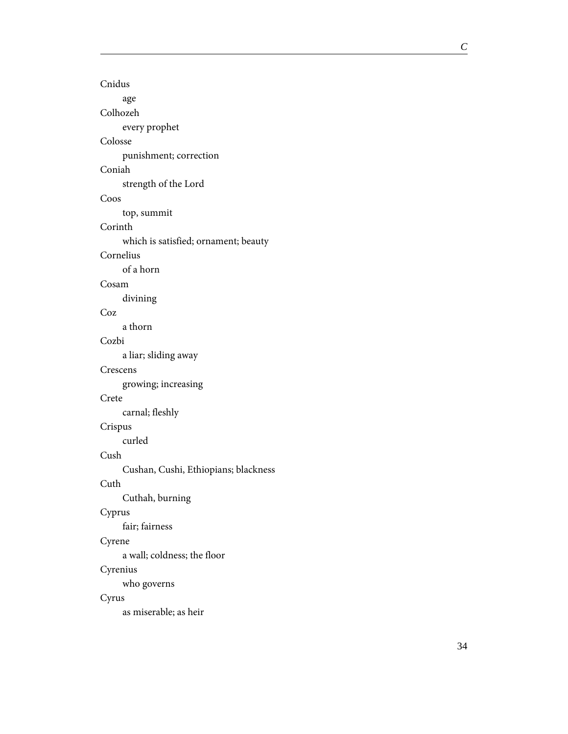Cnidus age Colhozeh every prophet Colosse punishment; correction Coniah strength of the Lord Coos top, summit Corinth which is satisfied; ornament; beauty Cornelius of a horn Cosam divining Coz a thorn Cozbi a liar; sliding away Crescens growing; increasing Crete carnal; fleshly Crispus curled Cush Cushan, Cushi, Ethiopians; blackness Cuth Cuthah, burning Cyprus fair; fairness Cyrene a wall; coldness; the floor Cyrenius who governs Cyrus as miserable; as heir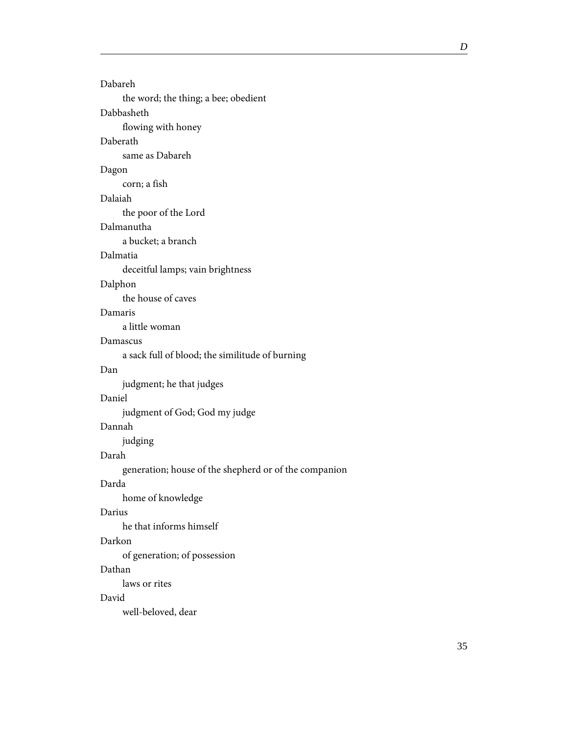| Dabareh                                               |
|-------------------------------------------------------|
| the word; the thing; a bee; obedient                  |
| Dabbasheth                                            |
| flowing with honey                                    |
| Daberath                                              |
| same as Dabareh                                       |
| Dagon                                                 |
| corn; a fish                                          |
| Dalaiah                                               |
| the poor of the Lord                                  |
| Dalmanutha                                            |
| a bucket; a branch                                    |
| Dalmatia                                              |
| deceitful lamps; vain brightness                      |
| Dalphon                                               |
| the house of caves                                    |
| Damaris                                               |
| a little woman                                        |
| Damascus                                              |
| a sack full of blood; the similitude of burning       |
| Dan                                                   |
| judgment; he that judges                              |
| Daniel                                                |
| judgment of God; God my judge                         |
| Dannah                                                |
| judging                                               |
| Darah                                                 |
| generation; house of the shepherd or of the companion |
| Darda                                                 |
| home of knowledge                                     |
| Darius                                                |
| he that informs himself                               |
| Darkon                                                |
| of generation; of possession                          |
| Dathan                                                |
| laws or rites                                         |
| David                                                 |
| well-beloved, dear                                    |
|                                                       |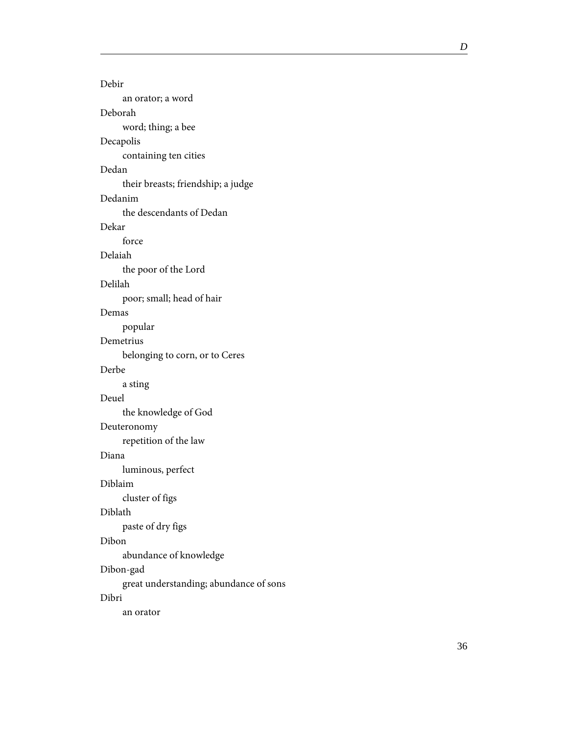| Debir                                  |
|----------------------------------------|
| an orator; a word                      |
| Deborah                                |
| word; thing; a bee                     |
| Decapolis                              |
| containing ten cities                  |
| Dedan                                  |
| their breasts; friendship; a judge     |
| Dedanim                                |
| the descendants of Dedan               |
| Dekar                                  |
| force                                  |
| Delaiah                                |
| the poor of the Lord                   |
| Delilah                                |
| poor; small; head of hair              |
| Demas                                  |
| popular                                |
| Demetrius                              |
| belonging to corn, or to Ceres         |
| Derbe                                  |
| a sting                                |
| Deuel                                  |
| the knowledge of God                   |
| Deuteronomy                            |
| repetition of the law                  |
| Diana                                  |
| luminous, perfect                      |
| Diblaim                                |
| cluster of figs                        |
| Diblath                                |
| paste of dry figs                      |
| Dibon                                  |
| abundance of knowledge                 |
| Dibon-gad                              |
| great understanding; abundance of sons |
| Dibri                                  |
| an orator                              |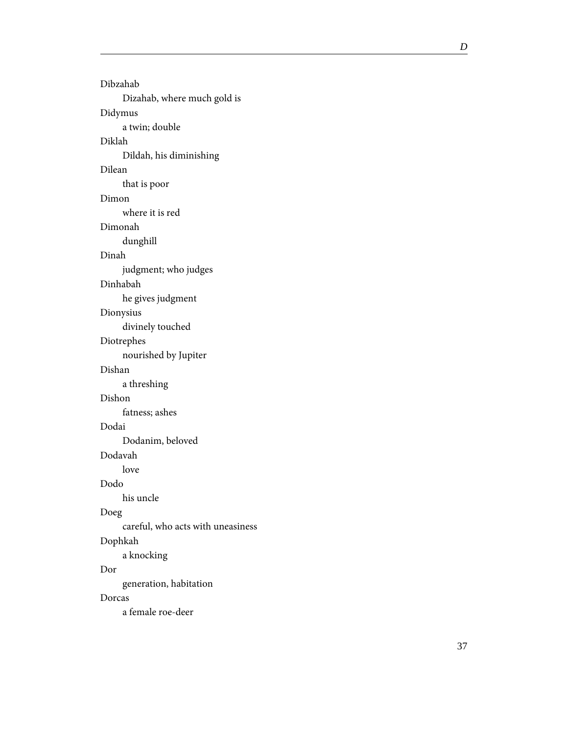Dibzahab Dizahab, where much gold is Didymus a twin; double Diklah Dildah, his diminishing Dilean that is poor Dimon where it is red Dimonah dunghill Dinah judgment; who judges Dinhabah he gives judgment Dionysius divinely touched Diotrephes nourished by Jupiter Dishan a threshing Dishon fatness; ashes Dodai Dodanim, beloved Dodavah love Dodo his uncle Doeg careful, who acts with uneasiness Dophkah a knocking Dor generation, habitation Dorcas a female roe-deer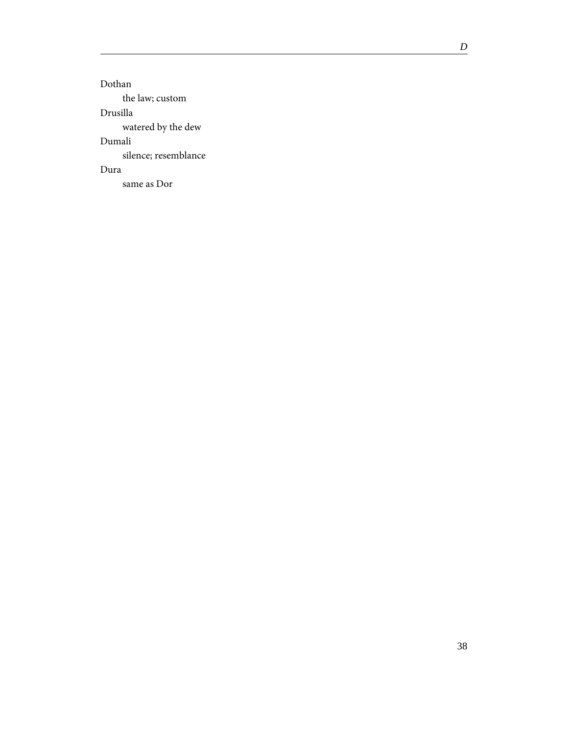Dothan the law; custom Drusilla watered by the dew Dumali silence; resemblance Dura same as Dor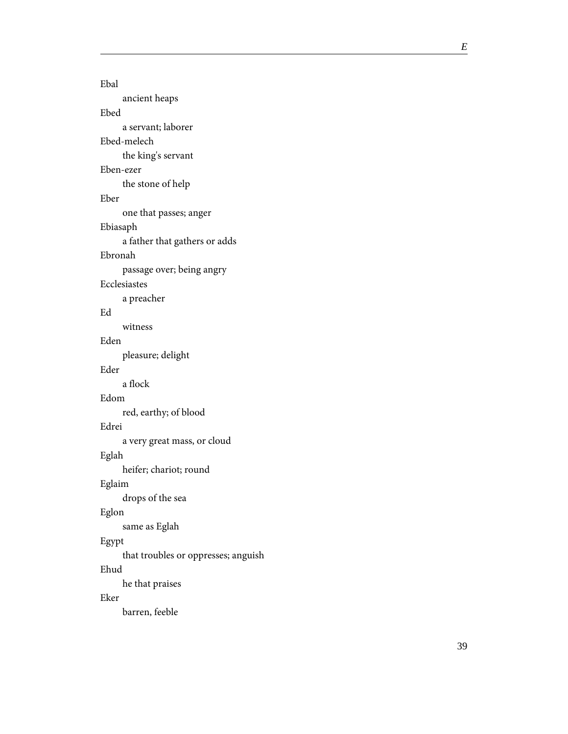Ebal ancient heaps Ebed a servant; laborer Ebed-melech the king's servant Eben-ezer the stone of help Eber one that passes; anger Ebiasaph a father that gathers or adds Ebronah passage over; being angry Ecclesiastes a preacher Ed witness Eden pleasure; delight Eder a flock Edom red, earthy; of blood Edrei a very great mass, or cloud Eglah heifer; chariot; round Eglaim drops of the sea Eglon same as Eglah Egypt that troubles or oppresses; anguish Ehud he that praises Eker barren, feeble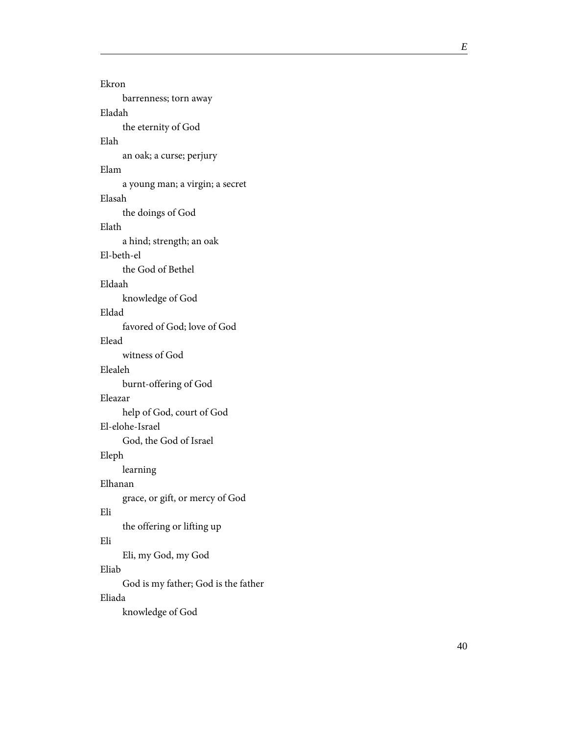| Ekron                               |
|-------------------------------------|
| barrenness; torn away               |
| Eladah                              |
| the eternity of God                 |
| Elah                                |
| an oak; a curse; perjury            |
| Elam                                |
| a young man; a virgin; a secret     |
| Elasah                              |
| the doings of God                   |
| Elath                               |
| a hind; strength; an oak            |
| El-beth-el                          |
| the God of Bethel                   |
| Eldaah                              |
| knowledge of God                    |
| Eldad                               |
| favored of God; love of God         |
| Elead                               |
| witness of God                      |
| Elealeh                             |
| burnt-offering of God               |
| Eleazar                             |
| help of God, court of God           |
| El-elohe-Israel                     |
| God, the God of Israel              |
| Eleph                               |
| learning                            |
| Elhanan                             |
| grace, or gift, or mercy of God     |
| Eli                                 |
| the offering or lifting up          |
| Eli                                 |
| Eli, my God, my God                 |
| Eliab                               |
| God is my father; God is the father |
| Eliada                              |
| knowledge of God                    |
|                                     |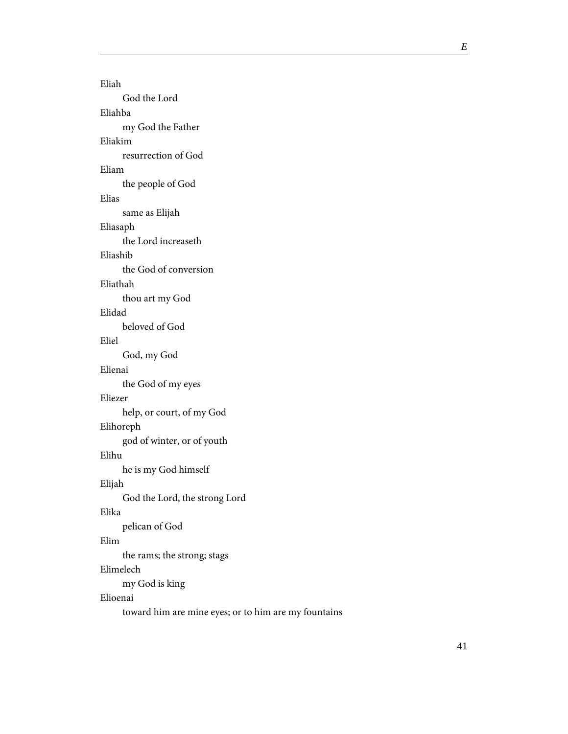Eliah God the Lord Eliahba my God the Father Eliakim resurrection of God Eliam the people of God Elias same as Elijah Eliasaph the Lord increaseth Eliashib the God of conversion Eliathah thou art my God Elidad beloved of God Eliel God, my God Elienai the God of my eyes Eliezer help, or court, of my God Elihoreph god of winter, or of youth Elihu he is my God himself Elijah God the Lord, the strong Lord Elika pelican of God Elim the rams; the strong; stags Elimelech my God is king Elioenai toward him are mine eyes; or to him are my fountains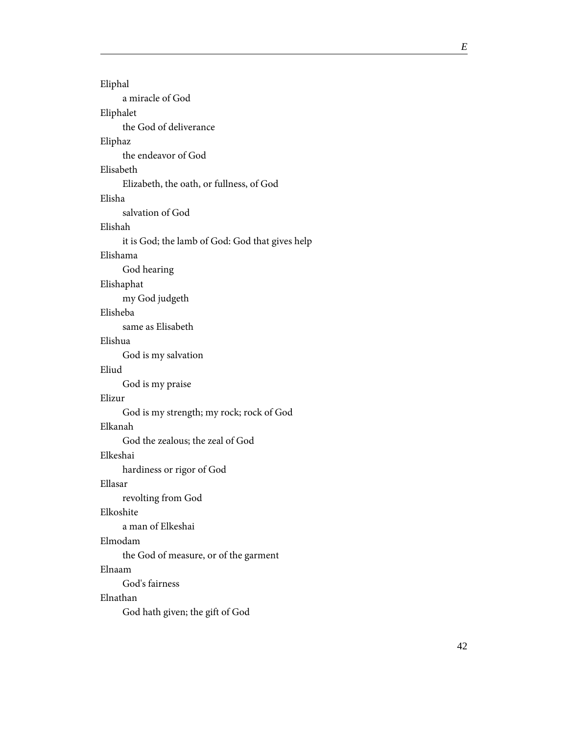| Eliphal                                         |
|-------------------------------------------------|
| a miracle of God                                |
| Eliphalet                                       |
| the God of deliverance                          |
| Eliphaz                                         |
| the endeavor of God                             |
| Elisabeth                                       |
| Elizabeth, the oath, or fullness, of God        |
| Elisha                                          |
| salvation of God                                |
| Elishah                                         |
| it is God; the lamb of God: God that gives help |
| Elishama                                        |
| God hearing                                     |
| Elishaphat                                      |
| my God judgeth                                  |
| Elisheba                                        |
| same as Elisabeth                               |
| Elishua                                         |
| God is my salvation                             |
| Eliud                                           |
| God is my praise                                |
| Elizur                                          |
| God is my strength; my rock; rock of God        |
| Elkanah                                         |
| God the zealous; the zeal of God                |
| Elkeshai                                        |
| hardiness or rigor of God                       |
| Ellasar                                         |
| revolting from God                              |
| Elkoshite                                       |
| a man of Elkeshai                               |
| Elmodam                                         |
| the God of measure, or of the garment           |
| Elnaam                                          |
| God's fairness                                  |
| Elnathan                                        |
| God hath given; the gift of God                 |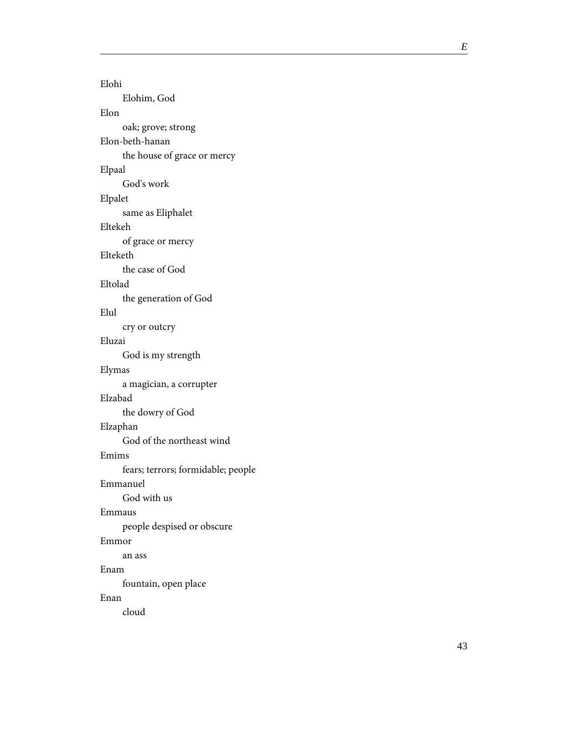Elohi Elohim, God Elon oak; grove; strong Elon-beth-hanan the house of grace or mercy Elpaal God's work Elpalet same as Eliphalet Eltekeh of grace or mercy Elteketh the case of God Eltolad the generation of God Elul cry or outcry Eluzai God is my strength Elymas a magician, a corrupter Elzabad the dowry of God Elzaphan God of the northeast wind Emims fears; terrors; formidable; people Emmanuel God with us Emmaus people despised or obscure Emmor an ass Enam fountain, open place Enan cloud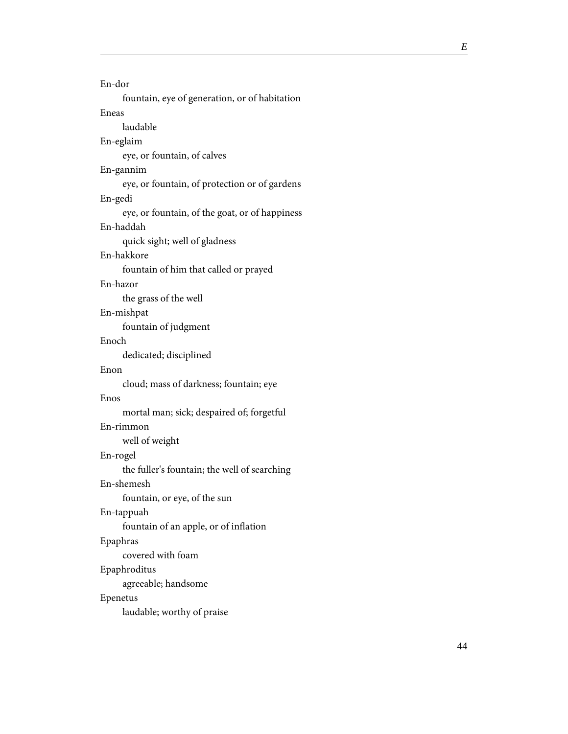| En-dor                                         |
|------------------------------------------------|
| fountain, eye of generation, or of habitation  |
| Eneas                                          |
| laudable                                       |
| En-eglaim                                      |
| eye, or fountain, of calves                    |
| En-gannim                                      |
| eye, or fountain, of protection or of gardens  |
| En-gedi                                        |
| eye, or fountain, of the goat, or of happiness |
| En-haddah                                      |
| quick sight; well of gladness                  |
| En-hakkore                                     |
| fountain of him that called or prayed          |
| En-hazor                                       |
| the grass of the well                          |
| En-mishpat                                     |
| fountain of judgment                           |
| Enoch                                          |
| dedicated; disciplined                         |
| Enon                                           |
| cloud; mass of darkness; fountain; eye         |
| Enos                                           |
| mortal man; sick; despaired of; forgetful      |
| En-rimmon                                      |
| well of weight                                 |
| En-rogel                                       |
| the fuller's fountain; the well of searching   |
| En-shemesh                                     |
| fountain, or eye, of the sun                   |
| En-tappuah                                     |
| fountain of an apple, or of inflation          |
| Epaphras                                       |
| covered with foam                              |
| Epaphroditus                                   |
| agreeable; handsome                            |
| Epenetus                                       |
| laudable; worthy of praise                     |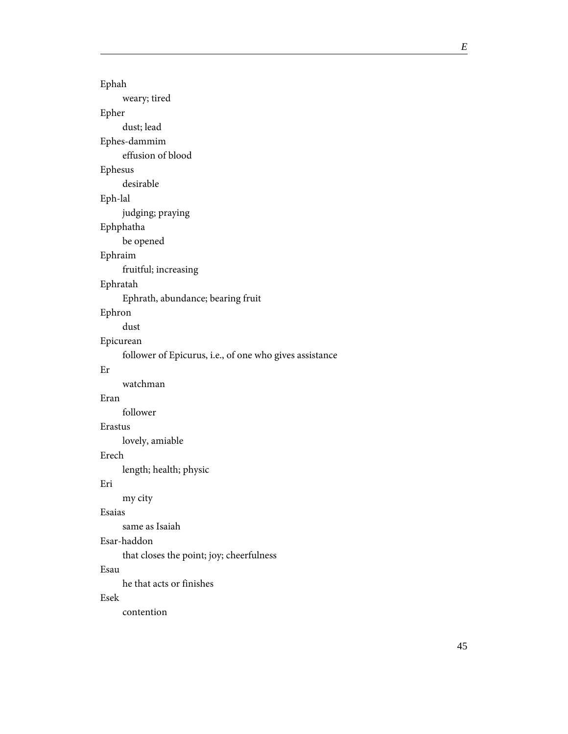| Ephah                                                   |
|---------------------------------------------------------|
| weary; tired                                            |
| Epher                                                   |
| dust; lead                                              |
| Ephes-dammim                                            |
| effusion of blood                                       |
| Ephesus                                                 |
| desirable                                               |
| Eph-lal                                                 |
| judging; praying                                        |
| Ephphatha                                               |
| be opened                                               |
| Ephraim                                                 |
| fruitful; increasing                                    |
| Ephratah                                                |
| Ephrath, abundance; bearing fruit                       |
| Ephron                                                  |
| dust                                                    |
| Epicurean                                               |
| follower of Epicurus, i.e., of one who gives assistance |
| Er                                                      |
| watchman                                                |
| Eran                                                    |
| follower                                                |
| Erastus                                                 |
| lovely, amiable                                         |
| Erech                                                   |
| length; health; physic                                  |
| Eri                                                     |
| my city                                                 |
| Esaias                                                  |
| same as Isaiah                                          |
| Esar-haddon                                             |
| that closes the point; joy; cheerfulness                |
| Esau                                                    |
| he that acts or finishes                                |
| Esek                                                    |
| contention                                              |
|                                                         |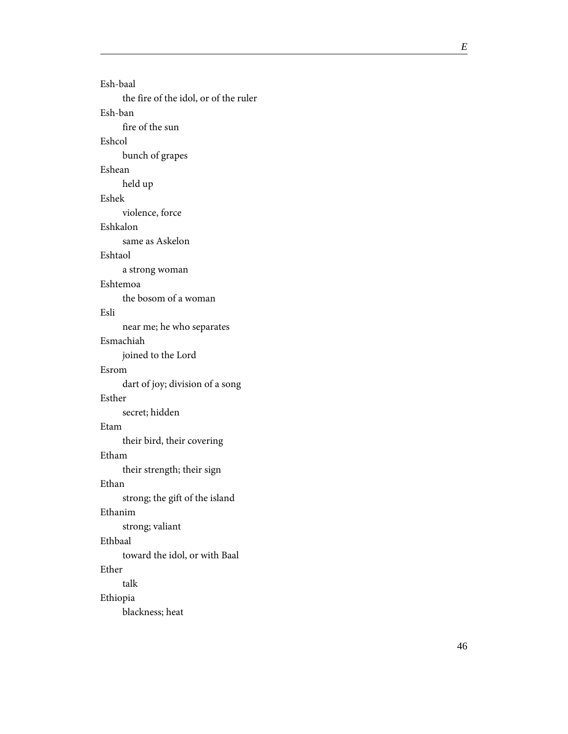Esh-baal the fire of the idol, or of the ruler Esh-ban fire of the sun Eshcol bunch of grapes Eshean held up Eshek violence, force Eshkalon same as Askelon Eshtaol a strong woman Eshtemoa the bosom of a woman Esli near me; he who separates Esmachiah joined to the Lord Esrom dart of joy; division of a song Esther secret; hidden Etam their bird, their covering Etham their strength; their sign Ethan strong; the gift of the island Ethanim strong; valiant Ethbaal toward the idol, or with Baal Ether talk Ethiopia blackness; heat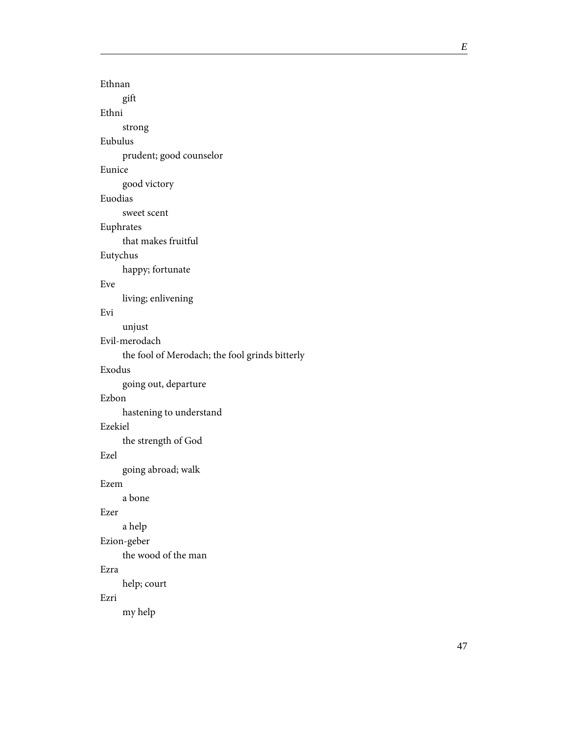Ethnan gift Ethni strong Eubulus prudent; good counselor Eunice good victory Euodias sweet scent Euphrates that makes fruitful Eutychus happy; fortunate Eve living; enlivening Evi unjust Evil-merodach the fool of Merodach; the fool grinds bitterly Exodus going out, departure Ezbon hastening to understand Ezekiel the strength of God Ezel going abroad; walk Ezem a bone Ezer a help Ezion-geber the wood of the man Ezra help; court Ezri my help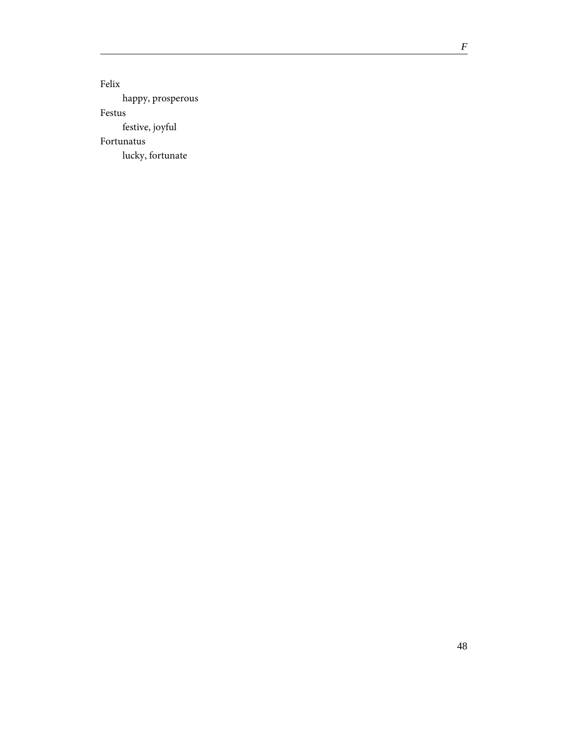*F*

Felix happy, prosperous Festus festive, joyful Fortunatus lucky, fortunate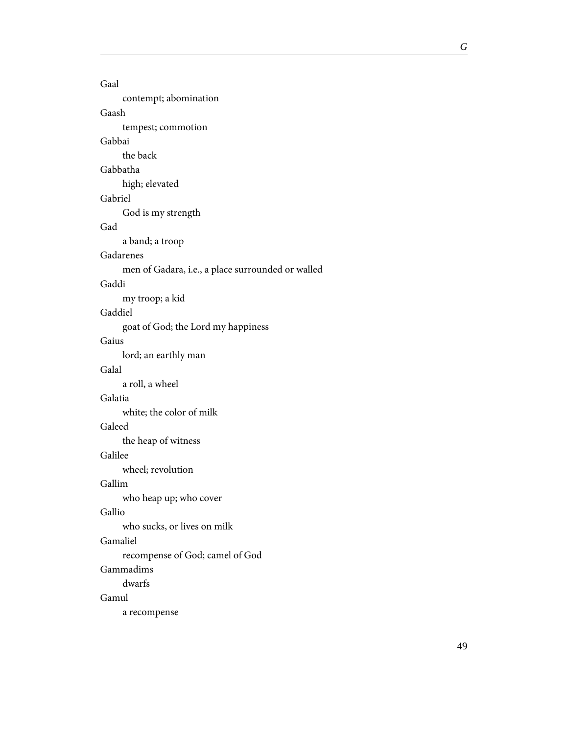Gaal contempt; abomination Gaash tempest; commotion Gabbai the back Gabbatha high; elevated Gabriel God is my strength Gad a band; a troop Gadarenes men of Gadara, i.e., a place surrounded or walled Gaddi my troop; a kid Gaddiel goat of God; the Lord my happiness Gaius lord; an earthly man Galal a roll, a wheel Galatia white; the color of milk Galeed the heap of witness Galilee wheel; revolution Gallim who heap up; who cover Gallio who sucks, or lives on milk Gamaliel recompense of God; camel of God Gammadims dwarfs Gamul a recompense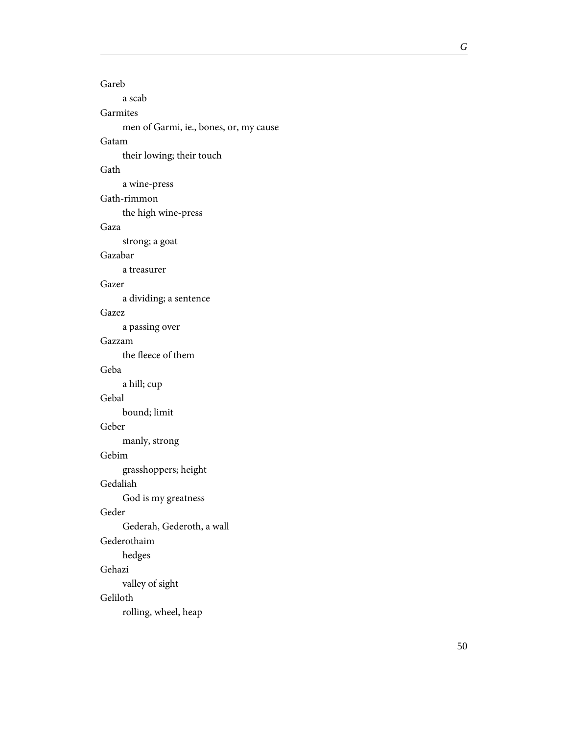Gareb a scab Garmites men of Garmi, ie., bones, or, my cause Gatam their lowing; their touch Gath a wine-press Gath-rimmon the high wine-press Gaza strong; a goat Gazabar a treasurer Gazer a dividing; a sentence Gazez a passing over Gazzam the fleece of them Geba a hill; cup Gebal bound; limit Geber manly, strong Gebim grasshoppers; height Gedaliah God is my greatness Geder Gederah, Gederoth, a wall Gederothaim hedges Gehazi valley of sight Geliloth rolling, wheel, heap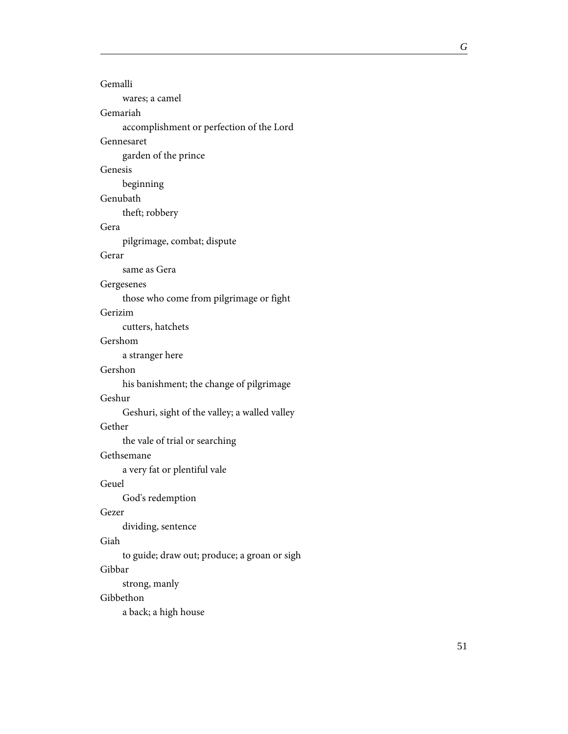| Gemalli                                       |
|-----------------------------------------------|
| wares; a camel                                |
| Gemariah                                      |
| accomplishment or perfection of the Lord      |
| Gennesaret                                    |
| garden of the prince                          |
| Genesis                                       |
| beginning                                     |
| Genubath                                      |
| theft; robbery                                |
| Gera                                          |
| pilgrimage, combat; dispute                   |
| Gerar                                         |
| same as Gera                                  |
| Gergesenes                                    |
| those who come from pilgrimage or fight       |
| Gerizim                                       |
| cutters, hatchets                             |
| Gershom                                       |
| a stranger here                               |
| Gershon                                       |
| his banishment; the change of pilgrimage      |
| Geshur                                        |
| Geshuri, sight of the valley; a walled valley |
| Gether                                        |
| the vale of trial or searching                |
| Gethsemane                                    |
| a very fat or plentiful vale                  |
| Geuel                                         |
| God's redemption                              |
| Gezer                                         |
| dividing, sentence                            |
| Giah                                          |
| to guide; draw out; produce; a groan or sigh  |
| Gibbar                                        |
| strong, manly                                 |

# Gibbethon

a back; a high house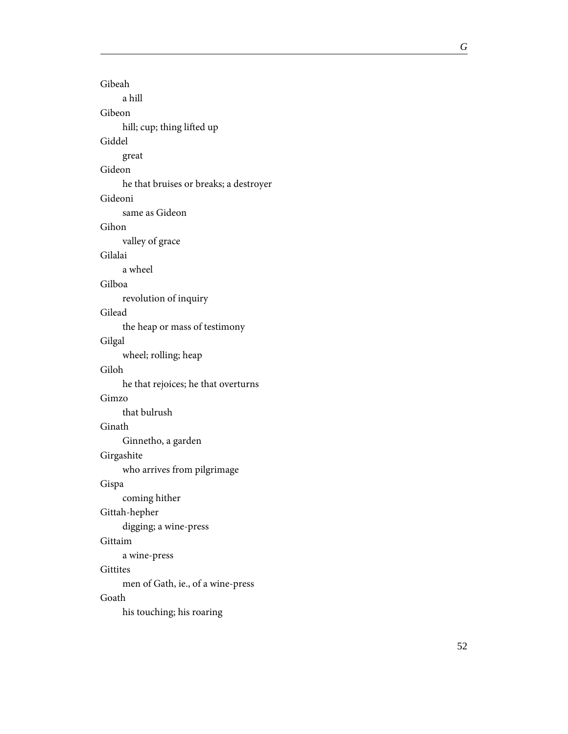Gibeah a hill Gibeon hill; cup; thing lifted up Giddel great Gideon he that bruises or breaks; a destroyer Gideoni same as Gideon Gihon valley of grace Gilalai a wheel Gilboa revolution of inquiry Gilead the heap or mass of testimony Gilgal wheel; rolling; heap Giloh he that rejoices; he that overturns Gimzo that bulrush Ginath Ginnetho, a garden Girgashite who arrives from pilgrimage Gispa coming hither Gittah-hepher digging; a wine-press Gittaim a wine-press **Gittites** men of Gath, ie., of a wine-press Goath his touching; his roaring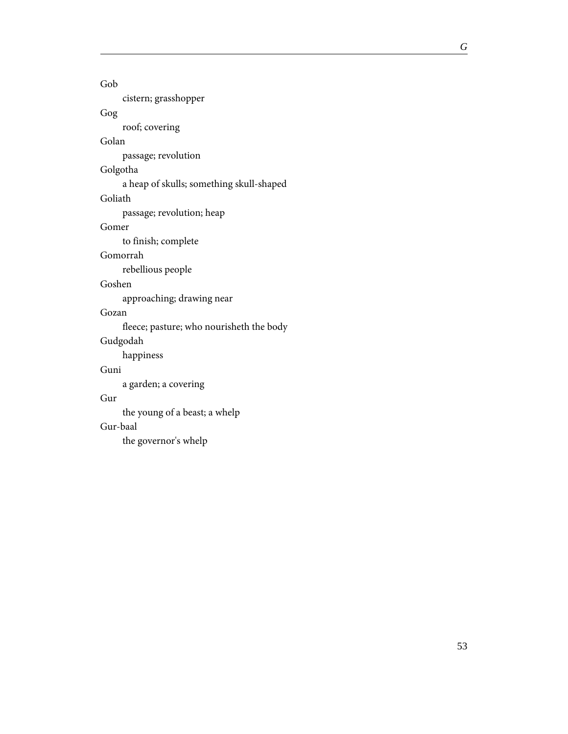#### Gob

cistern; grasshopper

### Gog

roof; covering

### Golan

passage; revolution

## Golgotha

a heap of skulls; something skull-shaped

#### Goliath

passage; revolution; heap

### Gomer

to finish; complete

#### Gomorrah

rebellious people

#### Goshen

approaching; drawing near

### Gozan

fleece; pasture; who nourisheth the body

### Gudgodah

happiness

### Guni

a garden; a covering

#### Gur

the young of a beast; a whelp

#### Gur-baal

the governor's whelp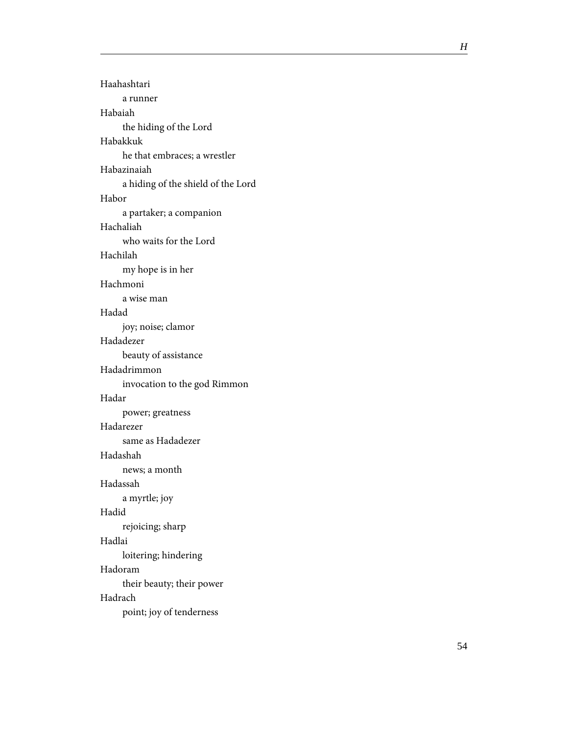Haahashtari a runner Habaiah the hiding of the Lord Habakkuk he that embraces; a wrestler Habazinaiah a hiding of the shield of the Lord Habor a partaker; a companion Hachaliah who waits for the Lord Hachilah my hope is in her Hachmoni a wise man Hadad joy; noise; clamor Hadadezer beauty of assistance Hadadrimmon invocation to the god Rimmon Hadar power; greatness Hadarezer same as Hadadezer Hadashah news; a month Hadassah a myrtle; joy Hadid rejoicing; sharp Hadlai loitering; hindering Hadoram their beauty; their power Hadrach point; joy of tenderness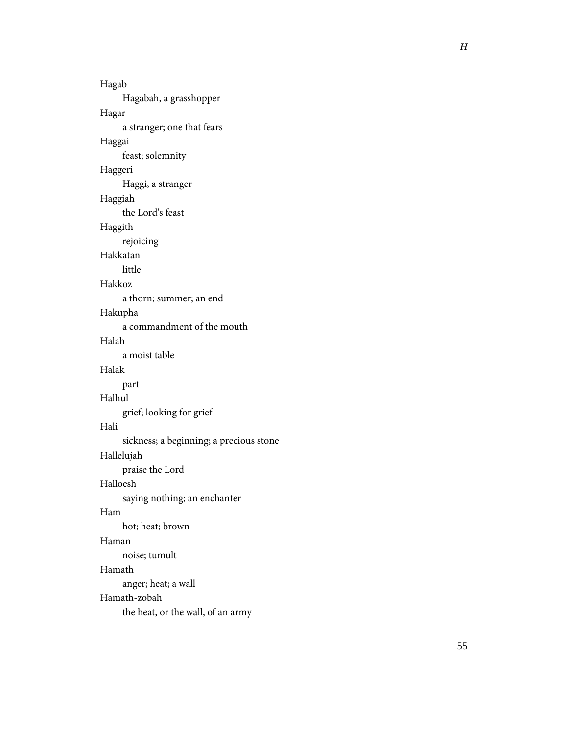| Hagab                                   |
|-----------------------------------------|
| Hagabah, a grasshopper                  |
| Hagar                                   |
| a stranger; one that fears              |
| Haggai                                  |
| feast; solemnity                        |
| Haggeri                                 |
| Haggi, a stranger                       |
| Haggiah                                 |
| the Lord's feast                        |
| Haggith                                 |
| rejoicing                               |
| Hakkatan                                |
| little                                  |
| Hakkoz                                  |
| a thorn; summer; an end                 |
| Hakupha                                 |
| a commandment of the mouth              |
| Halah                                   |
| a moist table                           |
| Halak                                   |
| part                                    |
| Halhul                                  |
| grief; looking for grief                |
| Hali                                    |
| sickness; a beginning; a precious stone |
| Hallelujah                              |
| praise the Lord                         |
| Halloesh                                |
| saying nothing; an enchanter            |
| Ham                                     |
| hot; heat; brown                        |
| Haman                                   |
| noise; tumult                           |
| Hamath                                  |
| anger; heat; a wall                     |
| Hamath-zobah                            |
| the heat, or the wall, of an army       |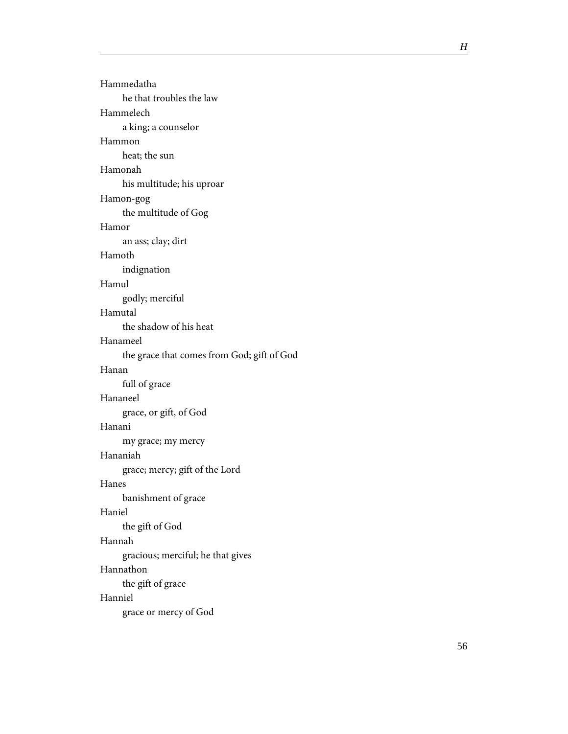| Hammedatha                                 |
|--------------------------------------------|
| he that troubles the law                   |
| Hammelech                                  |
| a king; a counselor                        |
| Hammon                                     |
| heat; the sun                              |
| Hamonah                                    |
| his multitude; his uproar                  |
| Hamon-gog                                  |
| the multitude of Gog                       |
| Hamor                                      |
| an ass; clay; dirt                         |
| Hamoth                                     |
| indignation                                |
| Hamul                                      |
| godly; merciful                            |
| Hamutal                                    |
| the shadow of his heat                     |
| Hanameel                                   |
| the grace that comes from God; gift of God |
| Hanan                                      |
| full of grace                              |
| Hananeel                                   |
| grace, or gift, of God                     |
| Hanani                                     |
| my grace; my mercy                         |
| Hananiah                                   |
| grace; mercy; gift of the Lord             |
| Hanes                                      |
| banishment of grace                        |
| Haniel                                     |
| the gift of God                            |
| Hannah                                     |
| gracious; merciful; he that gives          |
| Hannathon                                  |
| the gift of grace                          |
| Hanniel                                    |
| grace or mercy of God                      |
|                                            |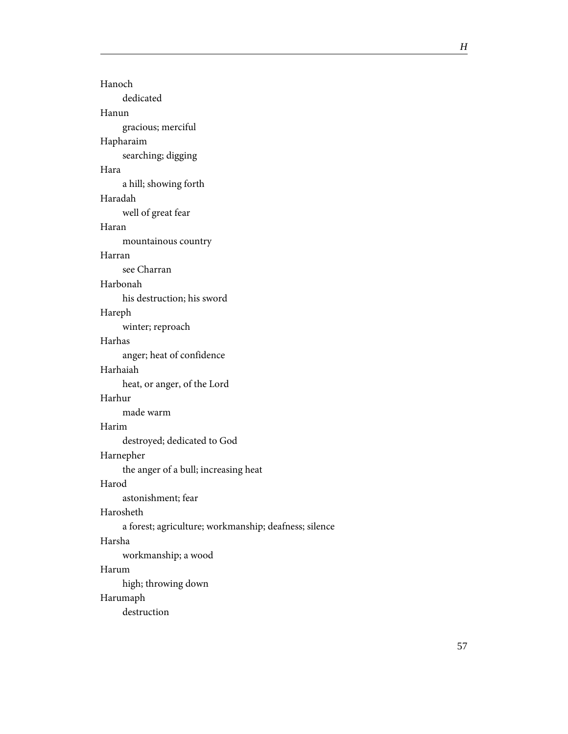| Hanoch                                                |
|-------------------------------------------------------|
| dedicated                                             |
| Hanun                                                 |
| gracious; merciful                                    |
| Hapharaim                                             |
| searching; digging                                    |
| Hara                                                  |
| a hill; showing forth                                 |
| Haradah                                               |
| well of great fear                                    |
| Haran                                                 |
| mountainous country                                   |
| Harran                                                |
| see Charran                                           |
| Harbonah                                              |
| his destruction; his sword                            |
| Hareph                                                |
| winter; reproach                                      |
| Harhas                                                |
| anger; heat of confidence                             |
| Harhaiah                                              |
| heat, or anger, of the Lord                           |
| Harhur                                                |
| made warm                                             |
| Harim                                                 |
| destroyed; dedicated to God                           |
| Harnepher                                             |
| the anger of a bull; increasing heat                  |
| Harod                                                 |
| astonishment; fear                                    |
| Harosheth                                             |
| a forest; agriculture; workmanship; deafness; silence |
| Harsha                                                |
| workmanship; a wood                                   |
| Harum                                                 |
| high; throwing down                                   |
| Harumaph                                              |
| destruction                                           |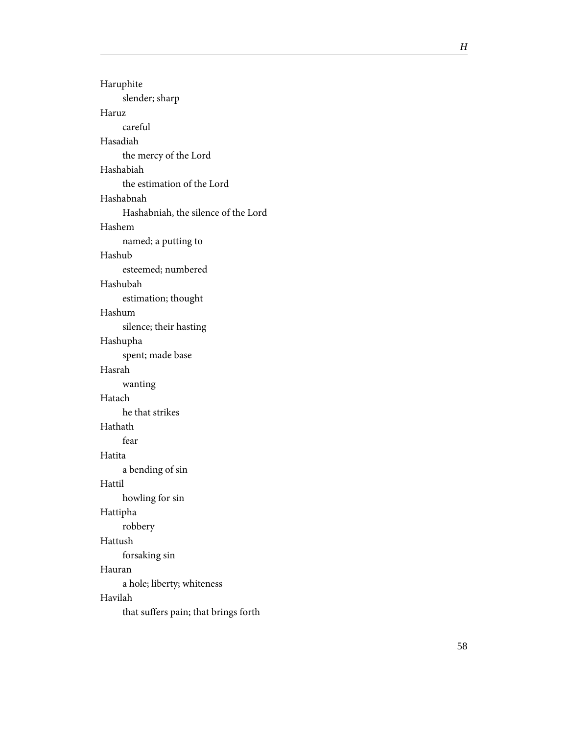| Haruphite                            |
|--------------------------------------|
| slender; sharp                       |
| Haruz                                |
| careful                              |
| Hasadiah                             |
| the mercy of the Lord                |
| Hashabiah                            |
| the estimation of the Lord           |
| Hashabnah                            |
| Hashabniah, the silence of the Lord  |
| Hashem                               |
| named; a putting to                  |
| Hashub                               |
| esteemed; numbered                   |
| Hashubah                             |
| estimation; thought                  |
| Hashum                               |
| silence; their hasting               |
| Hashupha                             |
| spent; made base                     |
| Hasrah                               |
| wanting                              |
| Hatach                               |
| he that strikes                      |
| Hathath                              |
| fear                                 |
| Hatita                               |
| a bending of sin                     |
| Hattil                               |
| howling for sin                      |
| Hattipha                             |
| robbery                              |
| Hattush                              |
| forsaking sin                        |
| Hauran                               |
| a hole; liberty; whiteness           |
| Havilah                              |
| that suffers pain; that brings forth |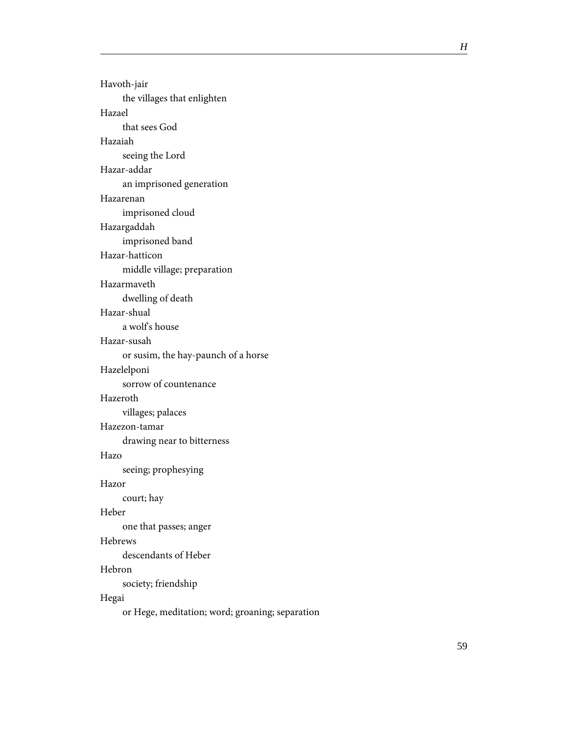| Havoth-jair                                     |
|-------------------------------------------------|
| the villages that enlighten                     |
| Hazael                                          |
| that sees God                                   |
| Hazaiah                                         |
| seeing the Lord                                 |
| Hazar-addar                                     |
| an imprisoned generation                        |
| Hazarenan                                       |
| imprisoned cloud                                |
| Hazargaddah                                     |
| imprisoned band                                 |
| Hazar-hatticon                                  |
| middle village; preparation                     |
| Hazarmayeth                                     |
| dwelling of death                               |
| Hazar-shual                                     |
| a wolf's house                                  |
| Hazar-susah                                     |
| or susim, the hay-paunch of a horse             |
| Hazelelponi                                     |
| sorrow of countenance                           |
| Hazeroth                                        |
| villages; palaces                               |
| Hazezon-tamar                                   |
| drawing near to bitterness                      |
| Hazo                                            |
| seeing; prophesying                             |
| Hazor                                           |
| court; hay                                      |
| Heber                                           |
| one that passes; anger                          |
| Hebrews                                         |
| descendants of Heber                            |
| Hebron                                          |
| society; friendship                             |
| Hegai                                           |
| or Hege, meditation; word; groaning; separation |
|                                                 |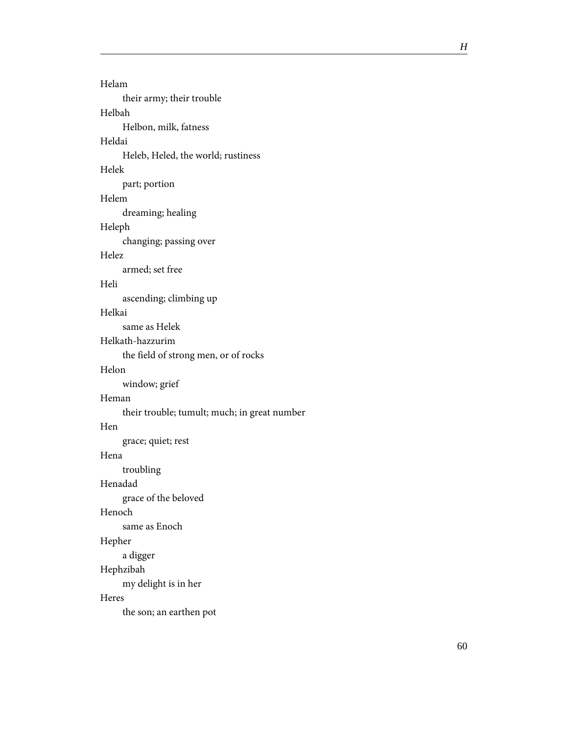| Helam                                        |
|----------------------------------------------|
| their army; their trouble                    |
| Helbah                                       |
| Helbon, milk, fatness                        |
| Heldai                                       |
| Heleb, Heled, the world; rustiness           |
| Helek                                        |
| part; portion                                |
| Helem                                        |
| dreaming; healing                            |
| Heleph                                       |
| changing; passing over                       |
| Helez                                        |
| armed; set free                              |
| Heli                                         |
| ascending; climbing up                       |
| Helkai                                       |
| same as Helek                                |
| Helkath-hazzurim                             |
| the field of strong men, or of rocks         |
| Helon                                        |
| window; grief                                |
| Heman                                        |
| their trouble; tumult; much; in great number |
| Hen                                          |
| grace; quiet; rest                           |
| Hena                                         |
| troubling                                    |
| Henadad                                      |
| grace of the beloved                         |
| Henoch                                       |
| same as Enoch                                |
| Hepher                                       |
| a digger                                     |
| Hephzibah                                    |
| my delight is in her                         |
| Heres                                        |
| the son; an earthen pot                      |
|                                              |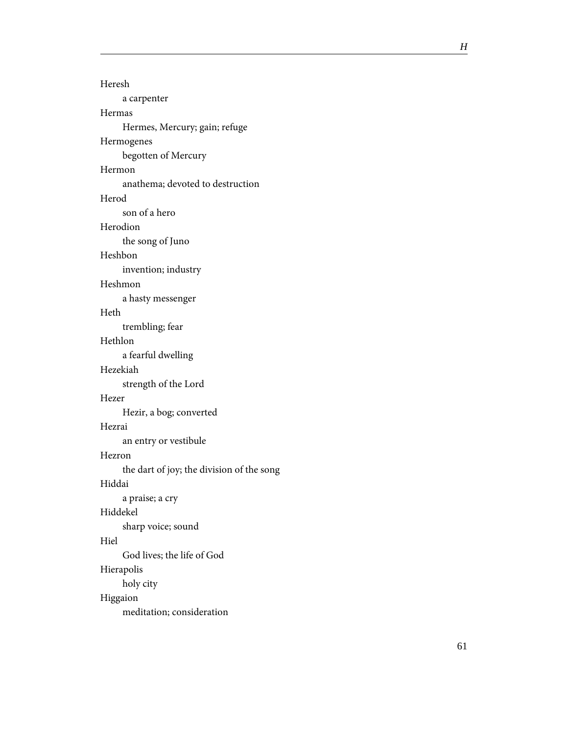| Heresh                                    |
|-------------------------------------------|
| a carpenter                               |
| Hermas                                    |
| Hermes, Mercury; gain; refuge             |
| Hermogenes                                |
| begotten of Mercury                       |
| Hermon                                    |
| anathema; devoted to destruction          |
| Herod                                     |
| son of a hero                             |
| Herodion                                  |
| the song of Juno                          |
| Heshbon                                   |
| invention; industry                       |
| Heshmon                                   |
| a hasty messenger                         |
| Heth                                      |
| trembling; fear                           |
| Hethlon                                   |
| a fearful dwelling                        |
| Hezekiah                                  |
| strength of the Lord                      |
| Hezer                                     |
| Hezir, a bog; converted                   |
| Hezrai                                    |
| an entry or vestibule                     |
| Hezron                                    |
| the dart of joy; the division of the song |
| Hiddai                                    |
| a praise; a cry                           |
| Hiddekel                                  |
| sharp voice; sound                        |
| Hiel                                      |
| God lives; the life of God                |
| Hierapolis                                |
| holy city                                 |
| Higgaion                                  |
| meditation; consideration                 |
|                                           |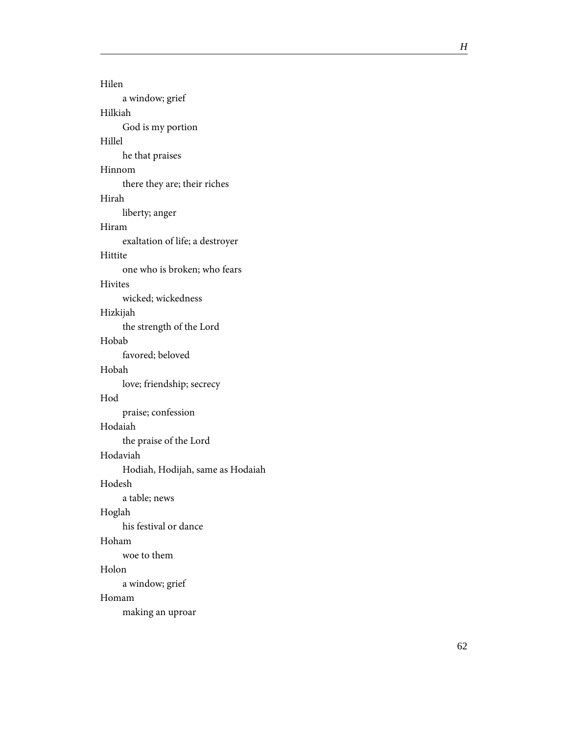Hilen a window; grief Hilkiah God is my portion Hillel he that praises Hinnom there they are; their riches Hirah liberty; anger Hiram exaltation of life; a destroyer Hittite one who is broken; who fears Hivites wicked; wickedness Hizkijah the strength of the Lord Hobab favored; beloved Hobah love; friendship; secrecy Hod praise; confession Hodaiah the praise of the Lord Hodaviah Hodiah, Hodijah, same as Hodaiah Hodesh a table; news Hoglah his festival or dance Hoham woe to them Holon a window; grief Homam making an uproar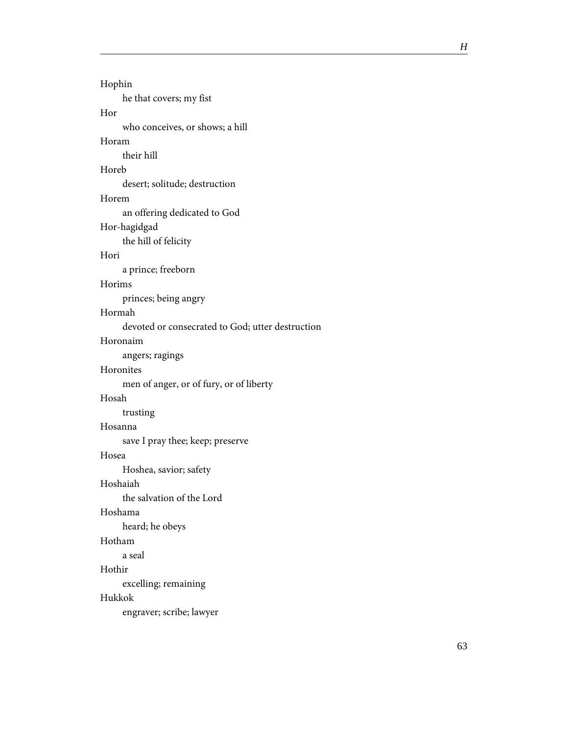| Hophin                                           |
|--------------------------------------------------|
| he that covers; my fist                          |
| Hor                                              |
| who conceives, or shows; a hill                  |
| Horam                                            |
| their hill                                       |
| Horeb                                            |
| desert; solitude; destruction                    |
| Horem                                            |
| an offering dedicated to God                     |
| Hor-hagidgad                                     |
| the hill of felicity                             |
| Hori                                             |
| a prince; freeborn                               |
| Horims                                           |
| princes; being angry                             |
| Hormah                                           |
| devoted or consecrated to God; utter destruction |
| Horonaim                                         |
| angers; ragings                                  |
| Horonites                                        |
| men of anger, or of fury, or of liberty          |
| Hosah                                            |
| trusting                                         |
| Hosanna                                          |
| save I pray thee; keep; preserve                 |
| Hosea                                            |
| Hoshea, savior; safety                           |
| Hoshaiah                                         |
| the salvation of the Lord                        |
| Hoshama                                          |
| heard; he obeys                                  |
| Hotham                                           |
| a seal                                           |
| Hothir                                           |
| excelling; remaining                             |
| Hukkok                                           |
| engraver; scribe; lawyer                         |
|                                                  |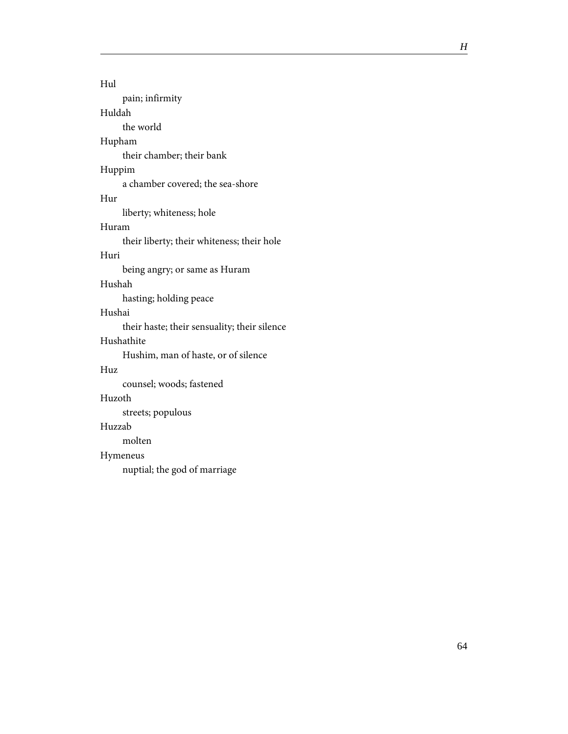| Hul                                          |
|----------------------------------------------|
| pain; infirmity                              |
| Huldah                                       |
| the world                                    |
| Hupham                                       |
| their chamber; their bank                    |
| Huppim                                       |
| a chamber covered; the sea-shore             |
| Hur                                          |
| liberty; whiteness; hole                     |
| Huram                                        |
| their liberty; their whiteness; their hole   |
| Huri                                         |
| being angry; or same as Huram                |
| Hushah                                       |
| hasting; holding peace                       |
| Hushai                                       |
| their haste; their sensuality; their silence |
| Hushathite                                   |
| Hushim, man of haste, or of silence          |
| $_{\rm Huz}$                                 |
| counsel; woods; fastened                     |
| Huzoth                                       |
| streets; populous                            |
| Huzzab                                       |
| molten                                       |
| Hymeneus                                     |
| nuptial; the god of marriage                 |
|                                              |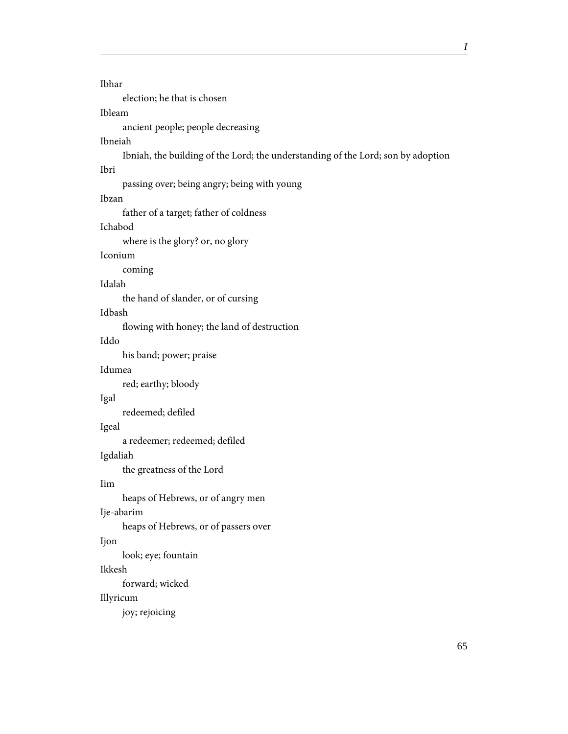```
Ibhar
     election; he that is chosen
Ibleam
     ancient people; people decreasing
Ibneiah
     Ibniah, the building of the Lord; the understanding of the Lord; son by adoption
Ibri
     passing over; being angry; being with young
Ibzan
     father of a target; father of coldness
Ichabod
     where is the glory? or, no glory
Iconium
     coming
Idalah
     the hand of slander, or of cursing
Idbash
     flowing with honey; the land of destruction
Iddo
     his band; power; praise
Idumea
     red; earthy; bloody
Igal
     redeemed; defiled
Igeal
     a redeemer; redeemed; defiled
Igdaliah
     the greatness of the Lord
Iim
     heaps of Hebrews, or of angry men
Ije-abarim
     heaps of Hebrews, or of passers over
Ijon
     look; eye; fountain
Ikkesh
     forward; wicked
Illyricum
     joy; rejoicing
```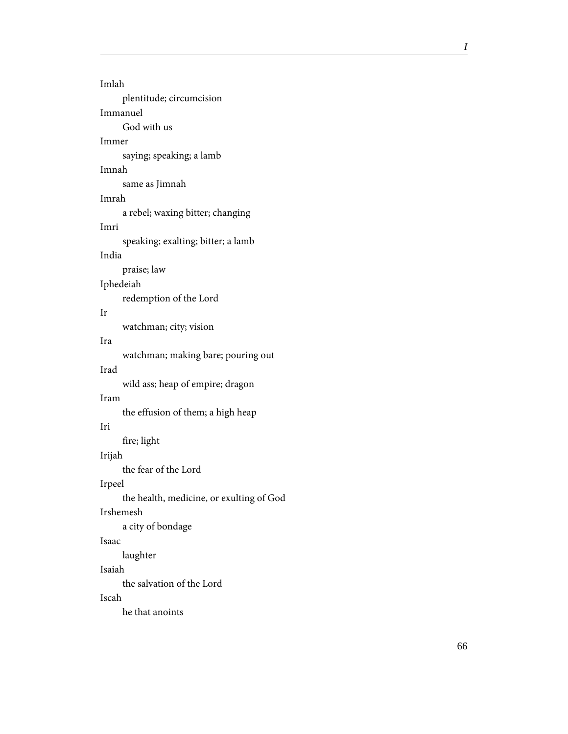| Imlah                                    |
|------------------------------------------|
| plentitude; circumcision                 |
| Immanuel                                 |
| God with us                              |
| Immer                                    |
| saying; speaking; a lamb                 |
| Imnah                                    |
| same as Jimnah                           |
| Imrah                                    |
| a rebel; waxing bitter; changing         |
| Imri                                     |
| speaking; exalting; bitter; a lamb       |
| India                                    |
| praise; law                              |
| Iphedeiah                                |
| redemption of the Lord                   |
| Ir                                       |
| watchman; city; vision                   |
| Ira                                      |
| watchman; making bare; pouring out       |
| Irad                                     |
| wild ass; heap of empire; dragon         |
| Iram                                     |
| the effusion of them; a high heap        |
| Iri                                      |
| fire; light                              |
| Irijah                                   |
| the fear of the Lord                     |
| Irpeel                                   |
| the health, medicine, or exulting of God |
| <b>Irshemesh</b>                         |
| a city of bondage                        |
| Isaac                                    |
| laughter                                 |
| Isaiah                                   |
| the salvation of the Lord                |
| Iscah                                    |
| he that anoints                          |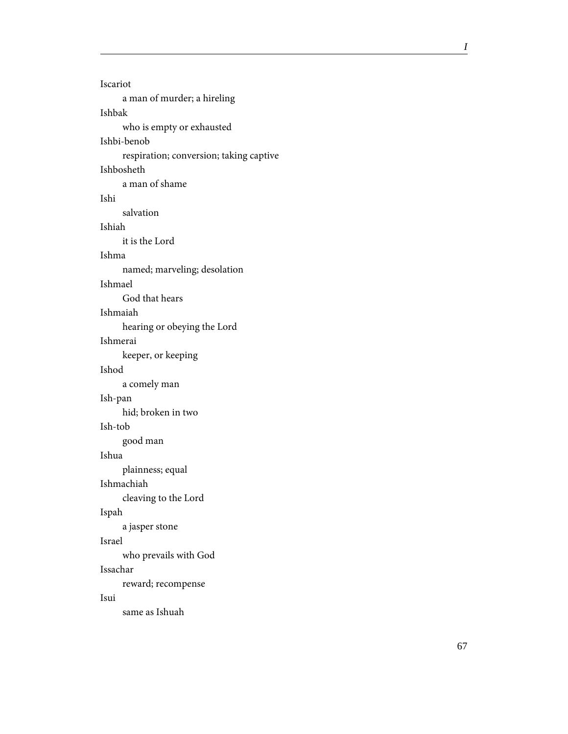Iscariot a man of murder; a hireling Ishbak who is empty or exhausted Ishbi-benob respiration; conversion; taking captive Ishbosheth a man of shame Ishi salvation Ishiah it is the Lord Ishma named; marveling; desolation Ishmael God that hears Ishmaiah hearing or obeying the Lord Ishmerai keeper, or keeping Ishod a comely man Ish-pan hid; broken in two Ish-tob good man Ishua plainness; equal Ishmachiah cleaving to the Lord Ispah a jasper stone Israel who prevails with God Issachar reward; recompense Isui same as Ishuah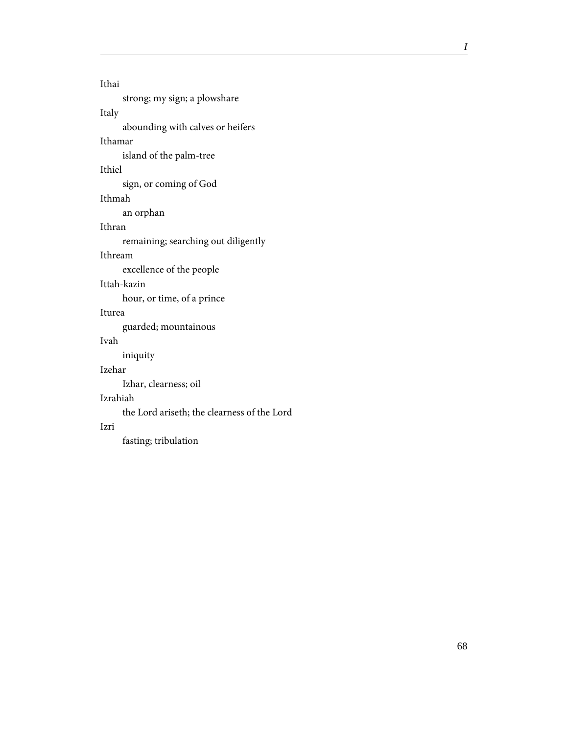Ithai strong; my sign; a plowshare Italy abounding with calves or heifers Ithamar island of the palm-tree Ithiel sign, or coming of God Ithmah an orphan Ithran remaining; searching out diligently Ithream excellence of the people Ittah-kazin hour, or time, of a prince Iturea guarded; mountainous Ivah iniquity Izehar

Izhar, clearness; oil

### Izrahiah

the Lord ariseth; the clearness of the Lord

#### Izri

fasting; tribulation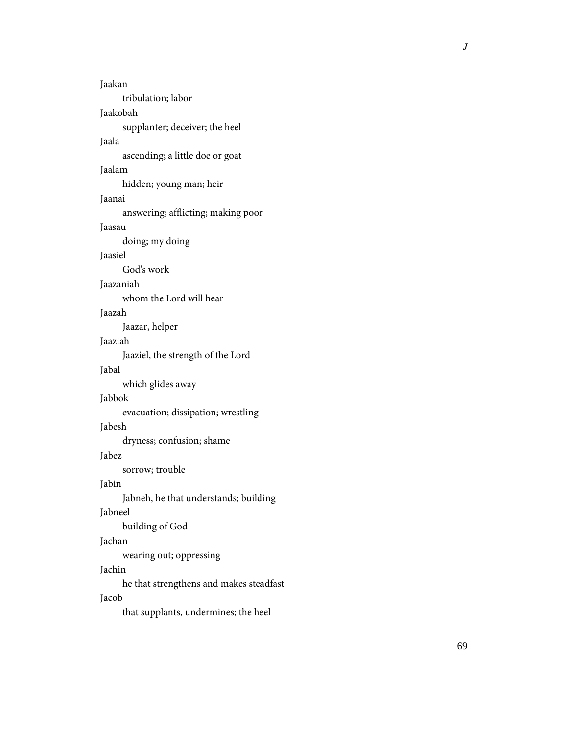| Jaakan                                  |
|-----------------------------------------|
| tribulation; labor                      |
| Jaakobah                                |
| supplanter; deceiver; the heel          |
| Jaala                                   |
| ascending; a little doe or goat         |
| Jaalam                                  |
| hidden; young man; heir                 |
| Jaanai                                  |
| answering; afflicting; making poor      |
| Jaasau                                  |
| doing; my doing                         |
| Jaasiel                                 |
| God's work                              |
| Jaazaniah                               |
| whom the Lord will hear                 |
| Jaazah                                  |
| Jaazar, helper                          |
| Jaaziah                                 |
| Jaaziel, the strength of the Lord       |
| Jabal                                   |
| which glides away                       |
| Jabbok                                  |
| evacuation; dissipation; wrestling      |
| Jabesh                                  |
| dryness; confusion; shame               |
| Jabez                                   |
| sorrow; trouble                         |
| Jabin                                   |
| Jabneh, he that understands; building   |
| Jabneel                                 |
| building of God                         |
| Jachan                                  |
| wearing out; oppressing                 |
| Jachin                                  |
| he that strengthens and makes steadfast |
| Jacob                                   |
| that supplants, undermines; the heel    |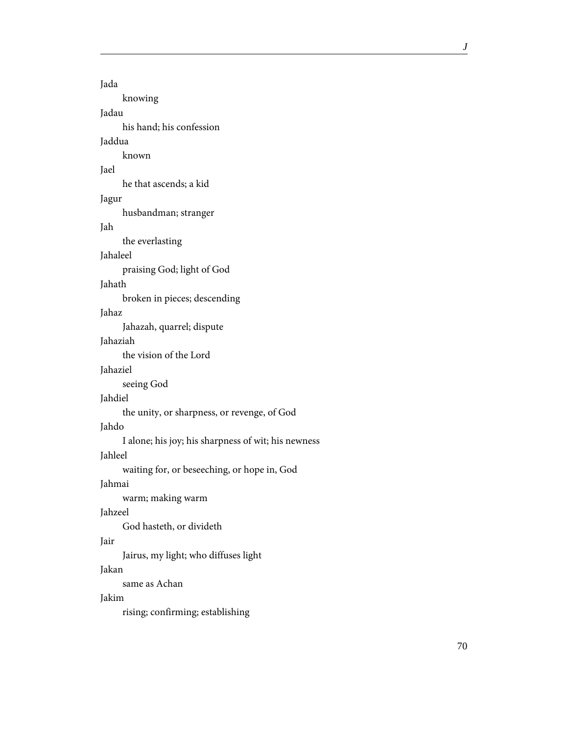| Jada                                                |
|-----------------------------------------------------|
| knowing                                             |
| Jadau                                               |
| his hand; his confession                            |
| Jaddua                                              |
| known                                               |
| Jael                                                |
| he that ascends; a kid                              |
| Jagur                                               |
| husbandman; stranger                                |
| Jah                                                 |
| the everlasting                                     |
| Jahaleel                                            |
| praising God; light of God                          |
| Jahath                                              |
| broken in pieces; descending                        |
| Jahaz                                               |
| Jahazah, quarrel; dispute                           |
| Jahaziah                                            |
| the vision of the Lord                              |
| Jahaziel                                            |
| seeing God                                          |
| Jahdiel                                             |
| the unity, or sharpness, or revenge, of God         |
| Jahdo                                               |
| I alone; his joy; his sharpness of wit; his newness |
| Jahleel                                             |
| waiting for, or beseeching, or hope in, God         |
| Jahmai                                              |
| warm; making warm                                   |
| Jahzeel                                             |
| God hasteth, or divideth                            |
| Jair                                                |
| Jairus, my light; who diffuses light                |
| Jakan                                               |
| same as Achan                                       |
| Jakim                                               |
| rising; confirming; establishing                    |
|                                                     |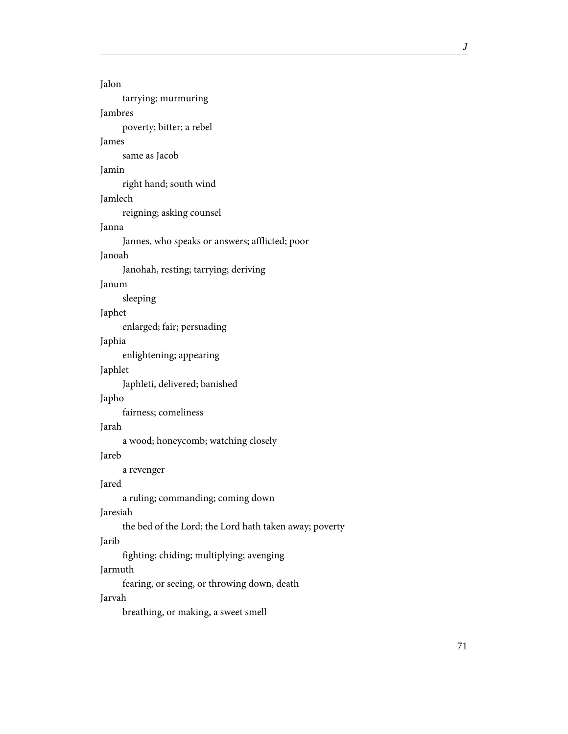```
Jalon
     tarrying; murmuring
Jambres
     poverty; bitter; a rebel
James
     same as Jacob
Jamin
     right hand; south wind
Jamlech
     reigning; asking counsel
Janna
     Jannes, who speaks or answers; afflicted; poor
Janoah
     Janohah, resting; tarrying; deriving
Janum
     sleeping
Japhet
     enlarged; fair; persuading
Japhia
     enlightening; appearing
Japhlet
     Japhleti, delivered; banished
Japho
     fairness; comeliness
Jarah
     a wood; honeycomb; watching closely
Jareb
     a revenger
Jared
     a ruling; commanding; coming down
Jaresiah
     the bed of the Lord; the Lord hath taken away; poverty
Jarib
     fighting; chiding; multiplying; avenging
Jarmuth
     fearing, or seeing, or throwing down, death
Jarvah
     breathing, or making, a sweet smell
```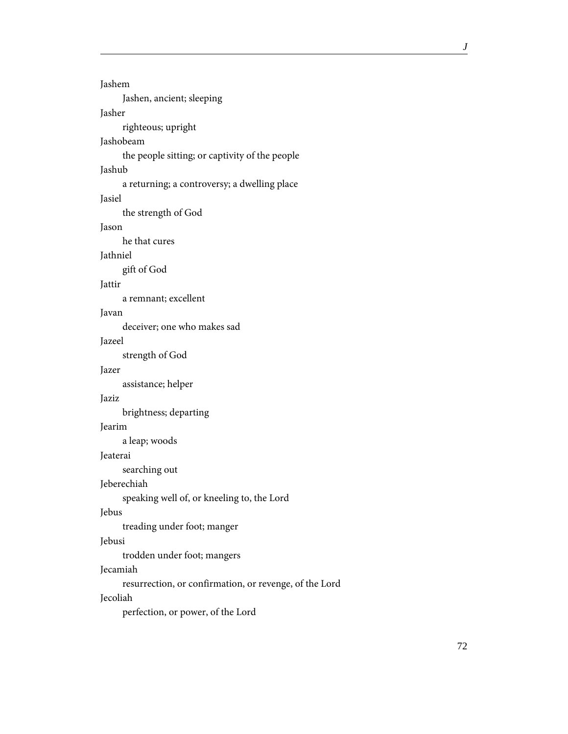```
Jashem
     Jashen, ancient; sleeping
Jasher
     righteous; upright
Jashobeam
     the people sitting; or captivity of the people
Jashub
     a returning; a controversy; a dwelling place
Jasiel
     the strength of God
Jason
     he that cures
Jathniel
     gift of God
Jattir
     a remnant; excellent
Javan
     deceiver; one who makes sad
Jazeel
     strength of God
Jazer
     assistance; helper
Jaziz
     brightness; departing
Jearim
     a leap; woods
Jeaterai
     searching out
Jeberechiah
     speaking well of, or kneeling to, the Lord
Jebus
     treading under foot; manger
Jebusi
     trodden under foot; mangers
Jecamiah
     resurrection, or confirmation, or revenge, of the Lord
Jecoliah
     perfection, or power, of the Lord
```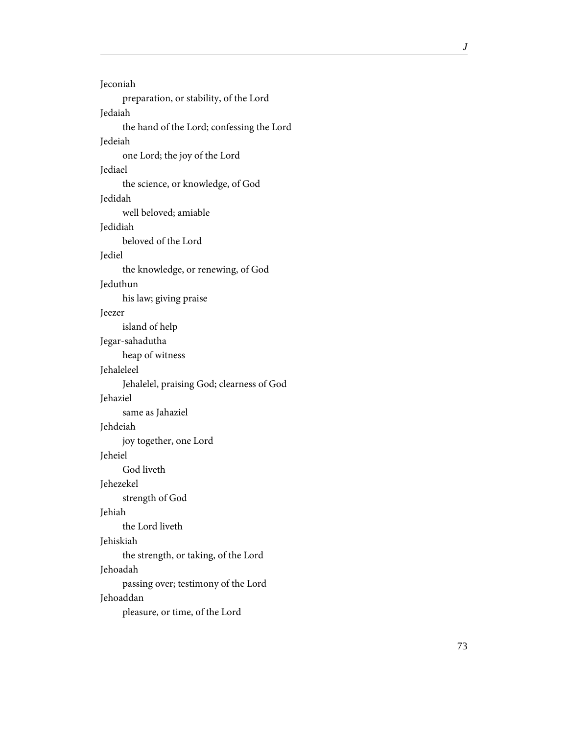Jeconiah preparation, or stability, of the Lord Jedaiah the hand of the Lord; confessing the Lord Jedeiah one Lord; the joy of the Lord Jediael the science, or knowledge, of God Jedidah well beloved; amiable Jedidiah beloved of the Lord Jediel the knowledge, or renewing, of God Jeduthun his law; giving praise Jeezer island of help Jegar-sahadutha heap of witness Jehaleleel Jehalelel, praising God; clearness of God Jehaziel same as Jahaziel Jehdeiah joy together, one Lord Jeheiel God liveth Jehezekel strength of God Jehiah the Lord liveth Jehiskiah the strength, or taking, of the Lord Jehoadah passing over; testimony of the Lord Jehoaddan pleasure, or time, of the Lord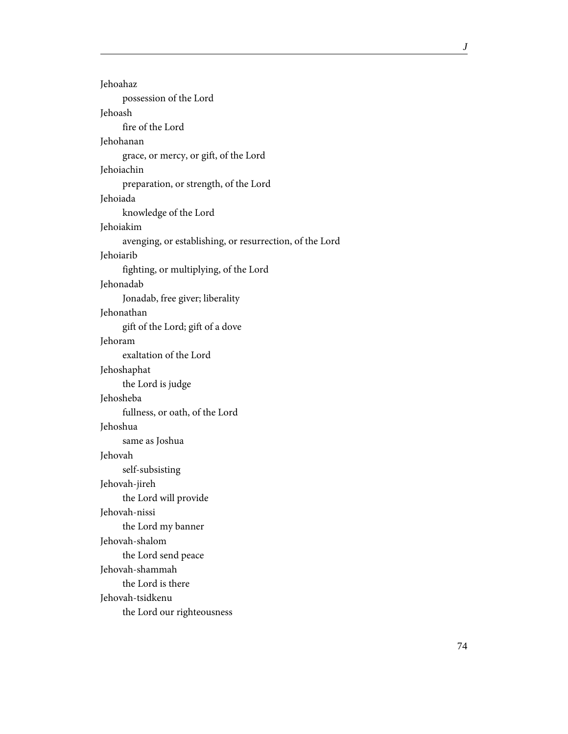| Jehoahaz                                                |
|---------------------------------------------------------|
| possession of the Lord                                  |
| Jehoash                                                 |
| fire of the Lord                                        |
| Jehohanan                                               |
| grace, or mercy, or gift, of the Lord                   |
| Jehoiachin                                              |
| preparation, or strength, of the Lord                   |
| Jehoiada                                                |
| knowledge of the Lord                                   |
| Jehoiakim                                               |
| avenging, or establishing, or resurrection, of the Lord |
| Jehoiarib                                               |
| fighting, or multiplying, of the Lord                   |
| Jehonadab                                               |
| Jonadab, free giver; liberality                         |
| Jehonathan                                              |
| gift of the Lord; gift of a dove                        |
| Jehoram                                                 |
| exaltation of the Lord                                  |
| Jehoshaphat                                             |
| the Lord is judge                                       |
| Jehosheba                                               |
| fullness, or oath, of the Lord                          |
| Jehoshua                                                |
| same as Joshua                                          |
| Jehovah                                                 |
| self-subsisting                                         |
| Jehovah-jireh                                           |
| the Lord will provide                                   |
| Jehovah-nissi                                           |
| the Lord my banner                                      |
| Jehovah-shalom                                          |
| the Lord send peace                                     |
| Jehovah-shammah                                         |
| the Lord is there                                       |
| Jehovah-tsidkenu                                        |
| the Lord our righteousness                              |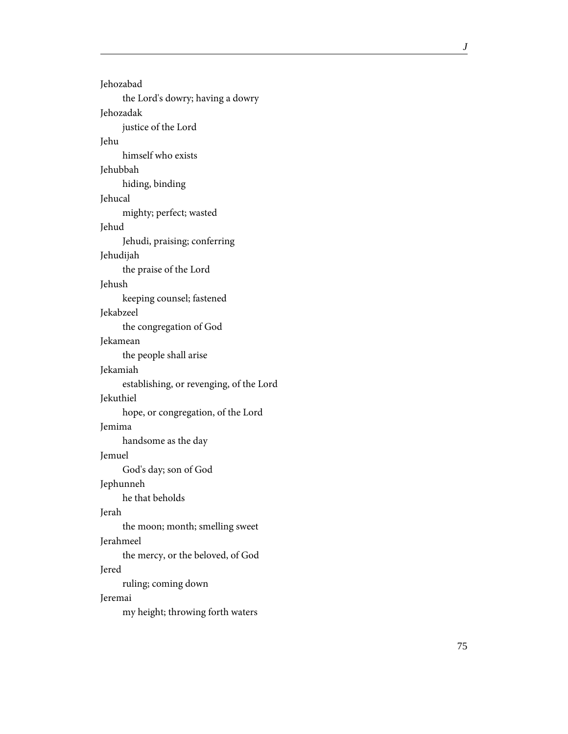| Jehozabad                               |
|-----------------------------------------|
| the Lord's dowry; having a dowry        |
| Jehozadak                               |
| justice of the Lord                     |
| Jehu                                    |
| himself who exists                      |
| Jehubbah                                |
| hiding, binding                         |
| Jehucal                                 |
| mighty; perfect; wasted                 |
| Jehud                                   |
| Jehudi, praising; conferring            |
| Jehudijah                               |
| the praise of the Lord                  |
| Jehush                                  |
| keeping counsel; fastened               |
| Jekabzeel                               |
| the congregation of God                 |
| Jekamean                                |
| the people shall arise                  |
| Jekamiah                                |
| establishing, or revenging, of the Lord |
| Jekuthiel                               |
| hope, or congregation, of the Lord      |
| Jemima                                  |
| handsome as the day                     |
| Jemuel                                  |
| God's day; son of God                   |
| Jephunneh                               |
| he that beholds                         |
| Jerah                                   |
| the moon; month; smelling sweet         |
| Jerahmeel                               |
| the mercy, or the beloved, of God       |
| Jered                                   |
| ruling; coming down                     |
| Jeremai                                 |
| my height; throwing forth waters        |
|                                         |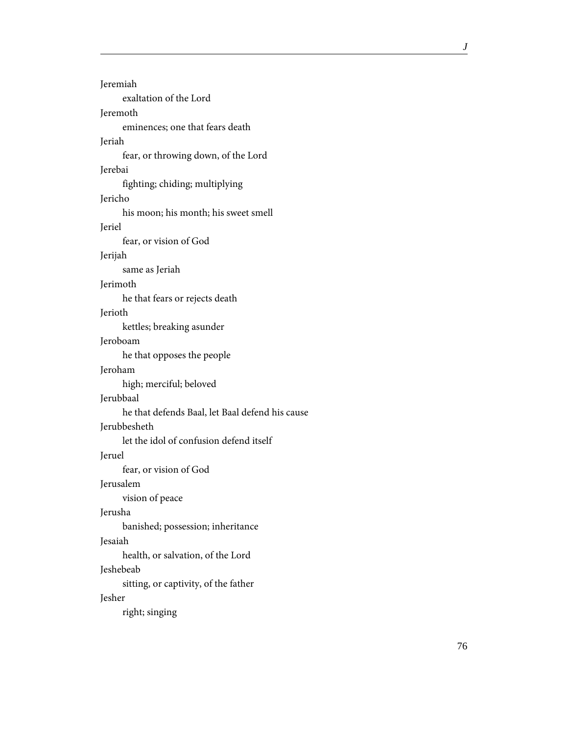| <b>Jeremiah</b>                                 |
|-------------------------------------------------|
| exaltation of the Lord                          |
| Jeremoth                                        |
| eminences; one that fears death                 |
| Jeriah                                          |
| fear, or throwing down, of the Lord             |
| Jerebai                                         |
| fighting; chiding; multiplying                  |
| Jericho                                         |
| his moon; his month; his sweet smell            |
| Jeriel                                          |
| fear, or vision of God                          |
| Jerijah                                         |
| same as Jeriah                                  |
| Jerimoth                                        |
| he that fears or rejects death                  |
| Jerioth                                         |
| kettles; breaking asunder                       |
| Jeroboam                                        |
| he that opposes the people                      |
| Jeroham                                         |
| high; merciful; beloved                         |
| Jerubbaal                                       |
| he that defends Baal, let Baal defend his cause |
| Jerubbesheth                                    |
| let the idol of confusion defend itself         |
| Jeruel                                          |
| fear, or vision of God                          |
| Jerusalem                                       |
| vision of peace                                 |
| Jerusha                                         |
| banished; possession; inheritance               |
| Jesaiah                                         |
| health, or salvation, of the Lord               |
| Jeshebeab                                       |
| sitting, or captivity, of the father            |
| Jesher                                          |
| right; singing                                  |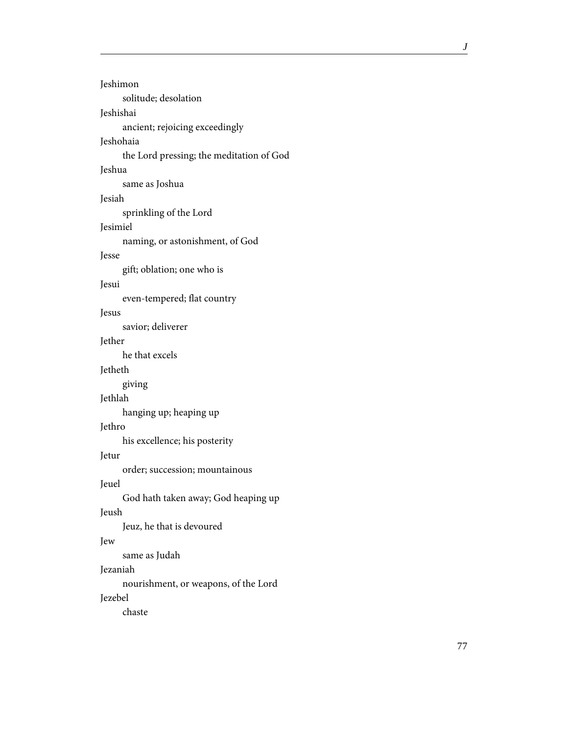| Jeshimon                                 |
|------------------------------------------|
| solitude; desolation                     |
| Jeshishai                                |
| ancient; rejoicing exceedingly           |
| Jeshohaia                                |
| the Lord pressing; the meditation of God |
| Jeshua                                   |
| same as Joshua                           |
| Jesiah                                   |
| sprinkling of the Lord                   |
| Jesimiel                                 |
| naming, or astonishment, of God          |
| Jesse                                    |
| gift; oblation; one who is               |
| Jesui                                    |
| even-tempered; flat country              |
| Jesus                                    |
| savior; deliverer                        |
| Jether                                   |
| he that excels                           |
| Jetheth                                  |
| giving                                   |
| Jethlah                                  |
| hanging up; heaping up                   |
| Jethro                                   |
| his excellence; his posterity            |
| Jetur                                    |
| order; succession; mountainous           |
| Jeuel                                    |
| God hath taken away; God heaping up      |
| Jeush                                    |
| Jeuz, he that is devoured                |
| Jew                                      |
| same as Judah                            |
| Jezaniah                                 |
| nourishment, or weapons, of the Lord     |
| Jezebel                                  |
| chaste                                   |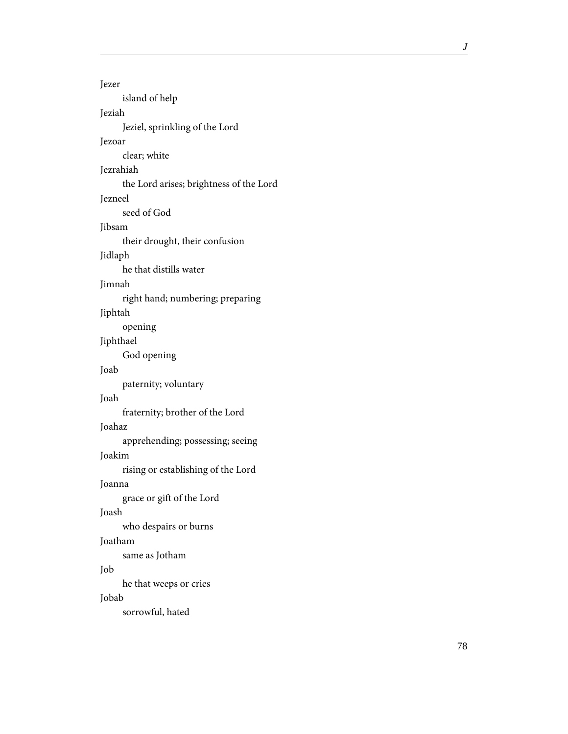Jezer island of help Jeziah Jeziel, sprinkling of the Lord Jezoar clear; white Jezrahiah the Lord arises; brightness of the Lord Jezneel seed of God Jibsam their drought, their confusion Jidlaph he that distills water Jimnah right hand; numbering; preparing Jiphtah opening Jiphthael God opening Joab paternity; voluntary Joah fraternity; brother of the Lord Joahaz apprehending; possessing; seeing Joakim rising or establishing of the Lord Joanna grace or gift of the Lord Joash who despairs or burns Joatham same as Jotham Job he that weeps or cries Jobab sorrowful, hated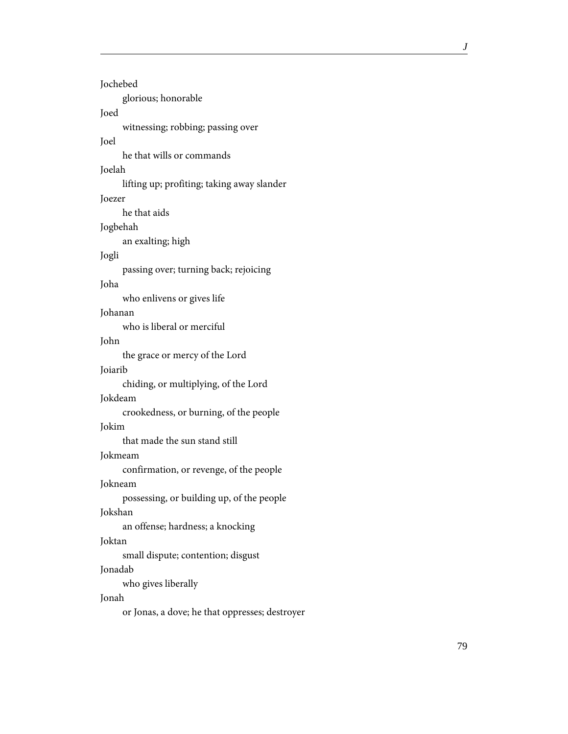| Jochebed                                   |
|--------------------------------------------|
| glorious; honorable                        |
| Joed                                       |
| witnessing; robbing; passing over          |
| Joel                                       |
| he that wills or commands                  |
| Joelah                                     |
| lifting up; profiting; taking away slander |
| Joezer                                     |
| he that aids                               |
| Jogbehah                                   |
| an exalting; high                          |
| Jogli                                      |
| passing over; turning back; rejoicing      |
| Joha                                       |
| who enlivens or gives life                 |
| Johanan                                    |
| who is liberal or merciful                 |
| John                                       |
| the grace or mercy of the Lord             |
| Joiarib                                    |
| chiding, or multiplying, of the Lord       |
| Jokdeam                                    |
| crookedness, or burning, of the people     |
| Jokim                                      |
| that made the sun stand still              |
| Jokmeam                                    |
| confirmation, or revenge, of the people    |
| Jokneam                                    |
| possessing, or building up, of the people  |
| Jokshan                                    |
| an offense; hardness; a knocking           |
| Joktan                                     |
| small dispute; contention; disgust         |
| Jonadab                                    |
| who gives liberally                        |
| Jonah                                      |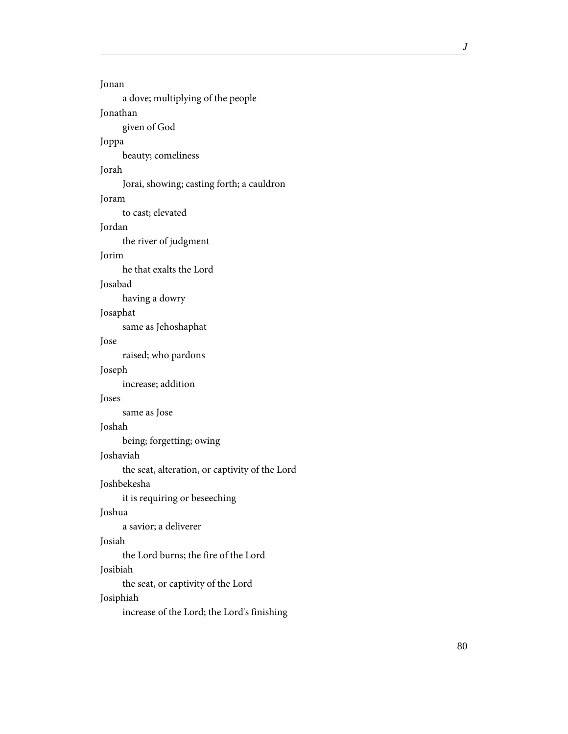Jonan a dove; multiplying of the people Jonathan given of God Joppa beauty; comeliness Jorah Jorai, showing; casting forth; a cauldron Joram to cast; elevated Jordan the river of judgment Jorim he that exalts the Lord Josabad having a dowry Josaphat same as Jehoshaphat Jose raised; who pardons Joseph increase; addition Joses same as Jose Joshah being; forgetting; owing Joshaviah the seat, alteration, or captivity of the Lord Joshbekesha it is requiring or beseeching Joshua a savior; a deliverer Josiah the Lord burns; the fire of the Lord Josibiah the seat, or captivity of the Lord Josiphiah increase of the Lord; the Lord's finishing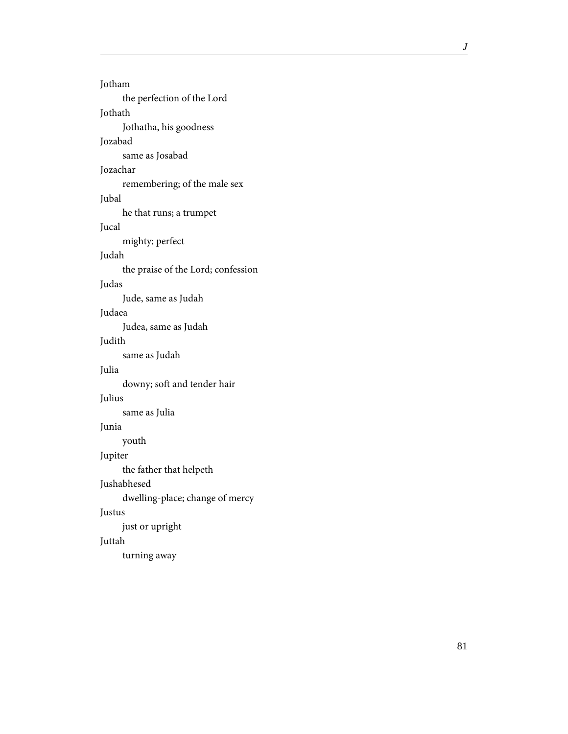Jotham the perfection of the Lord Jothath Jothatha, his goodness Jozabad same as Josabad Jozachar remembering; of the male sex Jubal he that runs; a trumpet Jucal mighty; perfect Judah the praise of the Lord; confession Judas Jude, same as Judah Judaea Judea, same as Judah Judith same as Judah Julia downy; soft and tender hair Julius same as Julia Junia youth Jupiter the father that helpeth Jushabhesed dwelling-place; change of mercy Justus just or upright Juttah turning away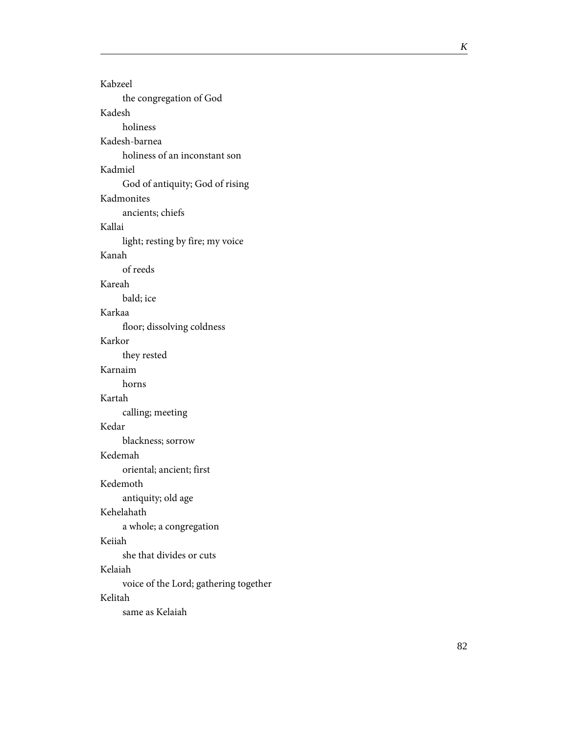Kabzeel the congregation of God Kadesh holiness Kadesh-barnea holiness of an inconstant son Kadmiel God of antiquity; God of rising Kadmonites ancients; chiefs Kallai light; resting by fire; my voice Kanah of reeds Kareah bald; ice Karkaa floor; dissolving coldness Karkor they rested Karnaim horns Kartah calling; meeting Kedar blackness; sorrow Kedemah oriental; ancient; first Kedemoth antiquity; old age Kehelahath a whole; a congregation Keiiah she that divides or cuts Kelaiah voice of the Lord; gathering together Kelitah same as Kelaiah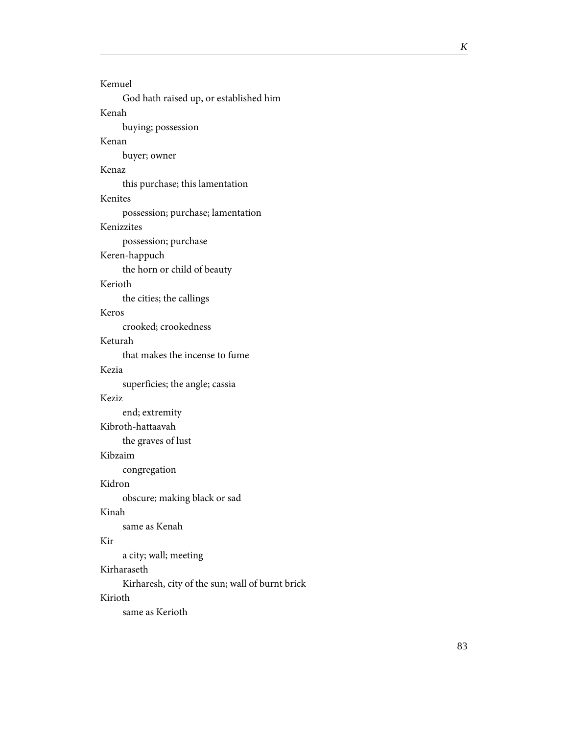| Kemuel                                          |
|-------------------------------------------------|
| God hath raised up, or established him          |
| Kenah                                           |
| buying; possession                              |
| Kenan                                           |
| buyer; owner                                    |
| Kenaz                                           |
| this purchase; this lamentation                 |
| Kenites                                         |
| possession; purchase; lamentation               |
| Kenizzites                                      |
| possession; purchase                            |
| Keren-happuch                                   |
| the horn or child of beauty                     |
| Kerioth                                         |
| the cities; the callings                        |
| Keros                                           |
| crooked; crookedness                            |
| Keturah                                         |
| that makes the incense to fume                  |
| Kezia                                           |
| superficies; the angle; cassia                  |
| Keziz                                           |
| end; extremity                                  |
| Kibroth-hattaavah                               |
| the graves of lust                              |
| Kibzaim                                         |
| congregation                                    |
| Kidron                                          |
| obscure; making black or sad                    |
| Kinah                                           |
| same as Kenah                                   |
| Kir                                             |
| a city; wall; meeting                           |
| Kirharaseth                                     |
| Kirharesh, city of the sun; wall of burnt brick |
| Kirioth                                         |

same as Kerioth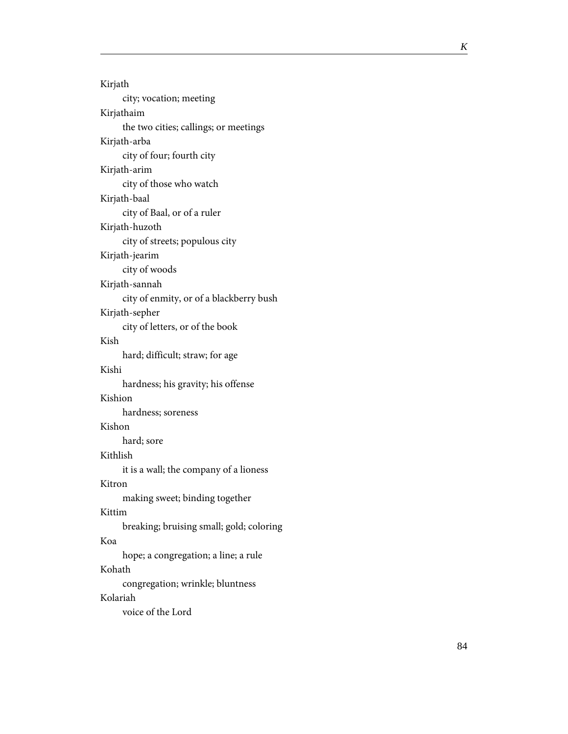| Kirjath                                  |
|------------------------------------------|
| city; vocation; meeting                  |
| Kirjathaim                               |
| the two cities; callings; or meetings    |
| Kirjath-arba                             |
| city of four; fourth city                |
| Kirjath-arim                             |
| city of those who watch                  |
| Kirjath-baal                             |
| city of Baal, or of a ruler              |
| Kirjath-huzoth                           |
| city of streets; populous city           |
| Kirjath-jearim                           |
| city of woods                            |
| Kirjath-sannah                           |
| city of enmity, or of a blackberry bush  |
| Kirjath-sepher                           |
| city of letters, or of the book          |
| Kish                                     |
| hard; difficult; straw; for age          |
| Kishi                                    |
| hardness; his gravity; his offense       |
| Kishion                                  |
| hardness; soreness                       |
| Kishon                                   |
| hard; sore                               |
| Kithlish                                 |
| it is a wall; the company of a lioness   |
| Kitron                                   |
| making sweet; binding together           |
| Kittim                                   |
| breaking; bruising small; gold; coloring |
| Koa                                      |
| hope; a congregation; a line; a rule     |
| Kohath                                   |
| congregation; wrinkle; bluntness         |
| Kolariah                                 |
| voice of the Lord                        |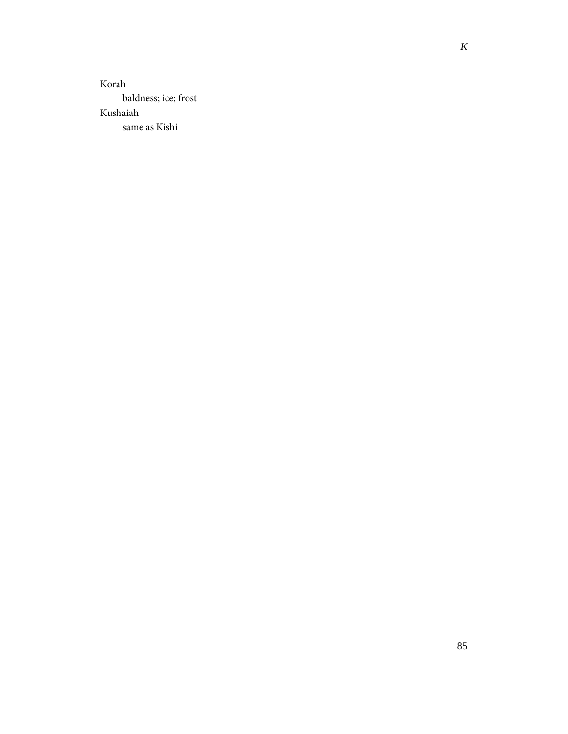Korah baldness; ice; frost Kushaiah same as Kishi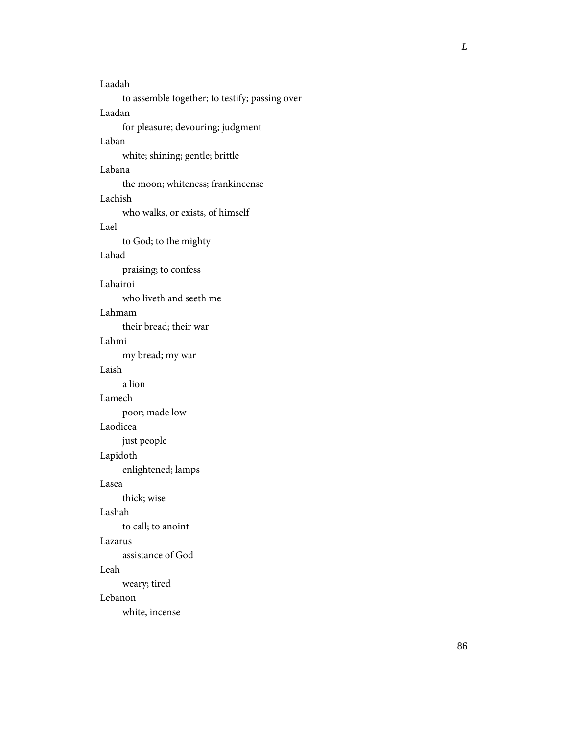Laadah to assemble together; to testify; passing over Laadan for pleasure; devouring; judgment Laban white; shining; gentle; brittle Labana the moon; whiteness; frankincense Lachish who walks, or exists, of himself Lael to God; to the mighty Lahad praising; to confess Lahairoi who liveth and seeth me Lahmam their bread; their war Lahmi my bread; my war Laish a lion Lamech poor; made low Laodicea just people Lapidoth enlightened; lamps Lasea thick; wise Lashah to call; to anoint Lazarus assistance of God Leah weary; tired Lebanon white, incense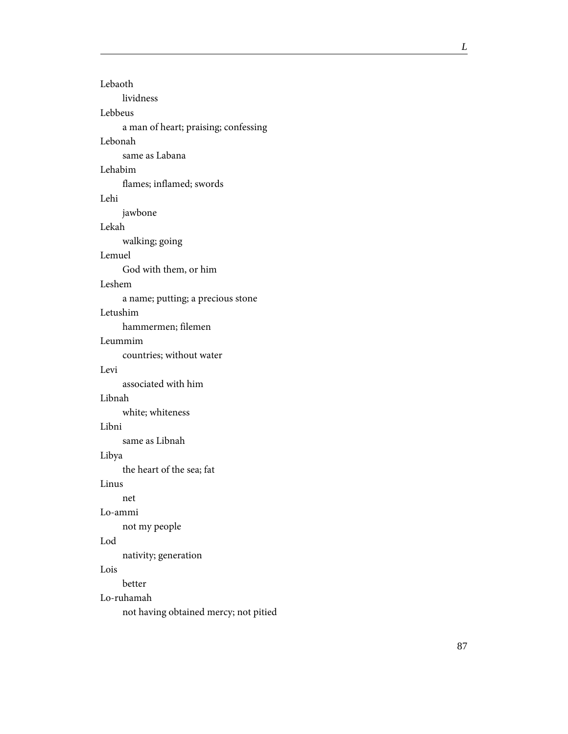| Lebaoth                               |
|---------------------------------------|
| lividness                             |
| Lebbeus                               |
| a man of heart; praising; confessing  |
| Lebonah                               |
| same as Labana                        |
| Lehabim                               |
| flames; inflamed; swords              |
| Lehi                                  |
| jawbone                               |
| Lekah                                 |
| walking; going                        |
| Lemuel                                |
| God with them, or him                 |
| Leshem                                |
| a name; putting; a precious stone     |
| Letushim                              |
| hammermen; filemen                    |
| Leummim                               |
| countries; without water              |
| Levi                                  |
| associated with him                   |
| Libnah                                |
| white; whiteness                      |
| Libni                                 |
| same as Libnah                        |
| Libya                                 |
| the heart of the sea; fat             |
| Linus                                 |
| net                                   |
| Lo-ammi                               |
| not my people                         |
| Lod                                   |
| nativity; generation                  |
| Lois                                  |
| better                                |
| Lo-ruhamah                            |
| not having obtained mercy; not pitied |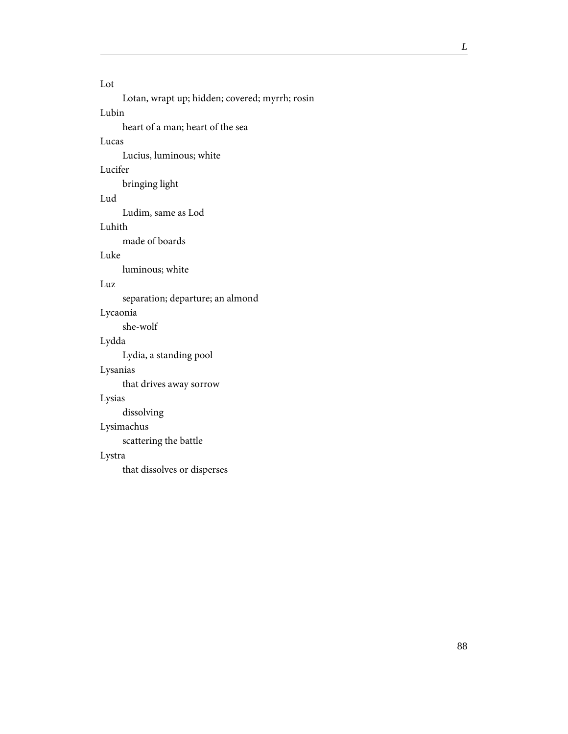#### Lot

Lotan, wrapt up; hidden; covered; myrrh; rosin

# Lubin

heart of a man; heart of the sea

### Lucas

Lucius, luminous; white

### Lucifer

bringing light

# Lud

Ludim, same as Lod

#### Luhith

made of boards

### Luke

luminous; white

### Luz

separation; departure; an almond

#### Lycaonia

she-wolf

# Lydda

Lydia, a standing pool

#### Lysanias

that drives away sorrow

#### Lysias

dissolving

# Lysimachus

scattering the battle

#### Lystra

that dissolves or disperses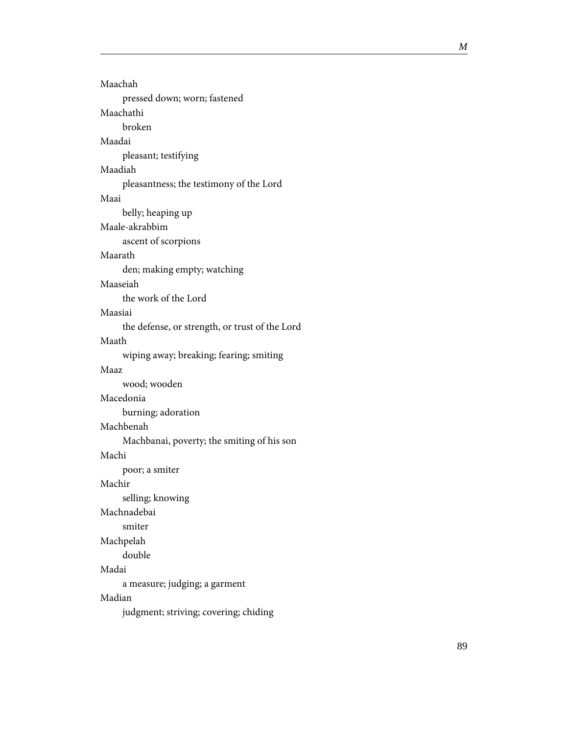| Maachah                                        |
|------------------------------------------------|
| pressed down; worn; fastened                   |
| Maachathi                                      |
| broken                                         |
| Maadai                                         |
| pleasant; testifying                           |
| Maadiah                                        |
| pleasantness; the testimony of the Lord        |
| Maai                                           |
| belly; heaping up                              |
| Maale-akrabbim                                 |
| ascent of scorpions                            |
| Maarath                                        |
| den; making empty; watching                    |
| Maaseiah                                       |
| the work of the Lord                           |
| Maasiai                                        |
| the defense, or strength, or trust of the Lord |
| Maath                                          |
| wiping away; breaking; fearing; smiting        |
| Maaz                                           |
| wood; wooden                                   |
| Macedonia                                      |
| burning; adoration                             |
| Machbenah                                      |
| Machbanai, poverty; the smiting of his son     |
| Machi                                          |
| poor; a smiter                                 |
|                                                |
| Machir                                         |
| selling; knowing                               |
| Machnadebai                                    |
| smiter                                         |
| Machpelah                                      |
| double                                         |
| Madai                                          |
| a measure; judging; a garment                  |
| Madian                                         |
|                                                |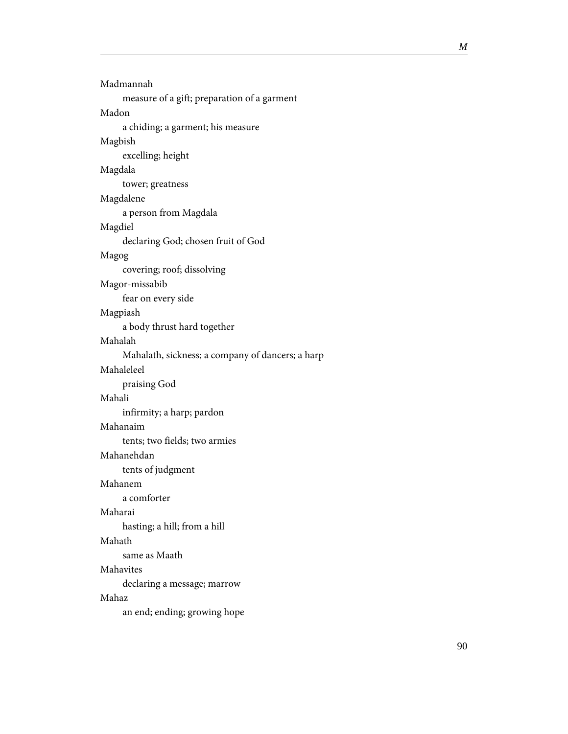| Madmannah                                        |
|--------------------------------------------------|
| measure of a gift; preparation of a garment      |
| Madon                                            |
| a chiding; a garment; his measure                |
| Magbish                                          |
| excelling; height                                |
| Magdala                                          |
| tower; greatness                                 |
| Magdalene                                        |
| a person from Magdala                            |
| Magdiel                                          |
| declaring God; chosen fruit of God               |
| Magog                                            |
| covering; roof; dissolving                       |
| Magor-missabib                                   |
| fear on every side                               |
| Magpiash                                         |
| a body thrust hard together                      |
| Mahalah                                          |
| Mahalath, sickness; a company of dancers; a harp |
| Mahaleleel                                       |
| praising God                                     |
| Mahali                                           |
| infirmity; a harp; pardon                        |
| Mahanaim                                         |
| tents; two fields; two armies                    |
| Mahanehdan                                       |
| tents of judgment                                |
| Mahanem                                          |
| a comforter                                      |
| Maharai                                          |
| hasting; a hill; from a hill                     |
| Mahath                                           |
| same as Maath                                    |
| Mahavites                                        |
| declaring a message; marrow                      |
| Mahaz                                            |
| an end; ending; growing hope                     |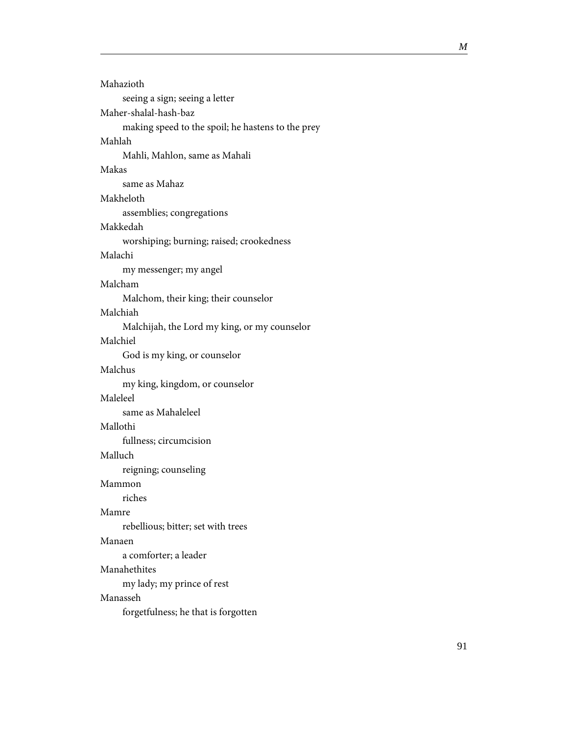| Mahazioth                                         |
|---------------------------------------------------|
| seeing a sign; seeing a letter                    |
| Maher-shalal-hash-baz                             |
| making speed to the spoil; he hastens to the prey |
| Mahlah                                            |
| Mahli, Mahlon, same as Mahali                     |
| Makas                                             |
| same as Mahaz                                     |
| Makheloth                                         |
| assemblies; congregations                         |
| Makkedah                                          |
| worshiping; burning; raised; crookedness          |
| Malachi                                           |
| my messenger; my angel                            |
| Malcham                                           |
| Malchom, their king; their counselor              |
| Malchiah                                          |
| Malchijah, the Lord my king, or my counselor      |
| Malchiel                                          |
| God is my king, or counselor                      |
| Malchus                                           |
| my king, kingdom, or counselor                    |
| Maleleel                                          |
| same as Mahaleleel                                |
| Mallothi                                          |
| fullness; circumcision                            |
| Malluch                                           |
| reigning; counseling                              |
| Mammon                                            |
| riches                                            |
| Mamre                                             |
| rebellious; bitter; set with trees                |
| Manaen                                            |
| a comforter; a leader                             |
| Manahethites                                      |
| my lady; my prince of rest                        |
| Manasseh                                          |
| forgetfulness; he that is forgotten               |
|                                                   |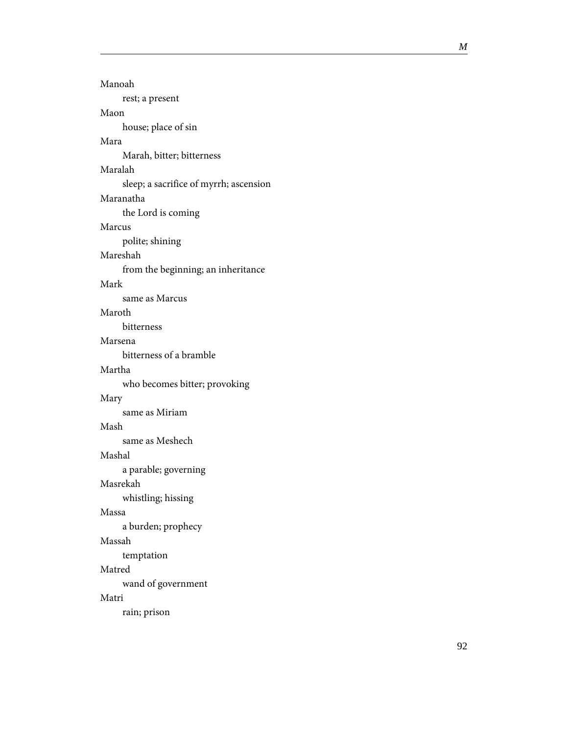| Manoah                                 |
|----------------------------------------|
| rest; a present                        |
| Maon                                   |
| house; place of sin                    |
| Mara                                   |
| Marah, bitter; bitterness              |
| Maralah                                |
| sleep; a sacrifice of myrrh; ascension |
| Maranatha                              |
| the Lord is coming                     |
| Marcus                                 |
| polite; shining                        |
| Mareshah                               |
| from the beginning; an inheritance     |
| Mark                                   |
| same as Marcus                         |
| Maroth                                 |
| <b>bitterness</b>                      |
| Marsena                                |
| bitterness of a bramble                |
| Martha                                 |
| who becomes bitter; provoking          |
| Mary                                   |
| same as Miriam                         |
| Mash                                   |
| same as Meshech                        |
| Mashal                                 |
| a parable; governing                   |
| Masrekah                               |
| whistling; hissing                     |
| Massa                                  |
| a burden; prophecy                     |
| Massah                                 |
| temptation                             |
| Matred                                 |
| wand of government                     |
| Matri                                  |
| rain; prison                           |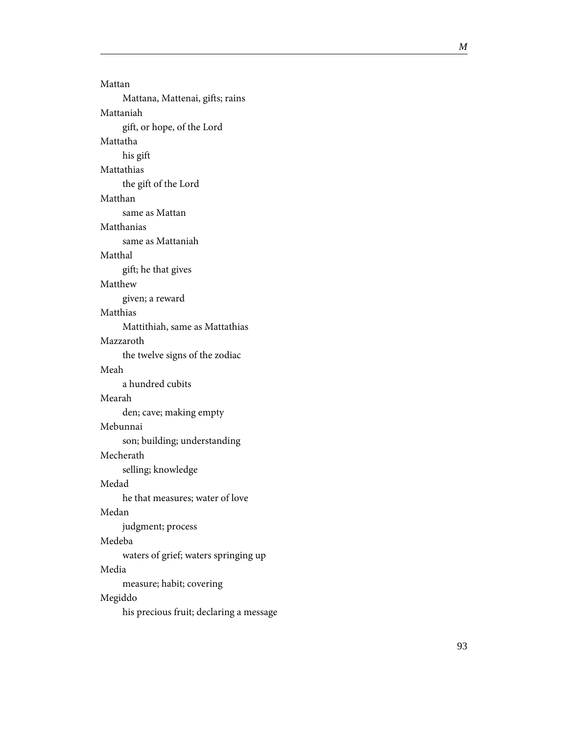Mattan Mattana, Mattenai, gifts; rains Mattaniah gift, or hope, of the Lord Mattatha his gift Mattathias the gift of the Lord Matthan same as Mattan Matthanias same as Mattaniah Matthal gift; he that gives Matthew given; a reward Matthias Mattithiah, same as Mattathias Mazzaroth the twelve signs of the zodiac Meah a hundred cubits Mearah den; cave; making empty Mebunnai son; building; understanding Mecherath selling; knowledge Medad he that measures; water of love Medan judgment; process Medeba waters of grief; waters springing up Media measure; habit; covering Megiddo his precious fruit; declaring a message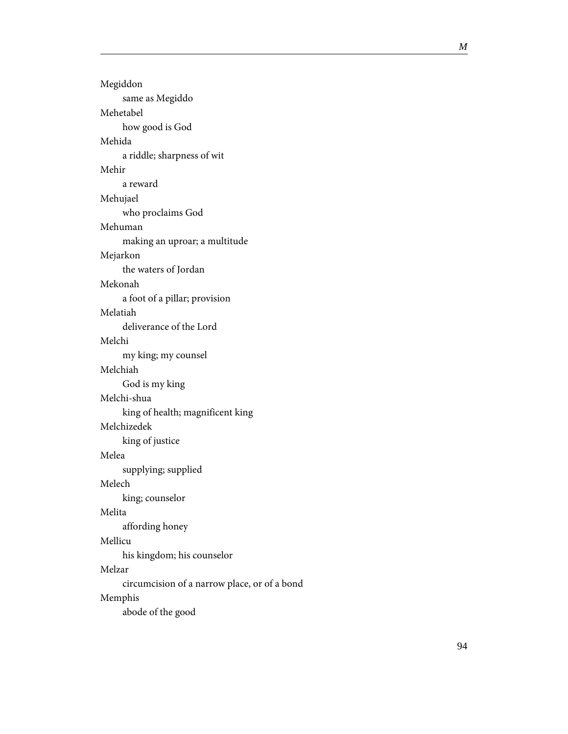| Megiddon                                     |
|----------------------------------------------|
| same as Megiddo                              |
| Mehetabel                                    |
| how good is God                              |
| Mehida                                       |
| a riddle; sharpness of wit                   |
| Mehir                                        |
| a reward                                     |
| Mehujael                                     |
| who proclaims God                            |
| Mehuman                                      |
| making an uproar; a multitude                |
| Mejarkon                                     |
| the waters of Jordan                         |
| Mekonah                                      |
| a foot of a pillar; provision                |
| Melatiah                                     |
| deliverance of the Lord                      |
| Melchi                                       |
| my king; my counsel                          |
| Melchiah                                     |
| God is my king                               |
| Melchi-shua                                  |
| king of health; magnificent king             |
| Melchizedek                                  |
| king of justice                              |
| Melea                                        |
| supplying; supplied<br>Melech                |
|                                              |
| king; counselor<br>Melita                    |
|                                              |
| affording honey<br>Mellicu                   |
| his kingdom; his counselor                   |
| Melzar                                       |
| circumcision of a narrow place, or of a bond |
| Memphis                                      |
| abode of the good                            |
|                                              |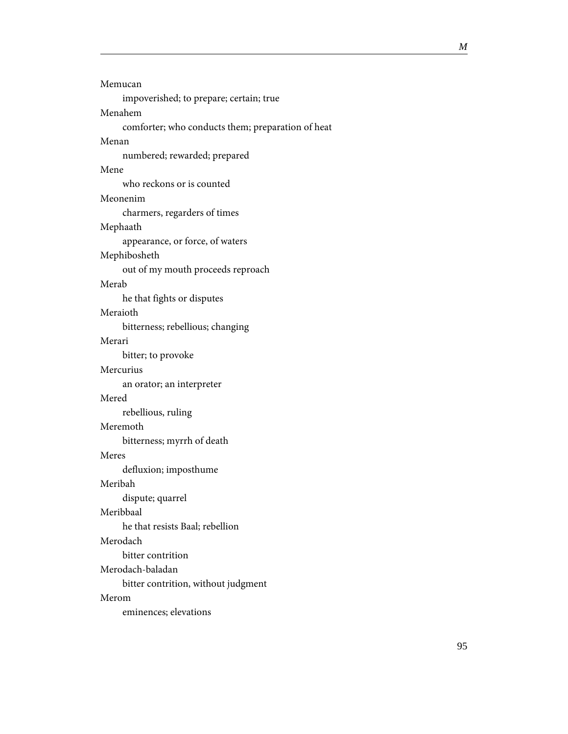| Memucan                                           |
|---------------------------------------------------|
| impoverished; to prepare; certain; true           |
| Menahem                                           |
| comforter; who conducts them; preparation of heat |
| Menan                                             |
| numbered; rewarded; prepared                      |
| Mene                                              |
| who reckons or is counted                         |
| Meonenim                                          |
| charmers, regarders of times                      |
| Mephaath                                          |
| appearance, or force, of waters                   |
| Mephibosheth                                      |
| out of my mouth proceeds reproach                 |
| Merab                                             |
| he that fights or disputes                        |
| Meraioth                                          |
| bitterness; rebellious; changing                  |
| Merari                                            |
| bitter; to provoke                                |
| Mercurius                                         |
| an orator; an interpreter                         |
| Mered                                             |
| rebellious, ruling                                |
| Meremoth                                          |
| bitterness; myrrh of death                        |
| Meres                                             |
| defluxion; imposthume                             |
| Meribah                                           |
| dispute; quarrel                                  |
| Meribbaal                                         |
| he that resists Baal; rebellion                   |
| Merodach                                          |
| bitter contrition                                 |
| Merodach-baladan                                  |
| bitter contrition, without judgment               |
| Merom                                             |
| eminences; elevations                             |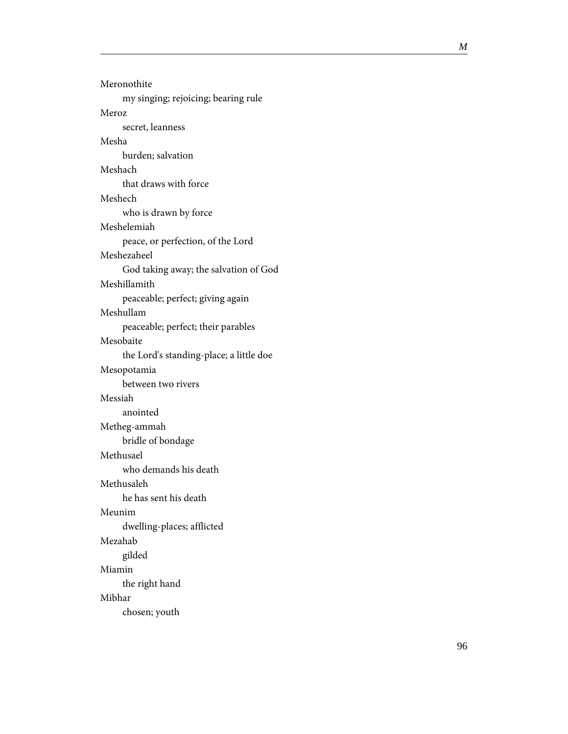| Meronothite                             |
|-----------------------------------------|
| my singing; rejoicing; bearing rule     |
| Meroz                                   |
| secret, leanness                        |
| Mesha                                   |
| burden; salvation                       |
| Meshach                                 |
| that draws with force                   |
| Meshech                                 |
| who is drawn by force                   |
| Meshelemiah                             |
| peace, or perfection, of the Lord       |
| Meshezaheel                             |
| God taking away; the salvation of God   |
| Meshillamith                            |
| peaceable; perfect; giving again        |
| Meshullam                               |
| peaceable; perfect; their parables      |
| Mesobaite                               |
| the Lord's standing-place; a little doe |
| Mesopotamia                             |
| between two rivers                      |
| Messiah                                 |
| anointed                                |
| Metheg-ammah                            |
| bridle of bondage                       |
| Methusael                               |
| who demands his death                   |
| Methusaleh                              |
| he has sent his death                   |
| Meunim                                  |
| dwelling-places; afflicted              |
| Mezahab                                 |
| gilded                                  |
| Miamin                                  |
| the right hand                          |
| Mibhar                                  |
| chosen; youth                           |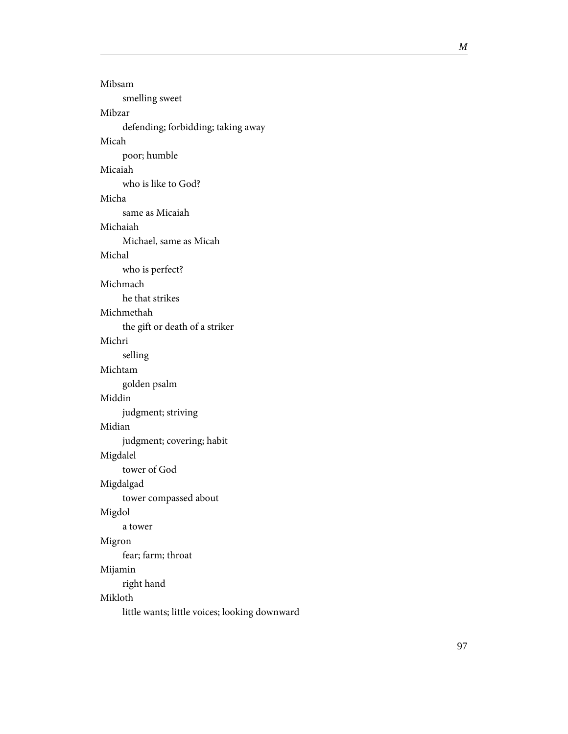Mibsam smelling sweet Mibzar defending; forbidding; taking away Micah poor; humble Micaiah who is like to God? Micha same as Micaiah Michaiah Michael, same as Micah Michal who is perfect? Michmach he that strikes Michmethah the gift or death of a striker Michri selling Michtam golden psalm Middin judgment; striving Midian judgment; covering; habit Migdalel tower of God Migdalgad tower compassed about Migdol a tower Migron fear; farm; throat Mijamin right hand Mikloth little wants; little voices; looking downward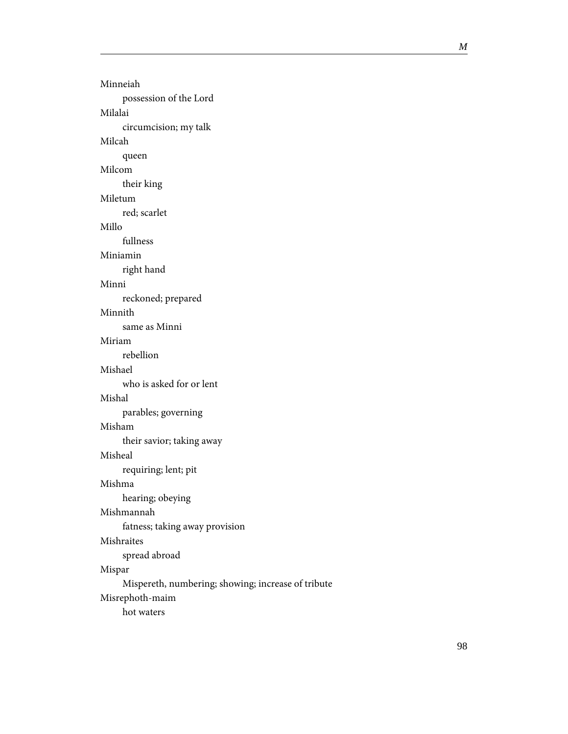Minneiah possession of the Lord Milalai circumcision; my talk Milcah queen Milcom their king Miletum red; scarlet Millo fullness Miniamin right hand Minni reckoned; prepared Minnith same as Minni Miriam rebellion Mishael who is asked for or lent Mishal parables; governing Misham their savior; taking away Misheal requiring; lent; pit Mishma hearing; obeying Mishmannah fatness; taking away provision Mishraites spread abroad Mispar Mispereth, numbering; showing; increase of tribute Misrephoth-maim hot waters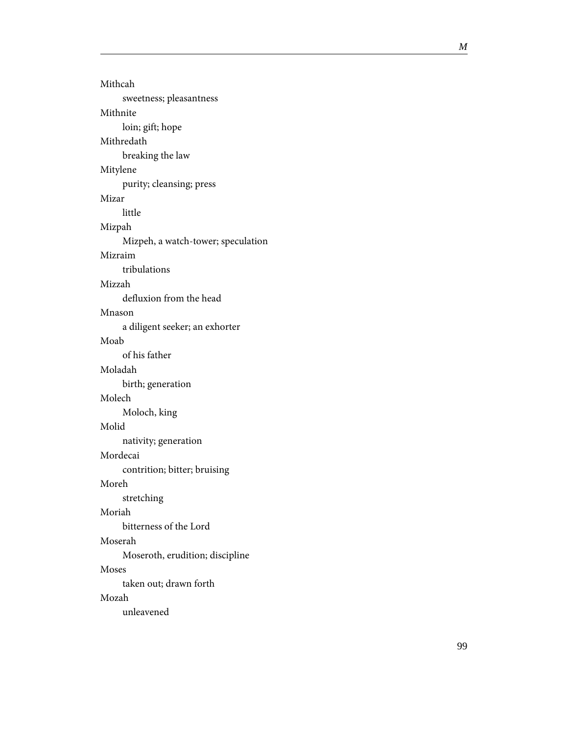| Mithcah                            |
|------------------------------------|
| sweetness; pleasantness            |
| Mithnite                           |
| loin; gift; hope                   |
| Mithredath                         |
| breaking the law                   |
| Mitylene                           |
| purity; cleansing; press           |
| Mizar                              |
| little                             |
| Mizpah                             |
| Mizpeh, a watch-tower; speculation |
| Mizraim                            |
| tribulations                       |
| Mizzah                             |
| defluxion from the head            |
| Mnason                             |
| a diligent seeker; an exhorter     |
| Moab                               |
| of his father                      |
| Moladah                            |
| birth; generation                  |
| Molech                             |
| Moloch, king                       |
| Molid                              |
| nativity; generation               |
| Mordecai                           |
| contrition; bitter; bruising       |
| Moreh                              |
| stretching                         |
| Moriah                             |
| bitterness of the Lord             |
| Moserah                            |
| Moseroth, erudition; discipline    |
| Moses                              |
| taken out; drawn forth             |
| Mozah                              |
| unleavened                         |
|                                    |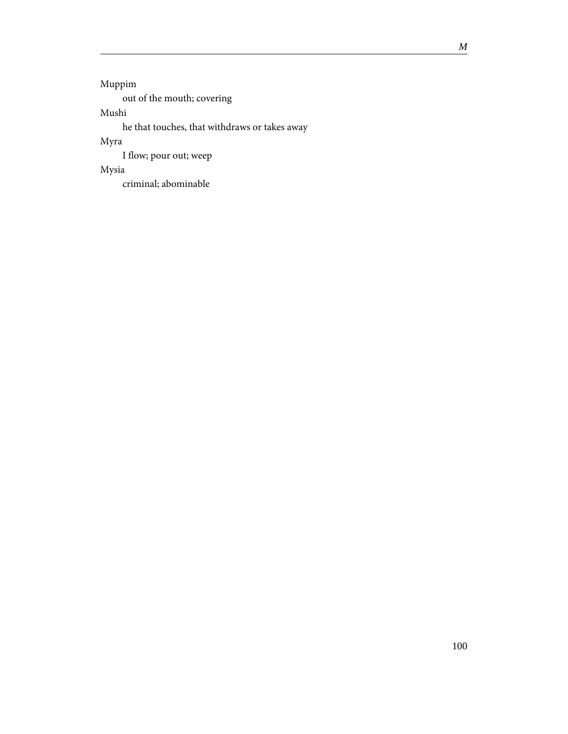Muppim out of the mouth; covering Mushi

he that touches, that withdraws or takes away

Myra

I flow; pour out; weep

Mysia

criminal; abominable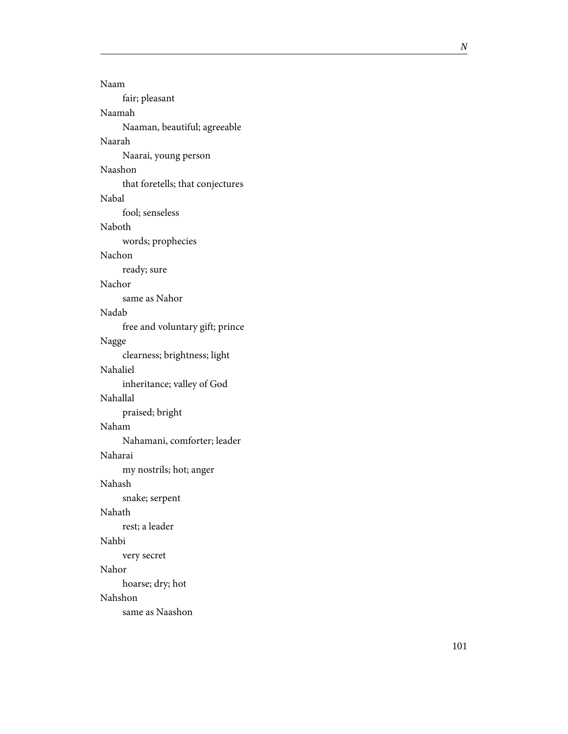| Naam                             |
|----------------------------------|
| fair; pleasant                   |
| Naamah                           |
| Naaman, beautiful; agreeable     |
| Naarah                           |
| Naarai, young person             |
| Naashon                          |
| that foretells; that conjectures |
| Nabal                            |
| fool; senseless                  |
| Naboth                           |
| words; prophecies                |
| Nachon                           |
| ready; sure                      |
| Nachor                           |
| same as Nahor                    |
| Nadah                            |
| free and voluntary gift; prince  |
| Nagge                            |
| clearness; brightness; light     |
| Nahaliel                         |
| inheritance; valley of God       |
| Nahallal                         |
| praised; bright                  |
| Naham                            |
| Nahamani, comforter; leader      |
| Naharai                          |
| my nostrils; hot; anger          |
| Nahash                           |
| snake; serpent                   |
| Nahath                           |
| rest; a leader                   |
| Nahbi                            |
| very secret                      |
| Nahor                            |
| hoarse; dry; hot                 |
| Nahshon                          |
| same as Naashon                  |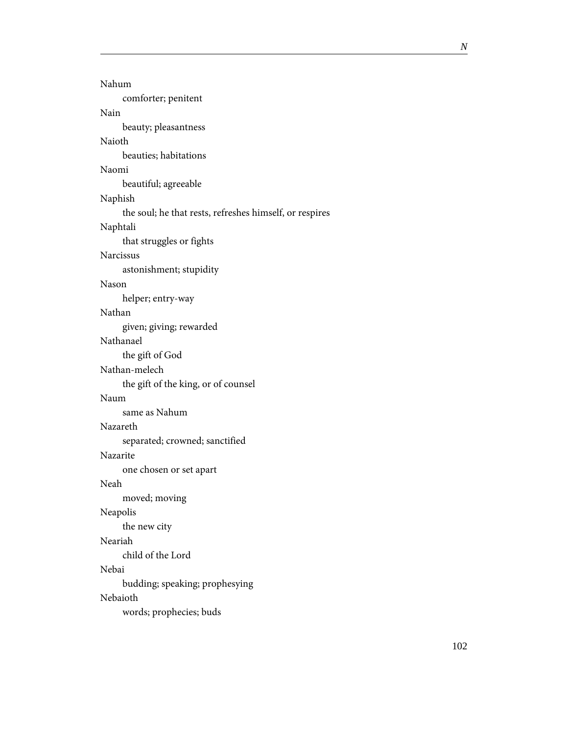| Nahum                                                   |
|---------------------------------------------------------|
| comforter; penitent                                     |
| Nain                                                    |
| beauty; pleasantness                                    |
| Naioth                                                  |
| beauties; habitations                                   |
| Naomi                                                   |
| beautiful; agreeable                                    |
| Naphish                                                 |
| the soul; he that rests, refreshes himself, or respires |
| Naphtali                                                |
| that struggles or fights                                |
| <b>Narcissus</b>                                        |
| astonishment; stupidity                                 |
| Nason                                                   |
| helper; entry-way                                       |
| Nathan                                                  |
| given; giving; rewarded                                 |
| Nathanael                                               |
| the gift of God                                         |
| Nathan-melech                                           |
| the gift of the king, or of counsel                     |
| Naum                                                    |
| same as Nahum                                           |
| Nazareth                                                |
| separated; crowned; sanctified                          |
| Nazarite                                                |
| one chosen or set apart                                 |
| Neah                                                    |
| moved; moving                                           |
| Neapolis                                                |
| the new city                                            |
| Neariah                                                 |
| child of the Lord                                       |
| Nebai                                                   |
| budding; speaking; prophesying                          |
| Nebaioth                                                |
| words; prophecies; buds                                 |
|                                                         |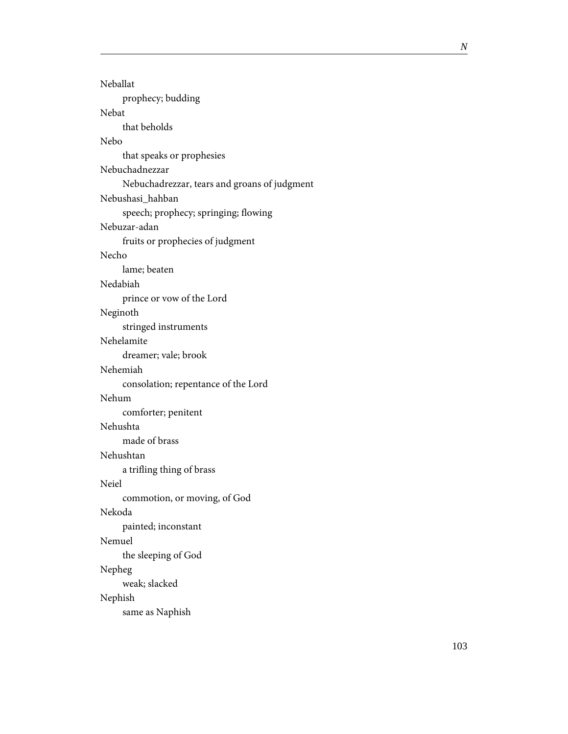| Neballat                                     |
|----------------------------------------------|
| prophecy; budding                            |
| Nebat                                        |
| that beholds                                 |
| Nebo                                         |
| that speaks or prophesies                    |
| Nebuchadnezzar                               |
| Nebuchadrezzar, tears and groans of judgment |
| Nebushasi_hahban                             |
| speech; prophecy; springing; flowing         |
| Nebuzar-adan                                 |
| fruits or prophecies of judgment             |
| Necho                                        |
| lame; beaten                                 |
| Nedabiah                                     |
| prince or vow of the Lord                    |
| Neginoth                                     |
| stringed instruments                         |
| Nehelamite                                   |
| dreamer; vale; brook                         |
| Nehemiah                                     |
| consolation; repentance of the Lord          |
| Nehum                                        |
| comforter; penitent                          |
| Nehushta                                     |
| made of brass                                |
| Nehushtan                                    |
| a trifling thing of brass                    |
| Neiel                                        |
| commotion, or moving, of God                 |
| Nekoda                                       |
| painted; inconstant                          |
| Nemuel                                       |
| the sleeping of God                          |
| Nepheg                                       |
| weak; slacked                                |
| Nephish                                      |
| same as Naphish                              |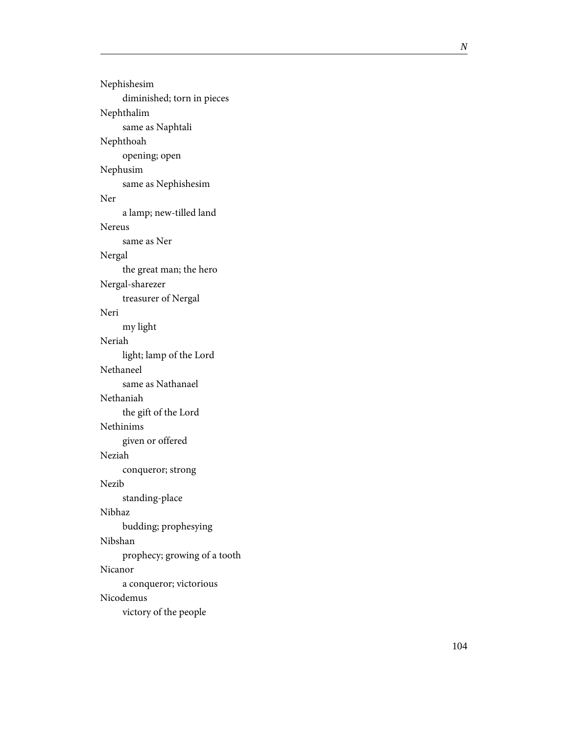Nephishesim diminished; torn in pieces Nephthalim same as Naphtali Nephthoah opening; open Nephusim same as Nephishesim Ner a lamp; new-tilled land Nereus same as Ner Nergal the great man; the hero Nergal-sharezer treasurer of Nergal Neri my light Neriah light; lamp of the Lord Nethaneel same as Nathanael Nethaniah the gift of the Lord Nethinims given or offered Neziah conqueror; strong Nezib standing-place Nibhaz budding; prophesying Nibshan prophecy; growing of a tooth Nicanor a conqueror; victorious Nicodemus victory of the people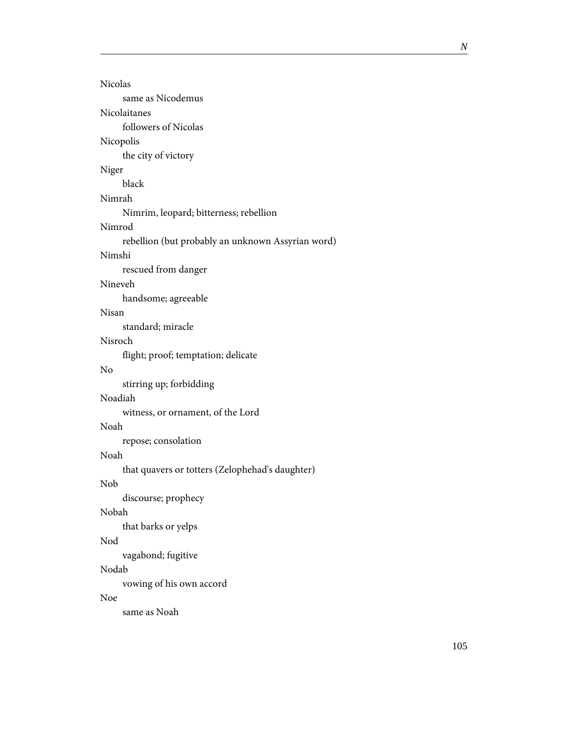| <b>Nicolas</b>                                    |
|---------------------------------------------------|
| same as Nicodemus                                 |
| Nicolaitanes                                      |
| followers of Nicolas                              |
| Nicopolis                                         |
| the city of victory                               |
| Niger                                             |
| black                                             |
| Nimrah                                            |
| Nimrim, leopard; bitterness; rebellion            |
| Nimrod                                            |
| rebellion (but probably an unknown Assyrian word) |
| Nimshi                                            |
| rescued from danger                               |
| Nineveh                                           |
| handsome; agreeable                               |
| Nisan                                             |
| standard; miracle                                 |
| Nisroch                                           |
| flight; proof; temptation; delicate               |
| No                                                |
| stirring up; forbidding                           |
| Noadiah                                           |
| witness, or ornament, of the Lord                 |
| Noah                                              |
| repose; consolation                               |
| Noah                                              |
| that quavers or totters (Zelophehad's daughter)   |
| Nob                                               |
| discourse; prophecy                               |
| Nobah                                             |
| that barks or yelps                               |
| Nod                                               |
| vagabond; fugitive                                |
| Nodab                                             |
| vowing of his own accord                          |
| Noe                                               |
| same as Noah                                      |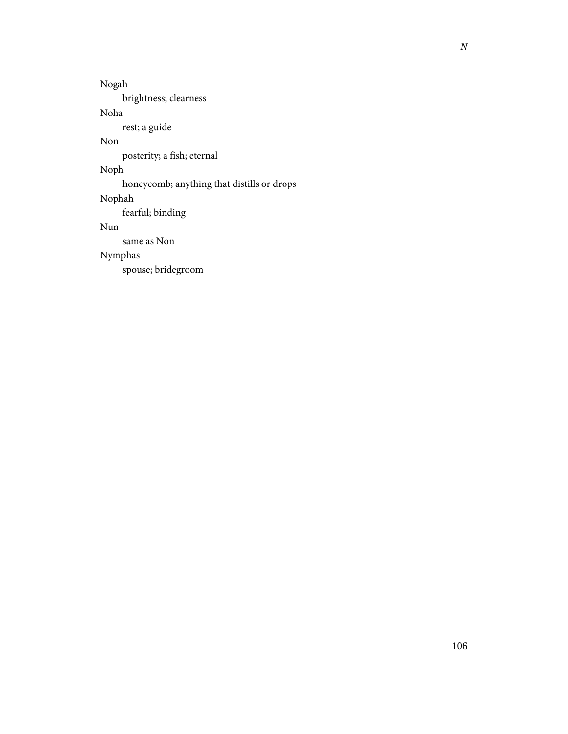Nogah brightness; clearness Noha rest; a guide Non posterity; a fish; eternal Noph honeycomb; anything that distills or drops Nophah fearful; binding Nun same as Non Nymphas spouse; bridegroom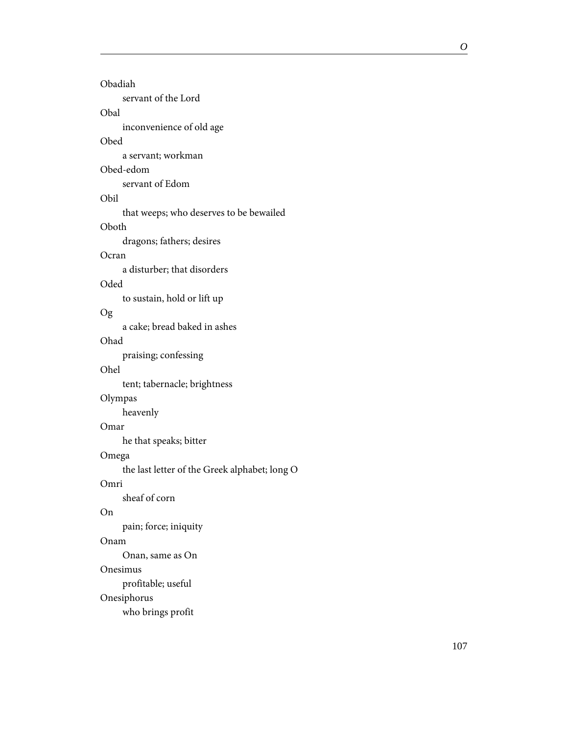| Obadiah                                       |
|-----------------------------------------------|
| servant of the Lord                           |
| Obal                                          |
| inconvenience of old age                      |
| Obed                                          |
| a servant; workman                            |
| Obed-edom                                     |
| servant of Edom                               |
| Obil                                          |
| that weeps; who deserves to be bewailed       |
|                                               |
| Oboth                                         |
| dragons; fathers; desires                     |
| Ocran                                         |
| a disturber; that disorders                   |
| Oded                                          |
| to sustain, hold or lift up                   |
| Og                                            |
| a cake; bread baked in ashes                  |
| Ohad                                          |
| praising; confessing                          |
| Ohel                                          |
| tent; tabernacle; brightness                  |
| Olympas                                       |
|                                               |
| heavenly                                      |
| Omar                                          |
| he that speaks; bitter                        |
| Omega                                         |
| the last letter of the Greek alphabet; long O |
| Omri                                          |
| sheaf of corn                                 |
| On                                            |
| pain; force; iniquity                         |
| Onam                                          |
| Onan, same as On                              |
| Onesimus                                      |
| profitable; useful                            |
|                                               |
| Onesiphorus                                   |
| who brings profit                             |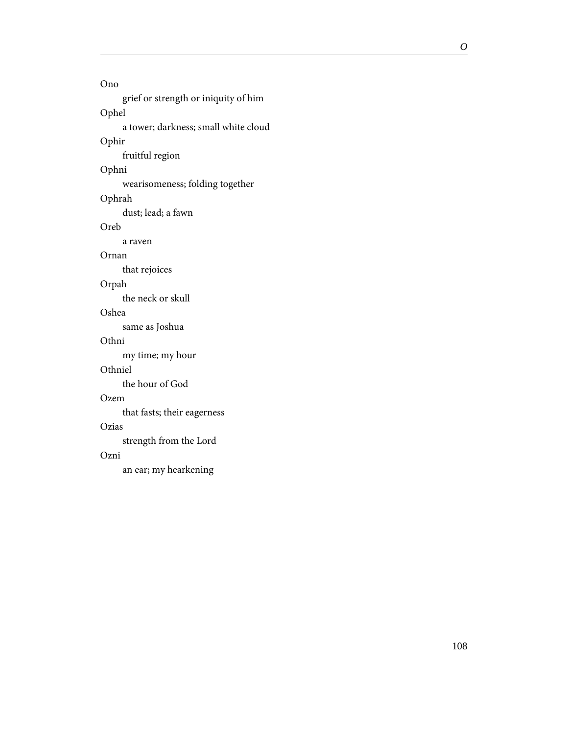Ono grief or strength or iniquity of him Ophel a tower; darkness; small white cloud Ophir fruitful region Ophni wearisomeness; folding together Ophrah dust; lead; a fawn Oreb a raven Ornan that rejoices Orpah the neck or skull Oshea same as Joshua Othni my time; my hour Othniel the hour of God Ozem that fasts; their eagerness Ozias strength from the Lord Ozni an ear; my hearkening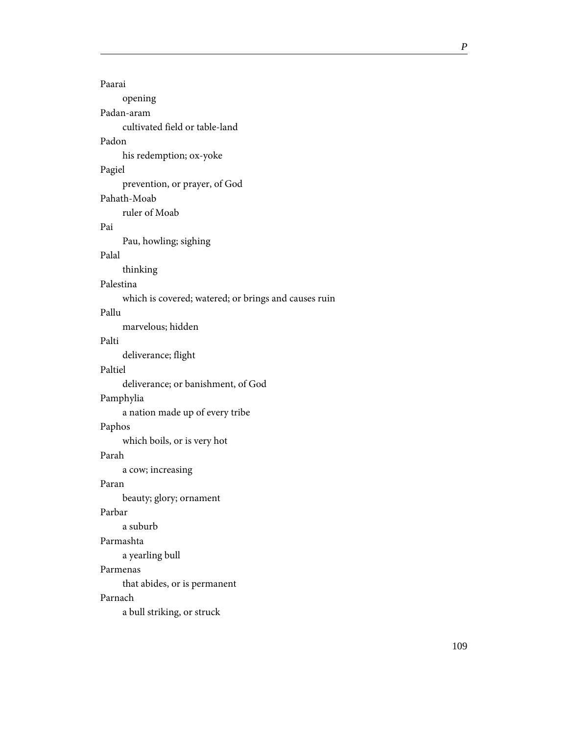| Paarai                                               |
|------------------------------------------------------|
| opening                                              |
| Padan-aram                                           |
| cultivated field or table-land                       |
| Padon                                                |
| his redemption; ox-yoke                              |
| Pagiel                                               |
| prevention, or prayer, of God                        |
| Pahath-Moab                                          |
| ruler of Moab                                        |
| Pai                                                  |
| Pau, howling; sighing                                |
| Palal                                                |
| thinking                                             |
| Palestina                                            |
| which is covered; watered; or brings and causes ruin |
| Pallu                                                |
| marvelous; hidden                                    |
| Palti                                                |
| deliverance; flight                                  |
| Paltiel                                              |
| deliverance; or banishment, of God                   |
| Pamphylia                                            |
| a nation made up of every tribe                      |
| Paphos                                               |
| which boils, or is very hot                          |
| Parah                                                |
| a cow; increasing                                    |
| Paran                                                |
| beauty; glory; ornament                              |
| Parbar                                               |
| a suburb                                             |
| Parmashta                                            |
| a yearling bull                                      |
| Parmenas                                             |
| that abides, or is permanent                         |
| Parnach                                              |
| a bull striking, or struck                           |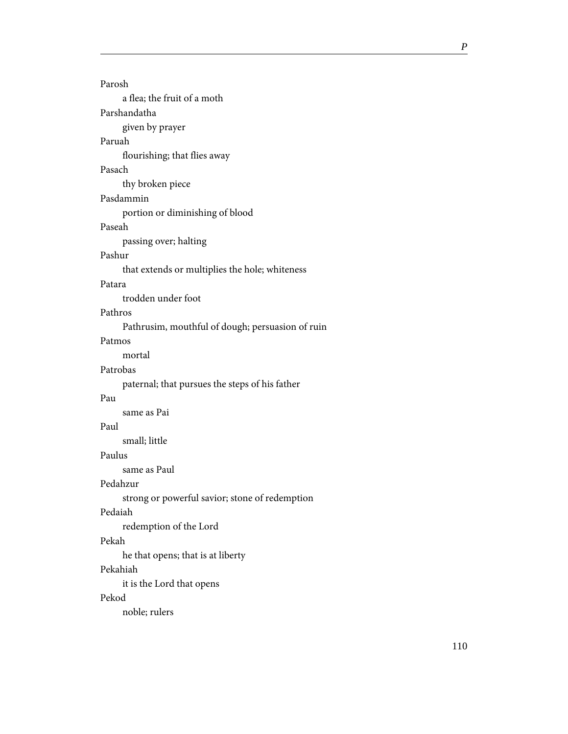Parosh a flea; the fruit of a moth Parshandatha given by prayer Paruah flourishing; that flies away Pasach thy broken piece Pasdammin portion or diminishing of blood Paseah passing over; halting Pashur that extends or multiplies the hole; whiteness trodden under foot Pathros Pathrusim, mouthful of dough; persuasion of ruin Patmos mortal Patrobas paternal; that pursues the steps of his father same as Pai small; little Paulus same as Paul Pedahzur strong or powerful savior; stone of redemption Pedaiah redemption of the Lord he that opens; that is at liberty

## Pekahiah

Pekah

Patara

Pau

Paul

it is the Lord that opens

## Pekod

noble; rulers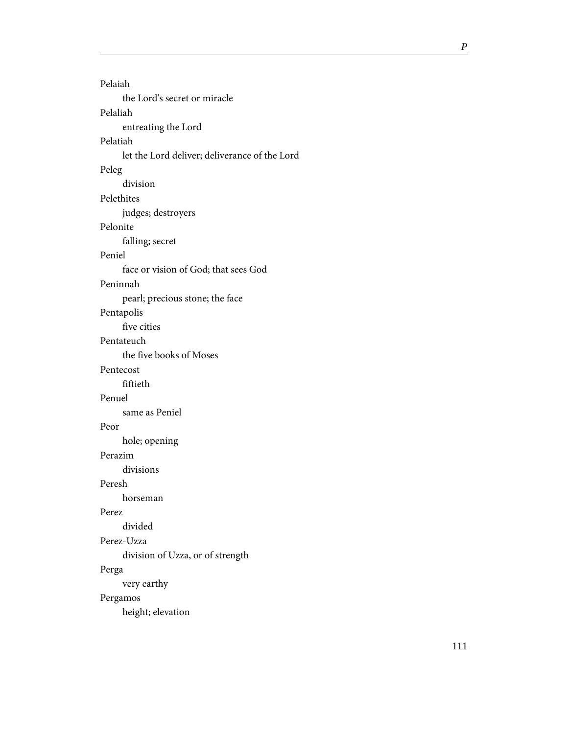| Pelaiah                                       |
|-----------------------------------------------|
| the Lord's secret or miracle                  |
| Pelaliah                                      |
| entreating the Lord                           |
| Pelatiah                                      |
|                                               |
| let the Lord deliver; deliverance of the Lord |
| Peleg                                         |
| division                                      |
| Pelethites                                    |
| judges; destroyers                            |
| Pelonite                                      |
| falling; secret                               |
| Peniel                                        |
| face or vision of God; that sees God          |
| Peninnah                                      |
| pearl; precious stone; the face               |
| Pentapolis                                    |
| five cities                                   |
| Pentateuch                                    |
| the five books of Moses                       |
| Pentecost                                     |
| fiftieth                                      |
| Penuel                                        |
| same as Peniel                                |
| Peor                                          |
| hole; opening                                 |
| Perazim                                       |
| divisions                                     |
| Peresh                                        |
| horseman                                      |
| Perez                                         |
| divided                                       |
| Perez-Uzza                                    |
| division of Uzza, or of strength              |
| Perga                                         |
| very earthy                                   |
| Pergamos                                      |
| height; elevation                             |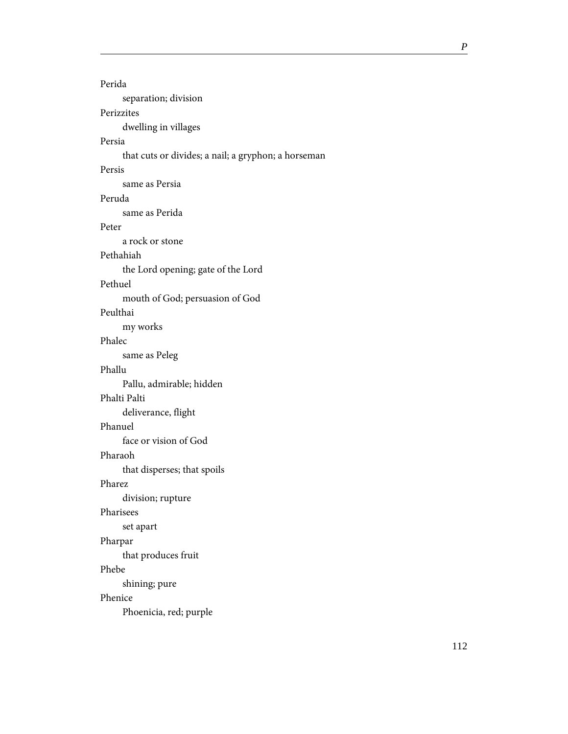| Perida                                              |
|-----------------------------------------------------|
| separation; division                                |
| Perizzites                                          |
| dwelling in villages                                |
| Persia                                              |
| that cuts or divides; a nail; a gryphon; a horseman |
| Persis                                              |
| same as Persia                                      |
| Peruda                                              |
| same as Perida                                      |
| Peter                                               |
| a rock or stone                                     |
| Pethahiah                                           |
| the Lord opening; gate of the Lord                  |
| Pethuel                                             |
| mouth of God; persuasion of God                     |
| Peulthai                                            |
| my works                                            |
| Phalec                                              |
| same as Peleg                                       |
| Phallu                                              |
| Pallu, admirable; hidden                            |
| Phalti Palti                                        |
| deliverance, flight                                 |
| Phanuel                                             |
| face or vision of God                               |
| Pharaoh                                             |
| that disperses; that spoils                         |
| Pharez                                              |
| division; rupture                                   |
| Pharisees                                           |
| set apart                                           |
| Pharpar                                             |
| that produces fruit                                 |
| Phebe                                               |
| shining; pure                                       |
| Phenice                                             |
| Phoenicia, red; purple                              |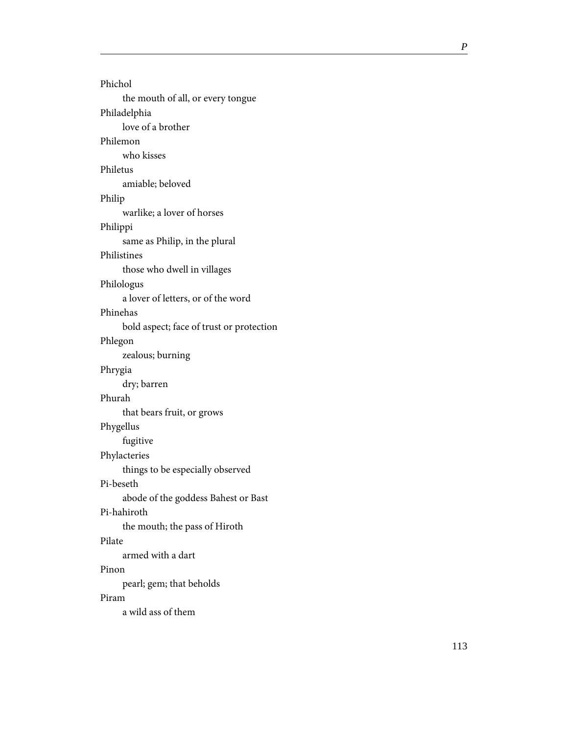Phichol the mouth of all, or every tongue Philadelphia love of a brother Philemon who kisses Philetus amiable; beloved Philip warlike; a lover of horses Philippi same as Philip, in the plural Philistines those who dwell in villages Philologus a lover of letters, or of the word Phinehas bold aspect; face of trust or protection Phlegon zealous; burning Phrygia dry; barren Phurah that bears fruit, or grows Phygellus fugitive Phylacteries things to be especially observed Pi-beseth abode of the goddess Bahest or Bast Pi-hahiroth the mouth; the pass of Hiroth Pilate armed with a dart Pinon pearl; gem; that beholds Piram a wild ass of them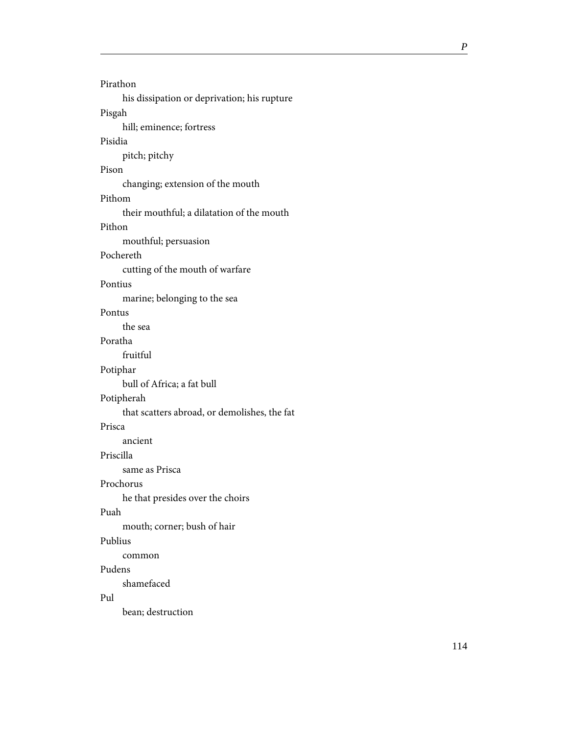| Pirathon                                     |
|----------------------------------------------|
| his dissipation or deprivation; his rupture  |
| Pisgah                                       |
| hill; eminence; fortress                     |
| Pisidia                                      |
| pitch; pitchy                                |
| Pison                                        |
| changing; extension of the mouth             |
| Pithom                                       |
| their mouthful; a dilatation of the mouth    |
| Pithon                                       |
| mouthful; persuasion                         |
| Pochereth                                    |
| cutting of the mouth of warfare              |
| Pontius                                      |
| marine; belonging to the sea                 |
| Pontus                                       |
| the sea                                      |
| Poratha                                      |
| fruitful                                     |
| Potiphar                                     |
| bull of Africa; a fat bull                   |
| Potipherah                                   |
| that scatters abroad, or demolishes, the fat |
| Prisca                                       |
| ancient                                      |
| Priscilla                                    |
| same as Prisca                               |
| Prochorus                                    |
| he that presides over the choirs             |
| Puah                                         |
| mouth; corner; bush of hair                  |
| Publius                                      |
| common                                       |
| Pudens                                       |
| shamefaced                                   |
| Pul                                          |
| bean; destruction                            |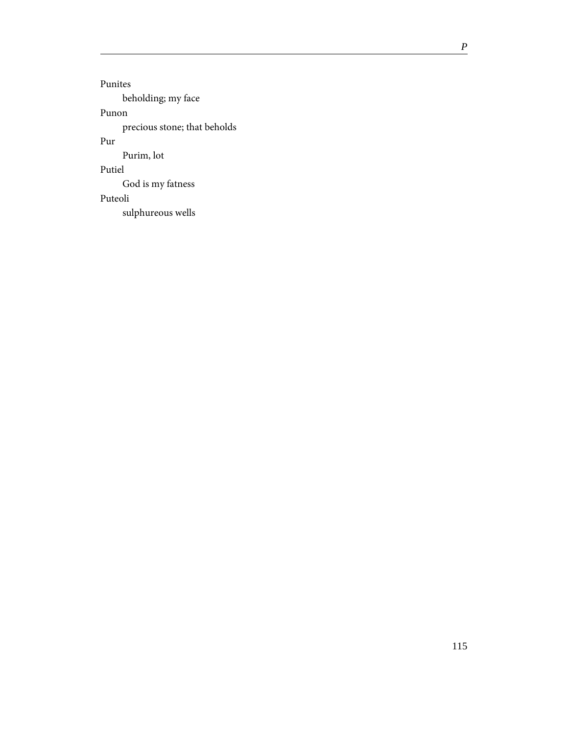Punites beholding; my face Punon precious stone; that beholds Pur Purim, lot Putiel God is my fatness Puteoli sulphureous wells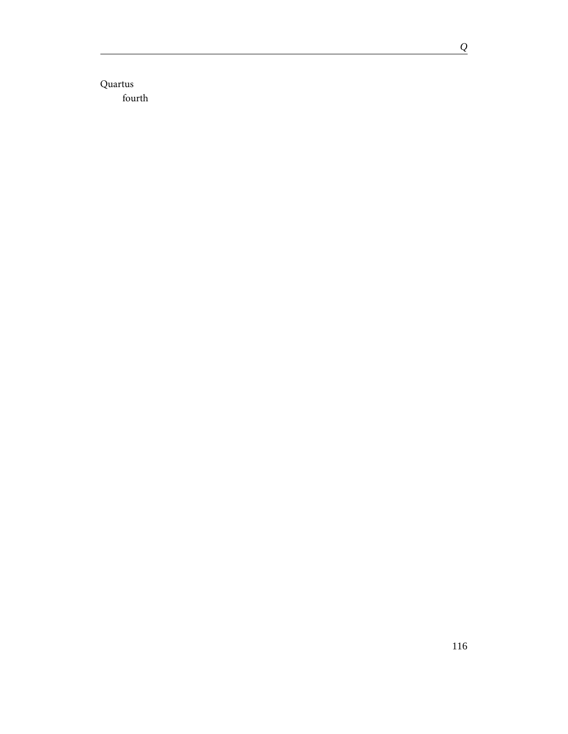Quartus fourth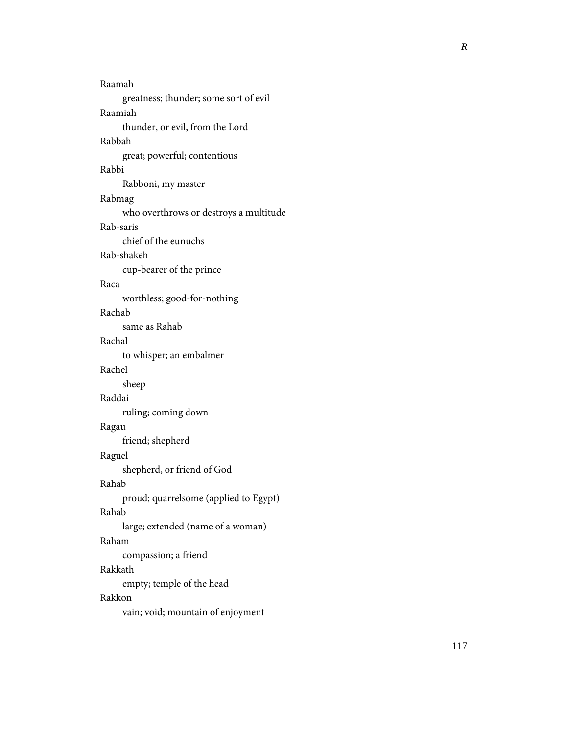Raamah greatness; thunder; some sort of evil Raamiah thunder, or evil, from the Lord Rabbah great; powerful; contentious Rabbi Rabboni, my master Rabmag who overthrows or destroys a multitude Rab-saris chief of the eunuchs Rab-shakeh cup-bearer of the prince Raca worthless; good-for-nothing Rachab same as Rahab Rachal to whisper; an embalmer Rachel sheep Raddai ruling; coming down Ragau friend; shepherd Raguel shepherd, or friend of God Rahab proud; quarrelsome (applied to Egypt) Rahab large; extended (name of a woman) Raham compassion; a friend Rakkath empty; temple of the head Rakkon vain; void; mountain of enjoyment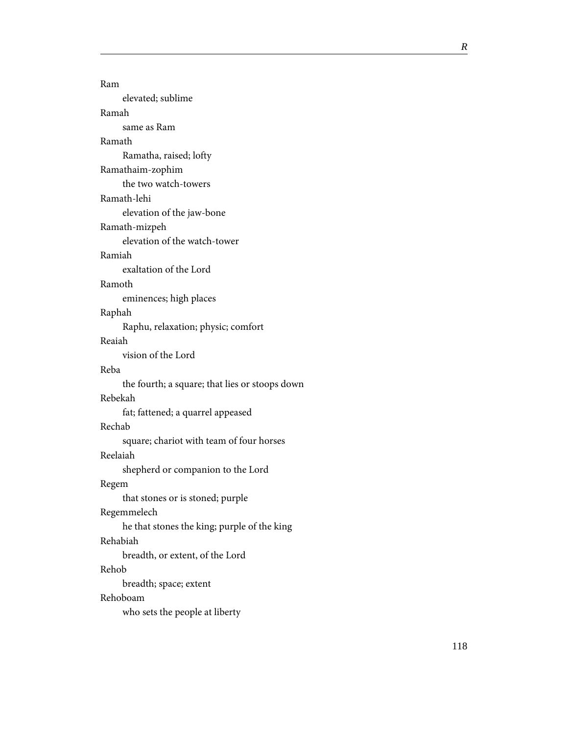| Ram                                            |
|------------------------------------------------|
| elevated; sublime                              |
| Ramah                                          |
| same as Ram                                    |
| Ramath                                         |
| Ramatha, raised; lofty                         |
| Ramathaim-zophim                               |
| the two watch-towers                           |
| Ramath-lehi                                    |
| elevation of the jaw-bone                      |
| Ramath-mizpeh                                  |
| elevation of the watch-tower                   |
| Ramiah                                         |
| exaltation of the Lord                         |
| Ramoth                                         |
| eminences; high places                         |
| Raphah                                         |
| Raphu, relaxation; physic; comfort             |
| Reaiah                                         |
| vision of the Lord                             |
| Reba                                           |
| the fourth; a square; that lies or stoops down |
| Rebekah                                        |
| fat; fattened; a quarrel appeased              |
| Rechab                                         |
| square; chariot with team of four horses       |
| Reelaiah                                       |
| shepherd or companion to the Lord              |
| Regem                                          |
| that stones or is stoned; purple               |
| Regemmelech                                    |
| he that stones the king; purple of the king    |
| Rehabiah                                       |
| breadth, or extent, of the Lord                |
| Rehob                                          |
| breadth; space; extent                         |
| Rehoboam                                       |
| who sets the people at liberty                 |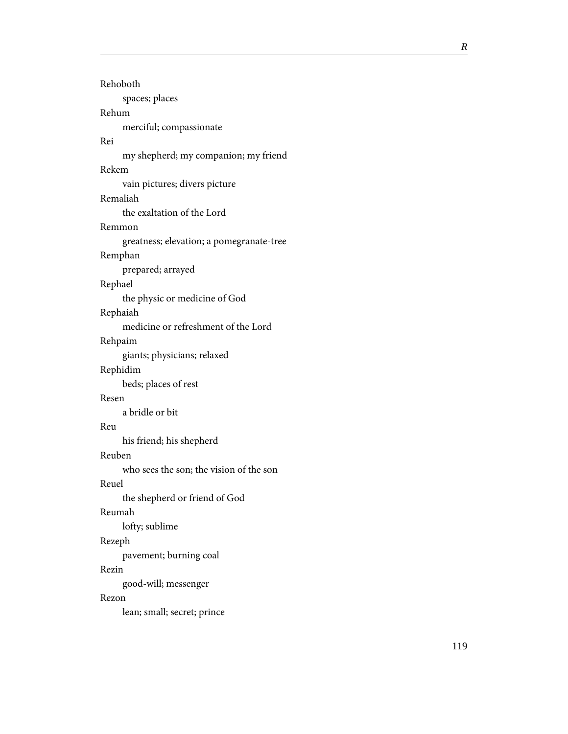| Rehoboth                                 |
|------------------------------------------|
| spaces; places                           |
| Rehum                                    |
| merciful; compassionate                  |
| Rei                                      |
| my shepherd; my companion; my friend     |
| Rekem                                    |
| vain pictures; divers picture            |
| Remaliah                                 |
| the exaltation of the Lord               |
| Remmon                                   |
| greatness; elevation; a pomegranate-tree |
| Remphan                                  |
| prepared; arrayed                        |
| Rephael                                  |
| the physic or medicine of God            |
| Rephaiah                                 |
| medicine or refreshment of the Lord      |
| Rehpaim                                  |
| giants; physicians; relaxed              |
| Rephidim                                 |
| beds; places of rest                     |
| Resen                                    |
| a bridle or bit                          |
| Reu                                      |
| his friend; his shepherd                 |
| Reuben                                   |
| who sees the son; the vision of the son  |
| Reuel                                    |
| the shepherd or friend of God            |
| Reumah                                   |
| lofty; sublime                           |
| Rezeph                                   |
| pavement; burning coal                   |
| Rezin                                    |
| good-will; messenger                     |
| Rezon                                    |
| lean; small; secret; prince              |
|                                          |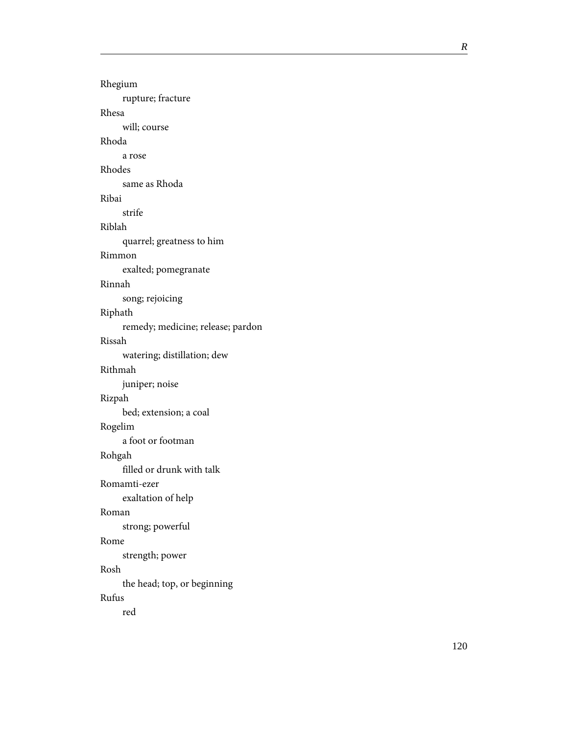| Rhegium                           |
|-----------------------------------|
| rupture; fracture                 |
| Rhesa                             |
| will; course                      |
| Rhoda                             |
| a rose                            |
| Rhodes                            |
| same as Rhoda                     |
| Ribai                             |
| strife                            |
| Riblah                            |
| quarrel; greatness to him         |
| Rimmon                            |
| exalted; pomegranate              |
| Rinnah                            |
| song; rejoicing                   |
| Riphath                           |
| remedy; medicine; release; pardon |
| Rissah                            |
| watering; distillation; dew       |
| Rithmah                           |
| juniper; noise                    |
| Rizpah                            |
| bed; extension; a coal            |
| Rogelim                           |
| a foot or footman                 |
| Rohgah                            |
| filled or drunk with talk         |
| Romamti-ezer                      |
| exaltation of help                |
| Roman                             |
| strong; powerful                  |
| Rome                              |
| strength; power                   |
| Rosh                              |
| the head; top, or beginning       |
| Rufus                             |
| red                               |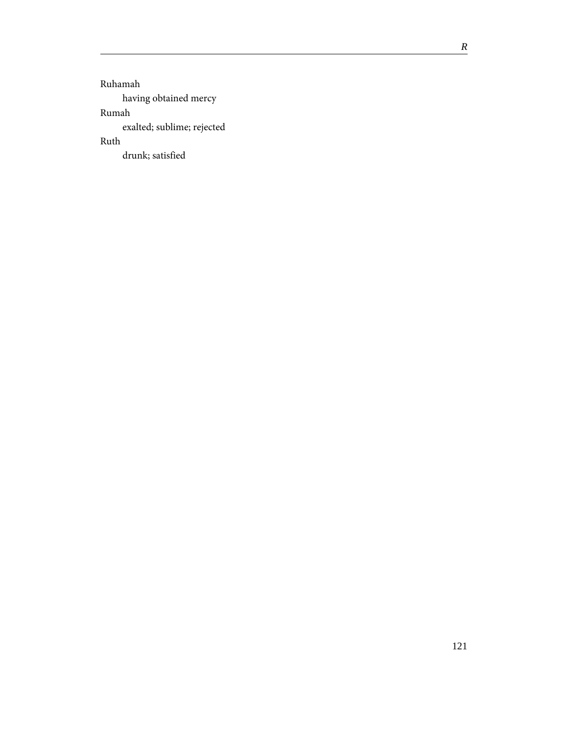Ruhamah having obtained mercy Rumah exalted; sublime; rejected Ruth drunk; satisfied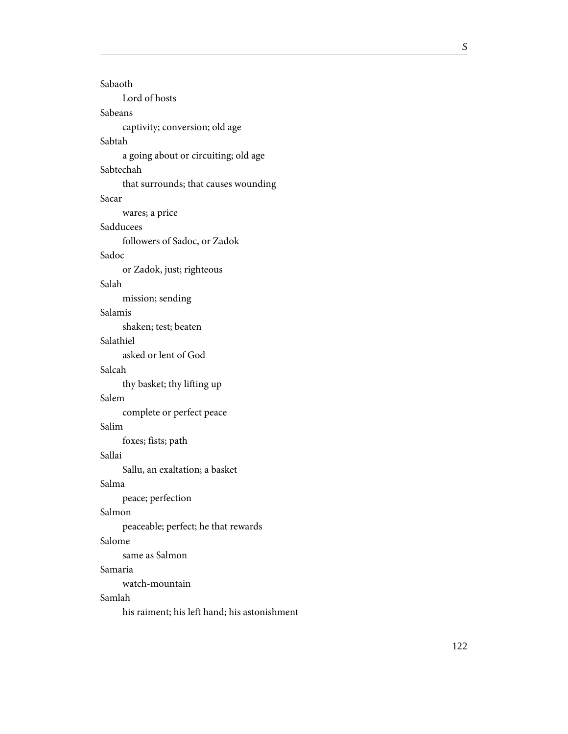| Sabaoth<br>Lord of hosts             |
|--------------------------------------|
| Sabeans                              |
|                                      |
| captivity; conversion; old age       |
| Sabtah                               |
| a going about or circuiting; old age |
| Sabtechah                            |
| that surrounds; that causes wounding |
| Sacar                                |
| wares; a price                       |
| Sadducees                            |
| followers of Sadoc, or Zadok         |
| Sadoc                                |
| or Zadok, just; righteous            |
| Salah                                |
| mission; sending                     |
| Salamis                              |
| shaken; test; beaten                 |
| Salathiel                            |
| asked or lent of God                 |
| Salcah                               |
| thy basket; thy lifting up           |
| Salem                                |
| complete or perfect peace            |
| Salim                                |
| foxes; fists; path                   |
| Sallai                               |
| Sallu, an exaltation; a basket       |
| Salma                                |
| peace; perfection                    |
| Salmon                               |
| peaceable; perfect; he that rewards  |
| Salome                               |
| same as Salmon                       |
| Samaria                              |
| watch-mountain                       |
| Samlah                               |
|                                      |

his raiment; his left hand; his astonishment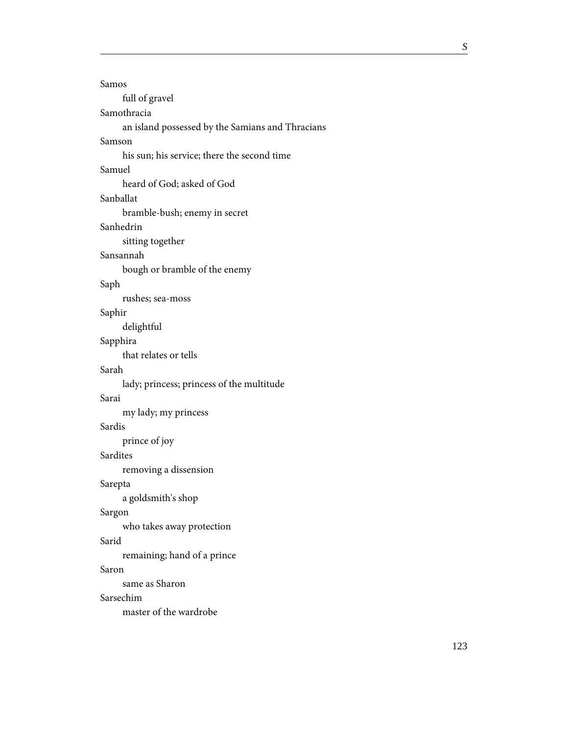| Samos                                            |
|--------------------------------------------------|
| full of gravel                                   |
| Samothracia                                      |
| an island possessed by the Samians and Thracians |
| Samson                                           |
| his sun; his service; there the second time      |
| Samuel                                           |
| heard of God; asked of God                       |
| Sanballat                                        |
| bramble-bush; enemy in secret                    |
| Sanhedrin                                        |
| sitting together                                 |
| Sansannah                                        |
| bough or bramble of the enemy                    |
| Saph                                             |
| rushes; sea-moss                                 |
| Saphir                                           |
| delightful                                       |
| Sapphira                                         |
| that relates or tells                            |
| Sarah                                            |
| lady; princess; princess of the multitude        |
| Sarai                                            |
| my lady; my princess                             |
| Sardis                                           |
| prince of joy                                    |
| Sardites                                         |
| removing a dissension                            |
| Sarepta                                          |
| a goldsmith's shop                               |
| Sargon                                           |
| who takes away protection                        |
| Sarid                                            |
| remaining; hand of a prince                      |
| Saron                                            |
| same as Sharon                                   |
| Sarsechim                                        |
| master of the wardrobe                           |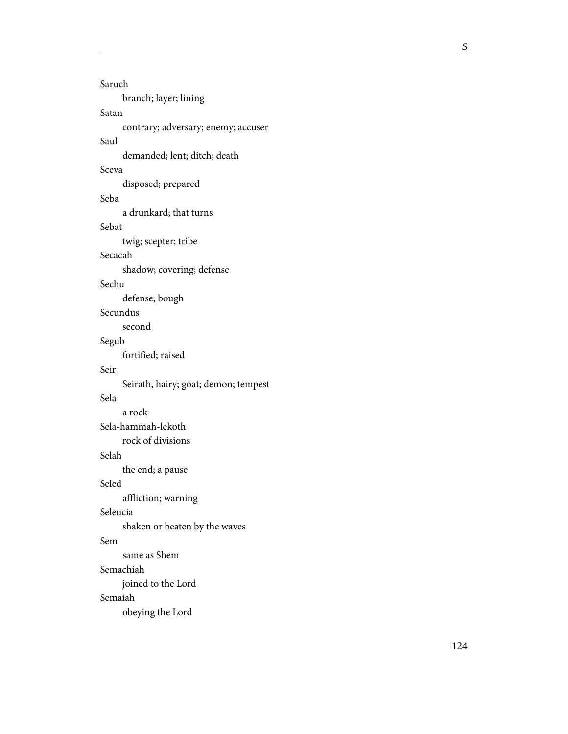| Saruch                               |
|--------------------------------------|
| branch; layer; lining                |
| Satan                                |
| contrary; adversary; enemy; accuser  |
| Saul                                 |
| demanded; lent; ditch; death         |
| Sceva                                |
| disposed; prepared                   |
| Seba                                 |
| a drunkard; that turns               |
| Sebat                                |
| twig; scepter; tribe                 |
| Secacah                              |
| shadow; covering; defense            |
| Sechu                                |
| defense; bough                       |
| Secundus                             |
| second                               |
| Segub                                |
| fortified; raised                    |
| Seir                                 |
| Seirath, hairy; goat; demon; tempest |
| Sela                                 |
| a rock                               |
| Sela-hammah-lekoth                   |
| rock of divisions                    |
| Selah                                |
| the end; a pause                     |
| Seled                                |
| affliction; warning                  |
| Seleucia                             |
| shaken or beaten by the waves        |
| Sem                                  |
| same as Shem                         |
| Semachiah                            |
| joined to the Lord                   |
| Semaiah                              |
| obeying the Lord                     |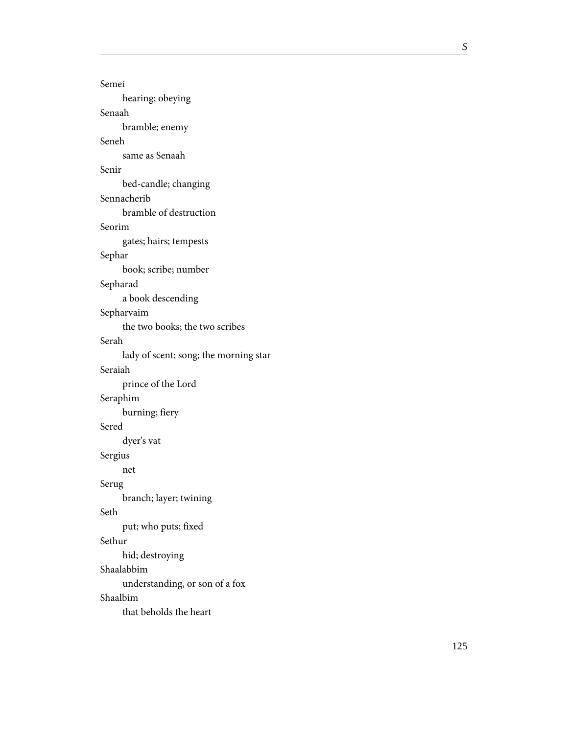| Semei                                 |
|---------------------------------------|
| hearing; obeying                      |
| Senaah                                |
| bramble; enemy                        |
| Seneh                                 |
| same as Senaah                        |
| Senir                                 |
| bed-candle; changing                  |
| Sennacherib                           |
| bramble of destruction                |
| Seorim                                |
| gates; hairs; tempests                |
| Sephar                                |
| book; scribe; number                  |
| Sepharad                              |
| a book descending                     |
| Sepharvaim                            |
| the two books; the two scribes        |
| Serah                                 |
| lady of scent; song; the morning star |
| Seraiah                               |
| prince of the Lord                    |
| Seraphim                              |
| burning; fiery                        |
| Sered                                 |
| dyer's vat                            |
| Sergius                               |
| net                                   |
| Serug                                 |
| branch; layer; twining                |
| Seth                                  |
| put; who puts; fixed                  |
| Sethur                                |
| hid; destroying                       |
| Shaalabbim                            |
| understanding, or son of a fox        |
| Shaalbim                              |
| that beholds the heart                |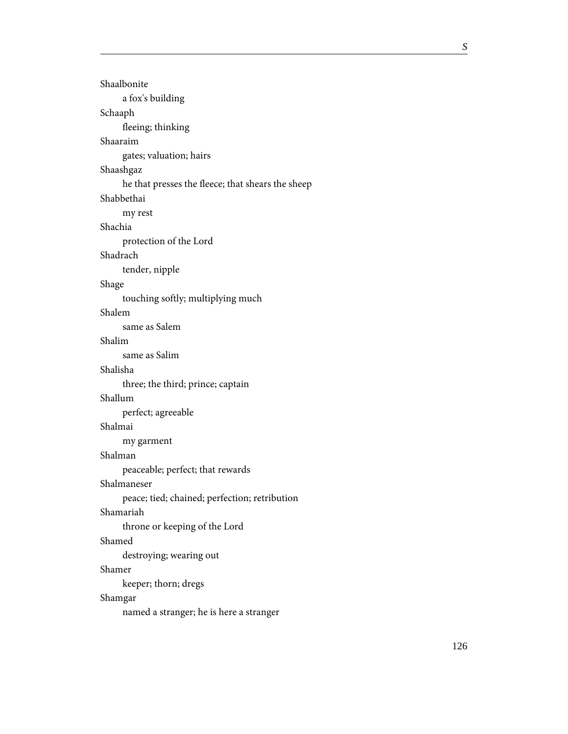| Shaalbonite                                       |
|---------------------------------------------------|
| a fox's building                                  |
| Schaaph                                           |
| fleeing; thinking                                 |
| Shaaraim                                          |
| gates; valuation; hairs                           |
| Shaashgaz                                         |
| he that presses the fleece; that shears the sheep |
| Shabbethai                                        |
| my rest                                           |
| Shachia                                           |
| protection of the Lord                            |
| Shadrach                                          |
| tender, nipple                                    |
| Shage                                             |
| touching softly; multiplying much                 |
| Shalem                                            |
| same as Salem                                     |
| Shalim                                            |
| same as Salim                                     |
| Shalisha                                          |
| three; the third; prince; captain                 |
| Shallum                                           |
| perfect; agreeable                                |
| Shalmai                                           |
| my garment                                        |
| Shalman                                           |
| peaceable; perfect; that rewards                  |
| Shalmaneser                                       |
| peace; tied; chained; perfection; retribution     |
| Shamariah                                         |
| throne or keeping of the Lord                     |
| Shamed                                            |
| destroying; wearing out                           |
| Shamer                                            |
| keeper; thorn; dregs                              |
| Shamgar                                           |
| named a stranger; he is here a stranger           |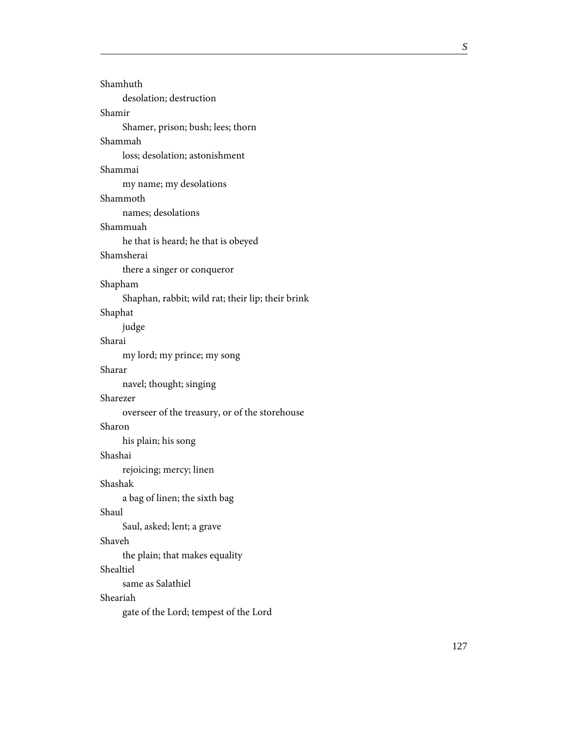| Shamhuth                                          |
|---------------------------------------------------|
| desolation; destruction                           |
| Shamir                                            |
| Shamer, prison; bush; lees; thorn                 |
| Shammah                                           |
| loss; desolation; astonishment                    |
| Shammai                                           |
| my name; my desolations                           |
| Shammoth                                          |
| names; desolations                                |
| Shammuah                                          |
| he that is heard; he that is obeyed               |
| Shamsherai                                        |
| there a singer or conqueror                       |
| Shapham                                           |
| Shaphan, rabbit; wild rat; their lip; their brink |
| Shaphat                                           |
| judge                                             |
| Sharai                                            |
| my lord; my prince; my song                       |
| Sharar                                            |
| navel; thought; singing                           |
| Sharezer                                          |
| overseer of the treasury, or of the storehouse    |
| Sharon                                            |
| his plain; his song                               |
| Shashai                                           |
| rejoicing; mercy; linen                           |
| Shashak                                           |
| a bag of linen; the sixth bag                     |
| Shaul                                             |
| Saul, asked; lent; a grave                        |
| Shaveh                                            |
| the plain; that makes equality                    |
| Shealtiel                                         |
| same as Salathiel                                 |
| Sheariah                                          |
| gate of the Lord; tempest of the Lord             |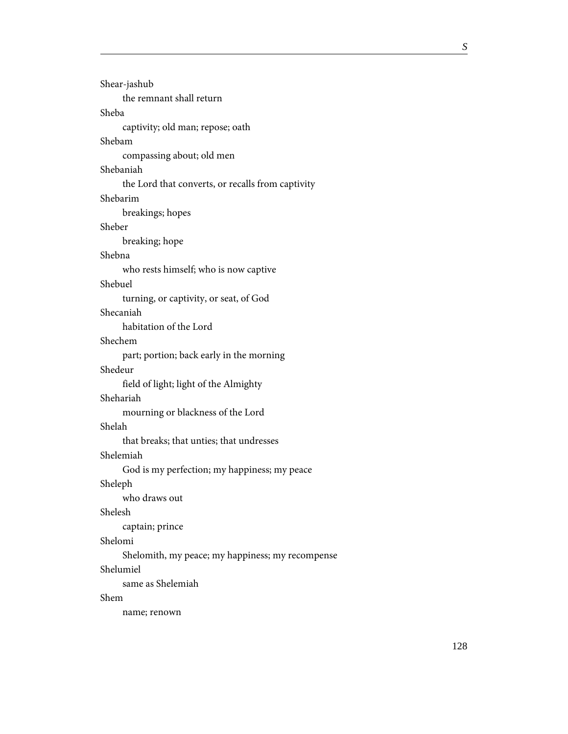| Shear-jashub                                      |
|---------------------------------------------------|
| the remnant shall return                          |
| Sheba                                             |
| captivity; old man; repose; oath                  |
| Shebam                                            |
| compassing about; old men                         |
| Shebaniah                                         |
| the Lord that converts, or recalls from captivity |
| Shebarim                                          |
| breakings; hopes                                  |
| Sheber                                            |
| breaking; hope                                    |
| Shebna                                            |
| who rests himself; who is now captive             |
| Shebuel                                           |
| turning, or captivity, or seat, of God            |
| Shecaniah                                         |
| habitation of the Lord                            |
| Shechem                                           |
| part; portion; back early in the morning          |
| Shedeur                                           |
| field of light; light of the Almighty             |
| Shehariah                                         |
| mourning or blackness of the Lord                 |
| Shelah                                            |
| that breaks; that unties; that undresses          |
| Shelemiah                                         |
| God is my perfection; my happiness; my peace      |
| Sheleph                                           |
| who draws out                                     |
| Shelesh                                           |
| captain; prince                                   |
| Shelomi                                           |
| Shelomith, my peace; my happiness; my recompense  |
| Shelumiel                                         |
| same as Shelemiah                                 |
| Shem                                              |
| name; renown                                      |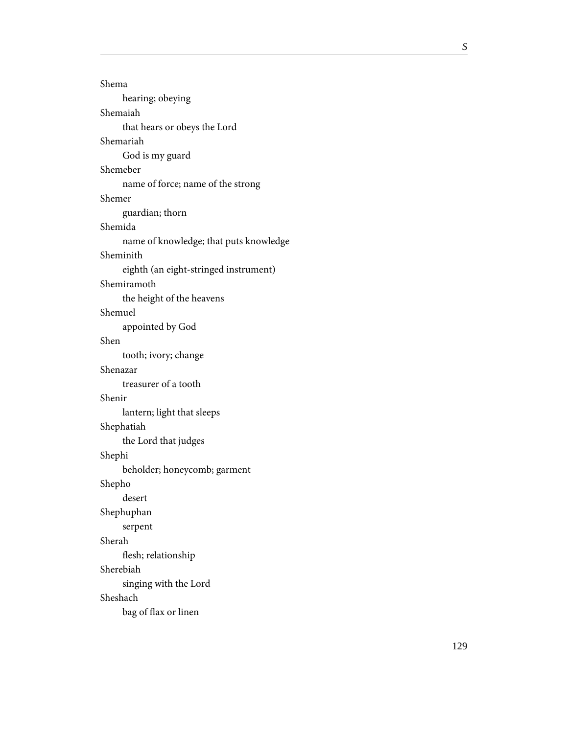| Shema                                  |
|----------------------------------------|
| hearing; obeying                       |
| Shemaiah                               |
| that hears or obeys the Lord           |
| Shemariah                              |
| God is my guard                        |
| Shemeber                               |
| name of force; name of the strong      |
| Shemer                                 |
| guardian; thorn                        |
| Shemida                                |
| name of knowledge; that puts knowledge |
| Sheminith                              |
| eighth (an eight-stringed instrument)  |
| Shemiramoth                            |
| the height of the heavens              |
| Shemuel                                |
| appointed by God                       |
| Shen                                   |
|                                        |
| tooth; ivory; change                   |
| Shenazar                               |
| treasurer of a tooth                   |
| Shenir                                 |
| lantern; light that sleeps             |
| Shephatiah                             |
| the Lord that judges                   |
| Shephi                                 |
| beholder; honeycomb; garment           |
| Shepho                                 |
| desert                                 |
| Shephuphan                             |
| serpent                                |
| Sherah                                 |
| flesh; relationship                    |
| Sherebiah                              |
| singing with the Lord                  |
| Sheshach                               |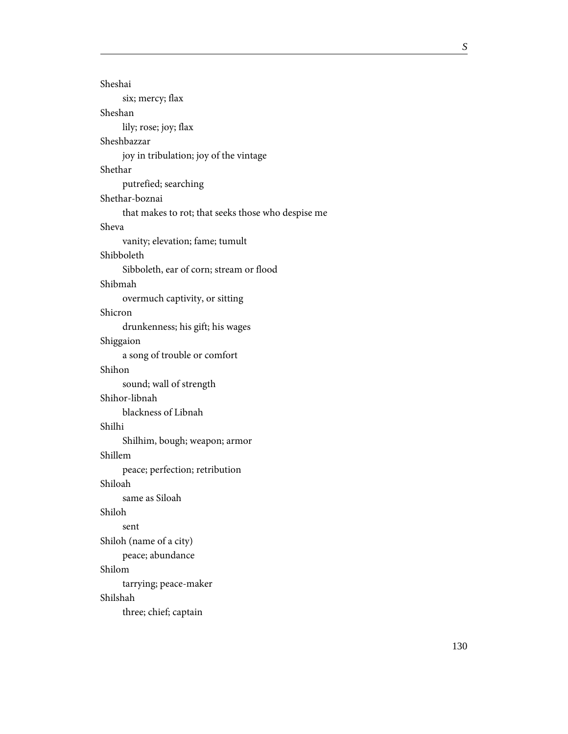| Sheshai                                            |
|----------------------------------------------------|
| six; mercy; flax                                   |
| Sheshan                                            |
| lily; rose; joy; flax                              |
| Sheshbazzar                                        |
| joy in tribulation; joy of the vintage             |
| Shethar                                            |
| putrefied; searching                               |
| Shethar-boznai                                     |
| that makes to rot; that seeks those who despise me |
| Sheva                                              |
| vanity; elevation; fame; tumult                    |
| Shibboleth                                         |
| Sibboleth, ear of corn; stream or flood            |
| Shibmah                                            |
| overmuch captivity, or sitting                     |
| Shicron                                            |
| drunkenness; his gift; his wages                   |
| Shiggaion                                          |
| a song of trouble or comfort                       |
| Shihon                                             |
| sound; wall of strength                            |
| Shihor-libnah                                      |
| blackness of Libnah                                |
| Shilhi                                             |
| Shilhim, bough; weapon; armor                      |
| Shillem                                            |
| peace; perfection; retribution                     |
| Shiloah                                            |
| same as Siloah                                     |
| Shiloh                                             |
| sent                                               |
| Shiloh (name of a city)                            |
| peace; abundance                                   |
| Shilom                                             |
| tarrying; peace-maker                              |
| Shilshah                                           |
| three; chief; captain                              |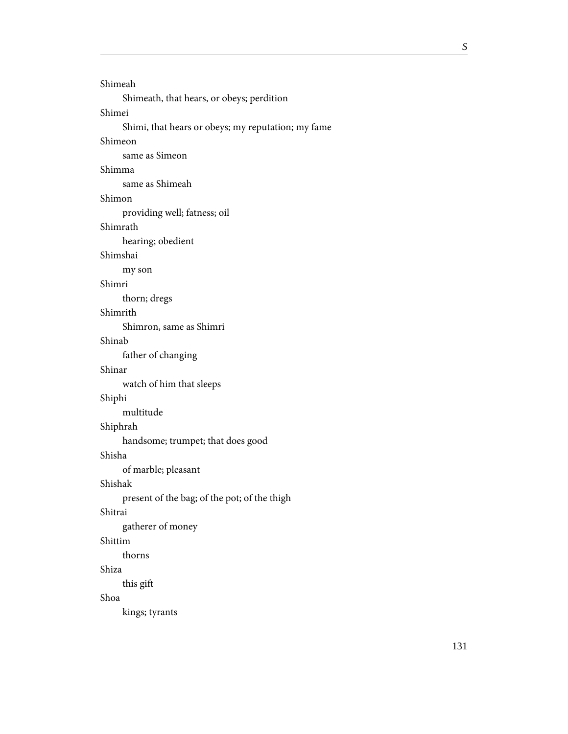```
Shimeah
     Shimeath, that hears, or obeys; perdition
Shimei
     Shimi, that hears or obeys; my reputation; my fame
Shimeon
     same as Simeon
Shimma
     same as Shimeah
Shimon
    providing well; fatness; oil
Shimrath
     hearing; obedient
Shimshai
     my son
Shimri
     thorn; dregs
Shimrith
     Shimron, same as Shimri
Shinab
     father of changing
Shinar
     watch of him that sleeps
Shiphi
    multitude
Shiphrah
     handsome; trumpet; that does good
Shisha
     of marble; pleasant
Shishak
     present of the bag; of the pot; of the thigh
Shitrai
    gatherer of money
Shittim
     thorns
Shiza
     this gift
Shoa
     kings; tyrants
```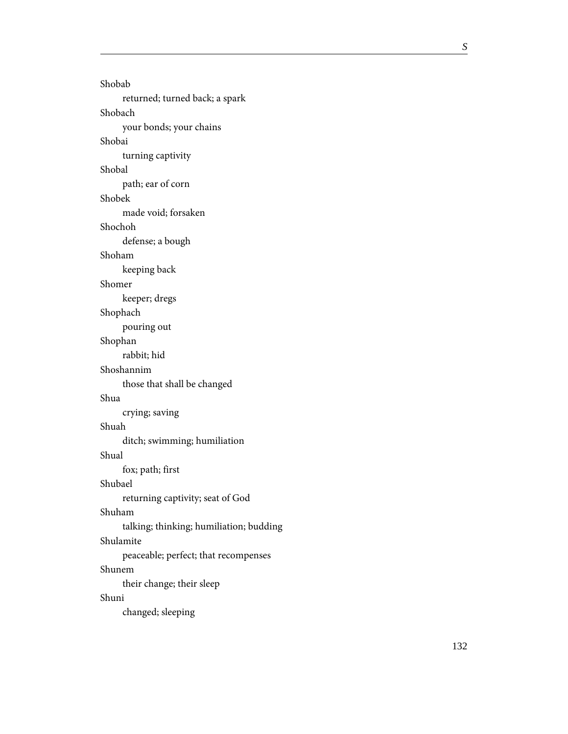Shobab returned; turned back; a spark Shobach your bonds; your chains Shobai turning captivity Shobal path; ear of corn Shobek made void; forsaken Shochoh defense; a bough Shoham keeping back Shomer keeper; dregs Shophach pouring out Shophan rabbit; hid Shoshannim those that shall be changed Shua crying; saving Shuah ditch; swimming; humiliation Shual fox; path; first Shubael returning captivity; seat of God Shuham talking; thinking; humiliation; budding Shulamite peaceable; perfect; that recompenses Shunem their change; their sleep Shuni changed; sleeping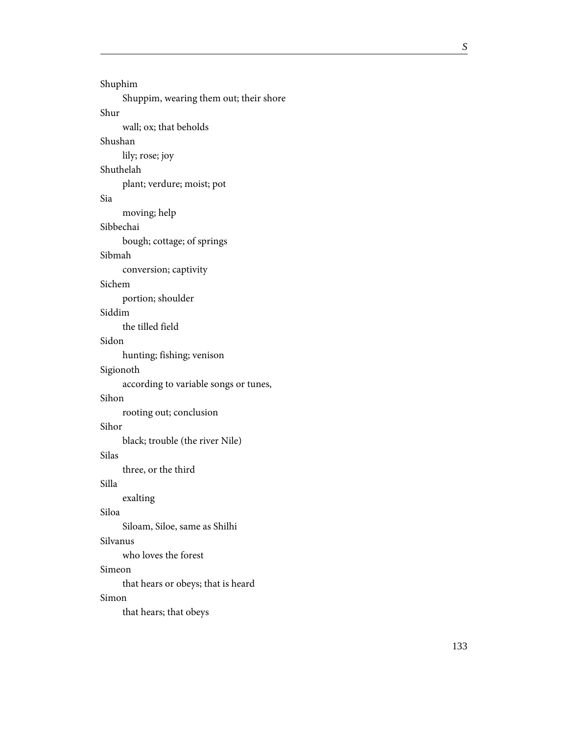```
Shuphim
     Shuppim, wearing them out; their shore
Shur
     wall; ox; that beholds
Shushan
     lily; rose; joy
Shuthelah
     plant; verdure; moist; pot
Sia
     moving; help
Sibbechai
     bough; cottage; of springs
Sibmah
     conversion; captivity
Sichem
     portion; shoulder
Siddim
     the tilled field
Sidon
     hunting; fishing; venison
Sigionoth
     according to variable songs or tunes,
Sihon
     rooting out; conclusion
Sihor
     black; trouble (the river Nile)
Silas
     three, or the third
Silla
     exalting
Siloa
     Siloam, Siloe, same as Shilhi
Silvanus
     who loves the forest
Simeon
     that hears or obeys; that is heard
Simon
     that hears; that obeys
```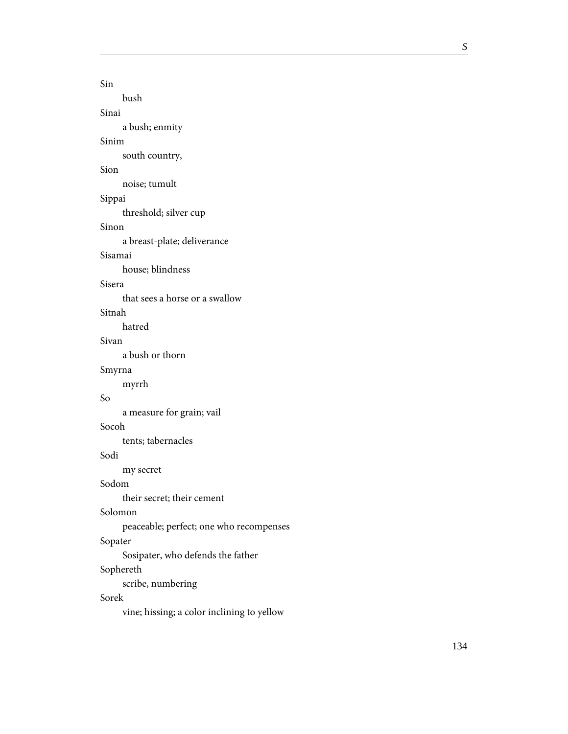```
Sin
    bush
Sinai
     a bush; enmity
Sinim
     south country,
Sion
    noise; tumult
Sippai
     threshold; silver cup
Sinon
     a breast-plate; deliverance
Sisamai
     house; blindness
Sisera
     that sees a horse or a swallow
Sitnah
    hatred
Sivan
     a bush or thorn
Smyrna
     myrrh
     a measure for grain; vail
Socoh
     tents; tabernacles
Sodi
     my secret
Sodom
     their secret; their cement
Solomon
    peaceable; perfect; one who recompenses
Sopater
     Sosipater, who defends the father
Sophereth
    scribe, numbering
Sorek
```
So

vine; hissing; a color inclining to yellow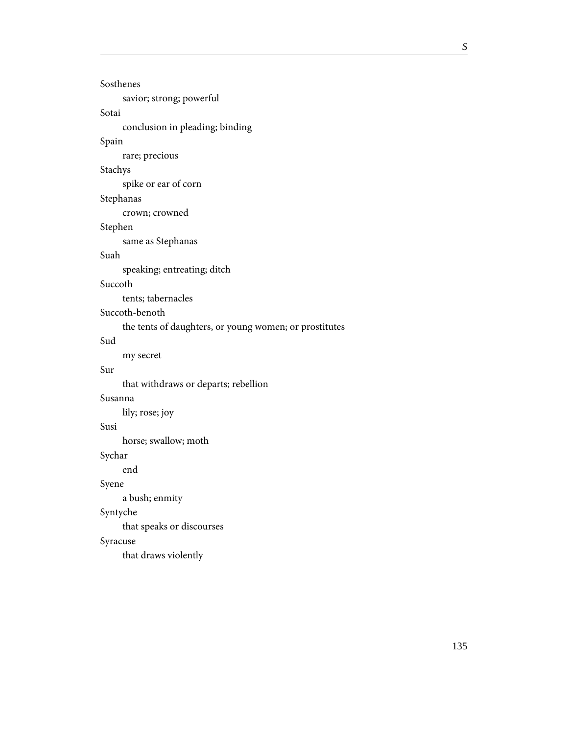| Sosthenes                                              |
|--------------------------------------------------------|
| savior; strong; powerful                               |
| Sotai                                                  |
| conclusion in pleading; binding                        |
| Spain                                                  |
| rare; precious                                         |
| Stachys                                                |
| spike or ear of corn                                   |
| Stephanas                                              |
| crown; crowned                                         |
| Stephen                                                |
| same as Stephanas                                      |
| Suah                                                   |
| speaking; entreating; ditch                            |
| Succoth                                                |
| tents; tabernacles                                     |
| Succoth-benoth                                         |
| the tents of daughters, or young women; or prostitutes |
| Sud                                                    |
| my secret                                              |
| Sur                                                    |
| that withdraws or departs; rebellion                   |
| Susanna                                                |
| lily; rose; joy                                        |
| Susi                                                   |
| horse; swallow; moth                                   |
| Sychar                                                 |
| end                                                    |
| Syene                                                  |
| a bush; enmity                                         |
| Syntyche                                               |
| that speaks or discourses                              |
| Syracuse                                               |
| that draws violently                                   |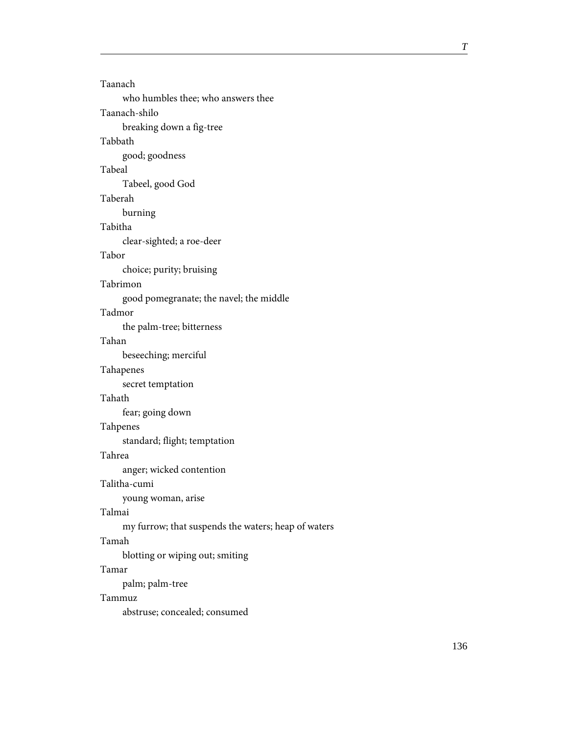| Taanach                                             |
|-----------------------------------------------------|
| who humbles thee; who answers thee                  |
| Taanach-shilo                                       |
| breaking down a fig-tree                            |
| Tabbath                                             |
| good; goodness                                      |
| Tabeal                                              |
| Tabeel, good God                                    |
| Taberah                                             |
| burning                                             |
| Tabitha                                             |
| clear-sighted; a roe-deer                           |
| Tabor                                               |
| choice; purity; bruising                            |
| Tabrimon                                            |
| good pomegranate; the navel; the middle             |
| Tadmor                                              |
| the palm-tree; bitterness                           |
| Tahan                                               |
| beseeching; merciful                                |
| Tahapenes                                           |
| secret temptation                                   |
| Tahath                                              |
| fear; going down                                    |
| Tahpenes                                            |
| standard; flight; temptation                        |
| Tahrea                                              |
| anger; wicked contention                            |
| Talitha-cumi                                        |
| young woman, arise                                  |
| Talmai                                              |
| my furrow; that suspends the waters; heap of waters |
| Tamah                                               |
| blotting or wiping out; smiting                     |
| Tamar                                               |
| palm; palm-tree                                     |
| Tammuz                                              |
| abstruse; concealed; consumed                       |
|                                                     |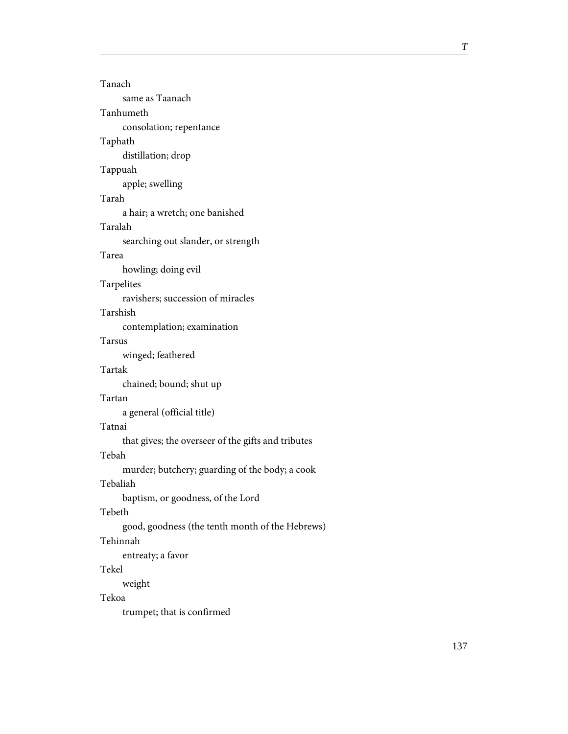| Tanach                                             |
|----------------------------------------------------|
| same as Taanach                                    |
| Tanhumeth                                          |
| consolation; repentance                            |
| Taphath                                            |
| distillation; drop                                 |
| Tappuah                                            |
| apple; swelling                                    |
| Tarah                                              |
| a hair; a wretch; one banished                     |
| Taralah                                            |
| searching out slander, or strength                 |
| Tarea                                              |
| howling; doing evil                                |
| Tarpelites                                         |
| ravishers; succession of miracles                  |
| Tarshish                                           |
| contemplation; examination                         |
| Tarsus                                             |
| winged; feathered                                  |
| Tartak                                             |
| chained; bound; shut up                            |
| Tartan                                             |
| a general (official title)                         |
| Tatnai                                             |
| that gives; the overseer of the gifts and tributes |
| Tebah                                              |
| murder; butchery; guarding of the body; a cook     |
| Tebaliah                                           |
| baptism, or goodness, of the Lord                  |
| Tebeth                                             |
| good, goodness (the tenth month of the Hebrews)    |
| Tehinnah                                           |
| entreaty; a favor                                  |
| Tekel                                              |
| weight                                             |
| Tekoa                                              |
| trumpet; that is confirmed                         |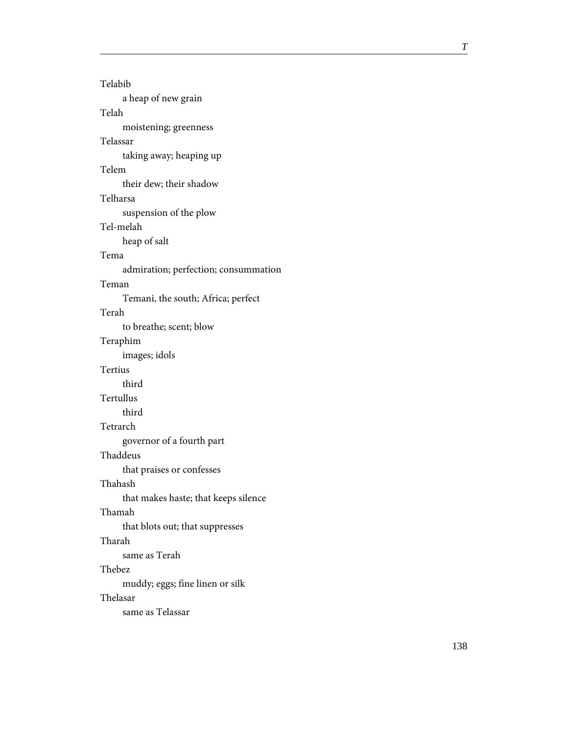| Telabib                              |
|--------------------------------------|
| a heap of new grain                  |
| Telah                                |
| moistening; greenness                |
| Telassar                             |
| taking away; heaping up              |
| Telem                                |
| their dew; their shadow              |
| Telharsa                             |
| suspension of the plow               |
| Tel-melah                            |
| heap of salt                         |
| Tema                                 |
| admiration; perfection; consummation |
| Teman                                |
| Temani, the south; Africa; perfect   |
| Terah                                |
| to breathe; scent; blow              |
| Teraphim                             |
| images; idols                        |
| Tertius                              |
| third                                |
| Tertullus                            |
| third                                |
| Tetrarch                             |
| governor of a fourth part            |
| Thaddeus                             |
| that praises or confesses            |
| Thahash                              |
| that makes haste; that keeps silence |
| Thamah                               |
| that blots out; that suppresses      |
| Tharah                               |
| same as Terah                        |
| Thebez                               |
| muddy; eggs; fine linen or silk      |
| Thelasar                             |
| same as Telassar                     |
|                                      |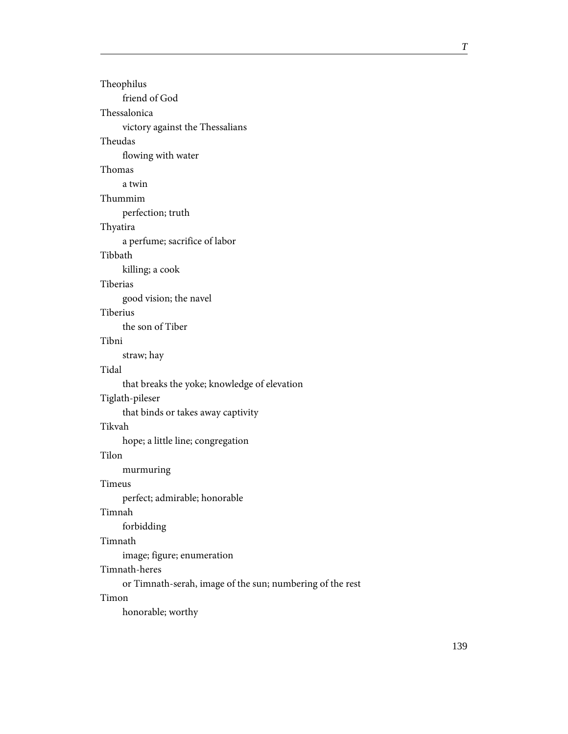Theophilus friend of God Thessalonica victory against the Thessalians Theudas flowing with water Thomas a twin Thummim perfection; truth Thyatira a perfume; sacrifice of labor Tibbath killing; a cook Tiberias good vision; the navel Tiberius the son of Tiber Tibni straw; hay Tidal that breaks the yoke; knowledge of elevation Tiglath-pileser that binds or takes away captivity Tikvah hope; a little line; congregation Tilon murmuring Timeus perfect; admirable; honorable Timnah forbidding Timnath image; figure; enumeration Timnath-heres or Timnath-serah, image of the sun; numbering of the rest Timon honorable; worthy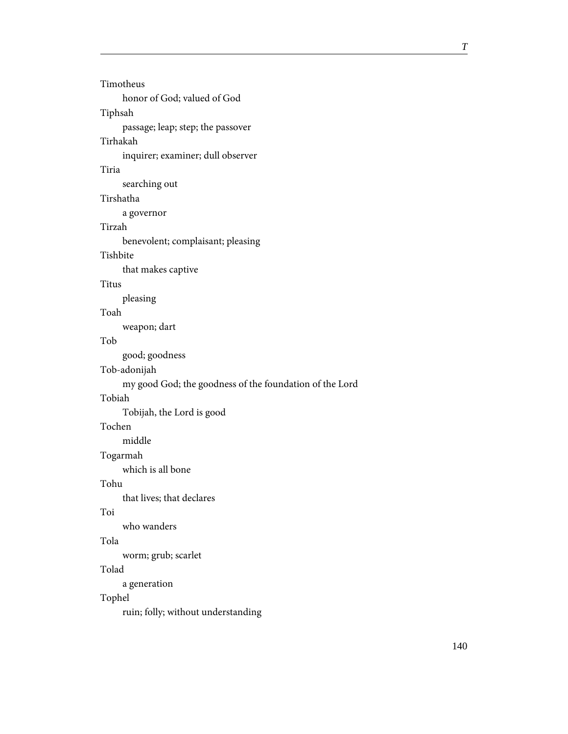| Timotheus                                               |  |  |
|---------------------------------------------------------|--|--|
| honor of God; valued of God                             |  |  |
| Tiphsah                                                 |  |  |
| passage; leap; step; the passover                       |  |  |
| Tirhakah                                                |  |  |
| inquirer; examiner; dull observer                       |  |  |
| Tiria                                                   |  |  |
| searching out                                           |  |  |
| Tirshatha                                               |  |  |
| a governor                                              |  |  |
| Tirzah                                                  |  |  |
| benevolent; complaisant; pleasing                       |  |  |
| Tishbite                                                |  |  |
| that makes captive                                      |  |  |
| Titus                                                   |  |  |
| pleasing                                                |  |  |
| Toah                                                    |  |  |
| weapon; dart                                            |  |  |
| Tob                                                     |  |  |
| good; goodness                                          |  |  |
| Tob-adonijah                                            |  |  |
| my good God; the goodness of the foundation of the Lord |  |  |
| Tobiah                                                  |  |  |
| Tobijah, the Lord is good                               |  |  |
| Tochen                                                  |  |  |
| middle                                                  |  |  |
| Togarmah                                                |  |  |
| which is all bone                                       |  |  |
| Tohu                                                    |  |  |
| that lives; that declares                               |  |  |
| Toi                                                     |  |  |
| who wanders                                             |  |  |
| Tola                                                    |  |  |
| worm; grub; scarlet                                     |  |  |
| Tolad                                                   |  |  |
| a generation                                            |  |  |
| Tophel                                                  |  |  |
| ruin; folly; without understanding                      |  |  |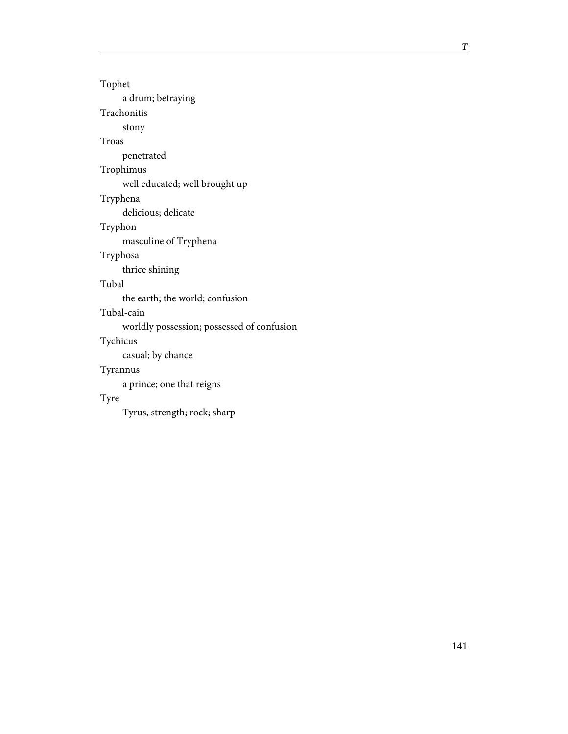Tophet a drum; betraying

Trachonitis

stony

Troas

penetrated

## Trophimus

well educated; well brought up

# Tryphena

delicious; delicate

# Tryphon

masculine of Tryphena

### Tryphosa

thrice shining

# Tubal

the earth; the world; confusion

### Tubal-cain

worldly possession; possessed of confusion

### Tychicus

casual; by chance

# Tyrannus

a prince; one that reigns

# Tyre

Tyrus, strength; rock; sharp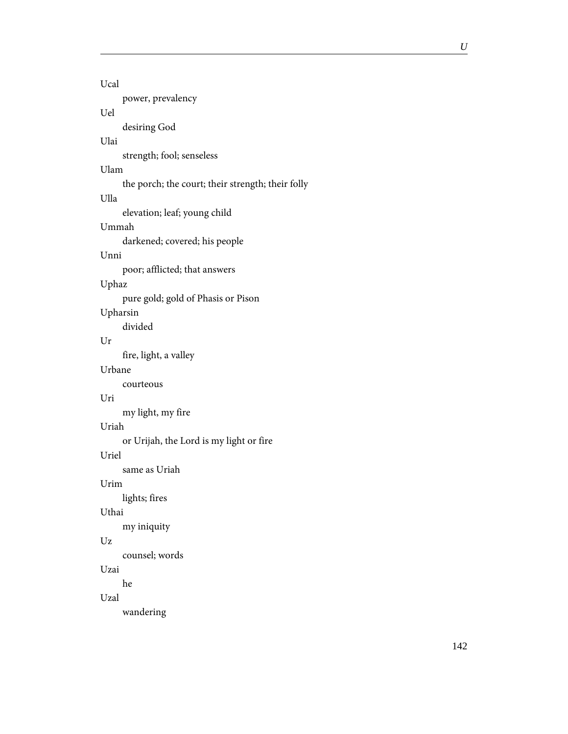| Ucal     |                                                   |
|----------|---------------------------------------------------|
|          | power, prevalency                                 |
| Uel      |                                                   |
|          | desiring God                                      |
| Ulai     |                                                   |
|          | strength; fool; senseless                         |
| Ulam     | the porch; the court; their strength; their folly |
| Ulla     |                                                   |
|          | elevation; leaf; young child                      |
| Ummah    |                                                   |
|          | darkened; covered; his people                     |
| Unni     |                                                   |
|          | poor; afflicted; that answers                     |
| Uphaz    |                                                   |
|          | pure gold; gold of Phasis or Pison                |
| Upharsin |                                                   |
|          | divided                                           |
| Ur       |                                                   |
|          | fire, light, a valley                             |
| Urbane   |                                                   |
| Uri      | courteous                                         |
|          | my light, my fire                                 |
| Uriah    |                                                   |
|          | or Urijah, the Lord is my light or fire           |
| Uriel    |                                                   |
|          | same as Uriah                                     |
| Urim     |                                                   |
|          | lights; fires                                     |
| Uthai    |                                                   |
|          | my iniquity                                       |
| Uz       |                                                   |
|          | counsel; words                                    |
| Uzai     |                                                   |
|          | he                                                |
| Uzal     |                                                   |
|          | wandering                                         |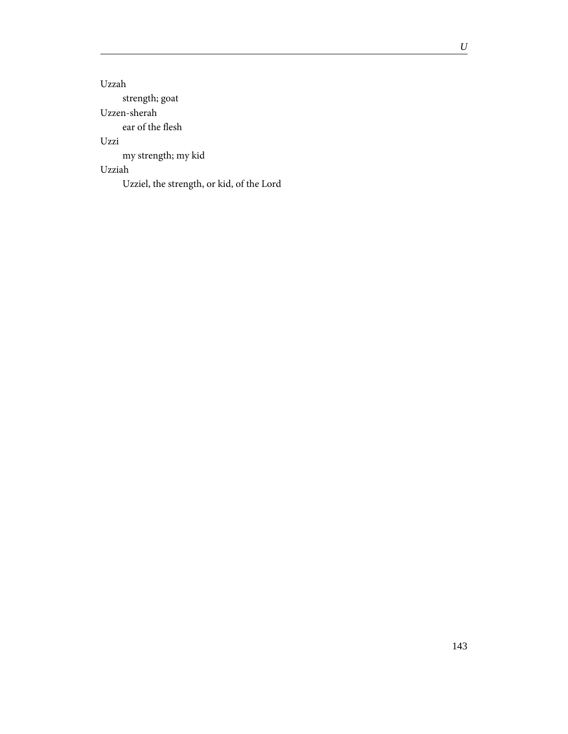Uzzah strength; goat Uzzen-sherah ear of the flesh Uzzi my strength; my kid Uzziah Uzziel, the strength, or kid, of the Lord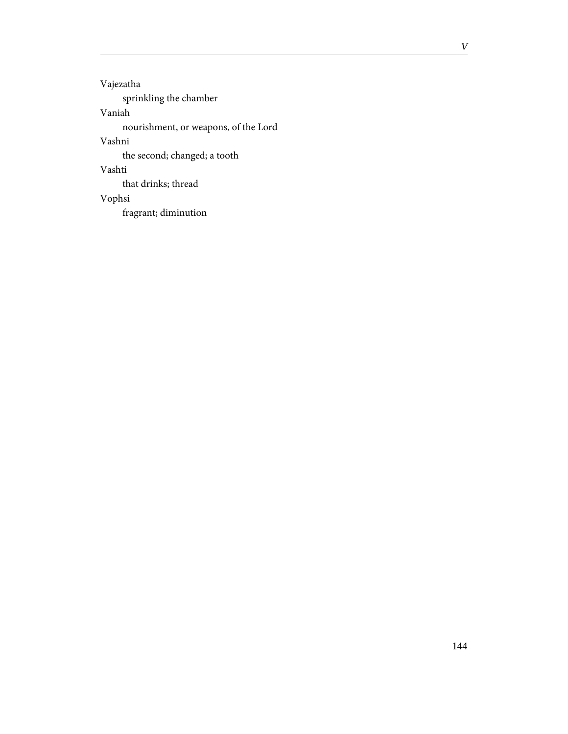Vajezatha sprinkling the chamber Vaniah nourishment, or weapons, of the Lord Vashni the second; changed; a tooth Vashti that drinks; thread Vophsi fragrant; diminution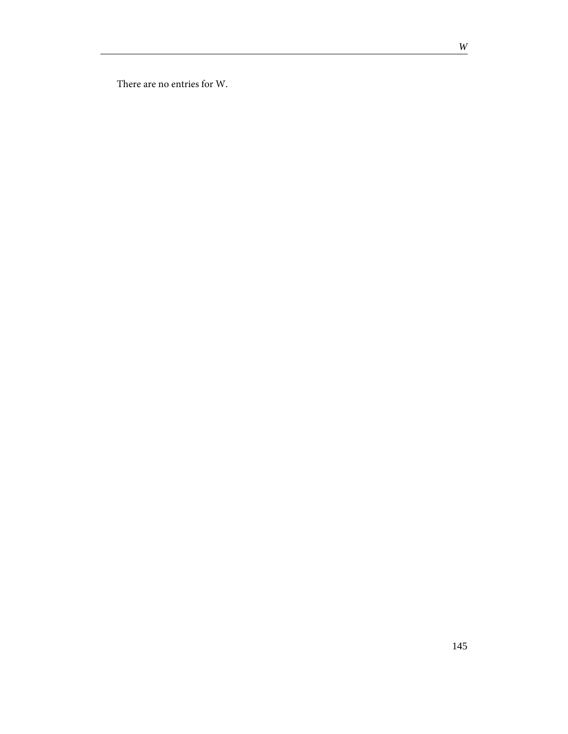There are no entries for W.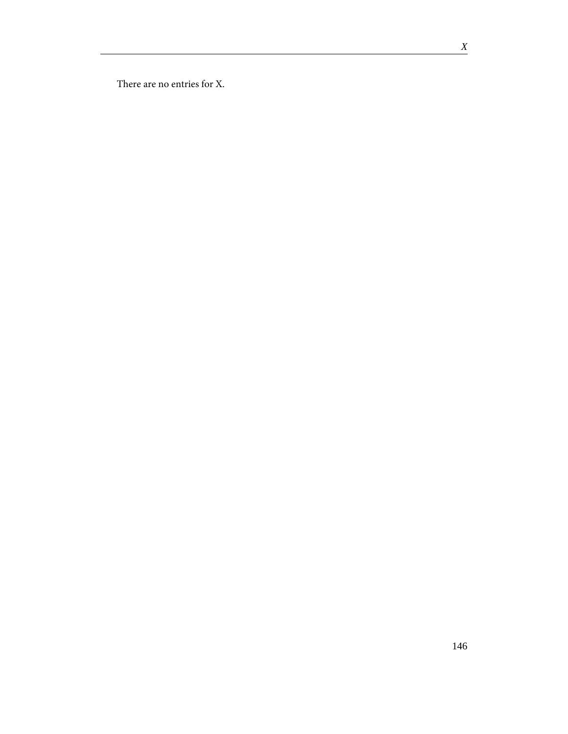There are no entries for X.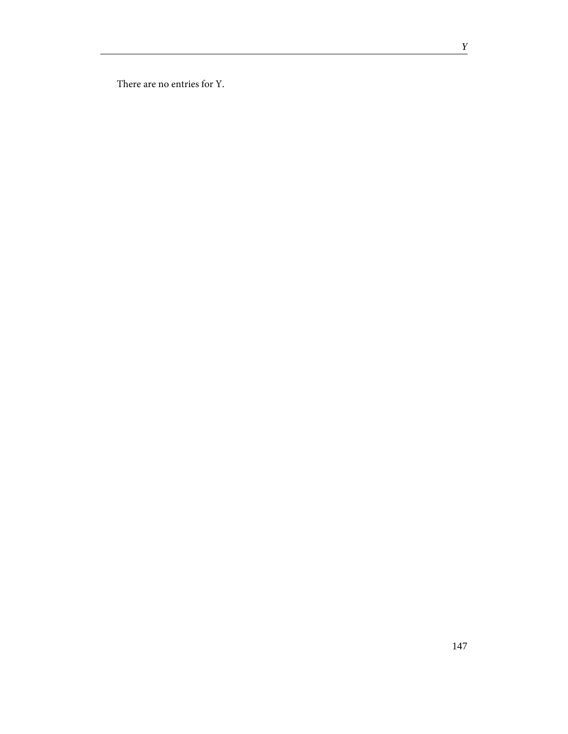There are no entries for Y.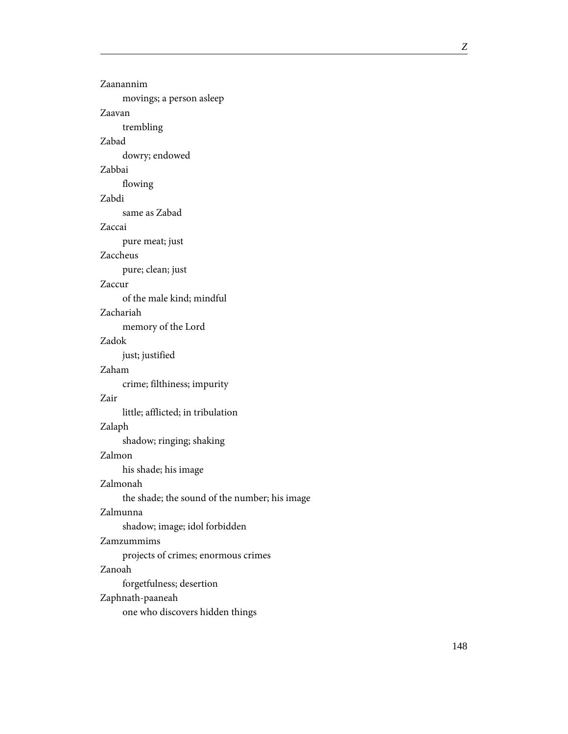| Zaanannim                                     |
|-----------------------------------------------|
| movings; a person asleep                      |
| Zaavan                                        |
| trembling                                     |
| Zabad                                         |
| dowry; endowed                                |
| Zabbai                                        |
| flowing                                       |
| Zabdi                                         |
| same as Zabad                                 |
| Zaccai                                        |
| pure meat; just                               |
| Zaccheus                                      |
| pure; clean; just                             |
| Zaccur                                        |
| of the male kind; mindful                     |
| Zachariah                                     |
| memory of the Lord                            |
| Zadok                                         |
| just; justified                               |
| Zaham                                         |
| crime; filthiness; impurity                   |
| Zair                                          |
| little; afflicted; in tribulation             |
| Zalaph                                        |
| shadow; ringing; shaking                      |
| Zalmon                                        |
| his shade; his image                          |
| Zalmonah                                      |
| the shade; the sound of the number; his image |
| Zalmunna                                      |
| shadow; image; idol forbidden                 |
| Zamzummims                                    |
| projects of crimes; enormous crimes           |
| Zanoah                                        |
| forgetfulness; desertion                      |
| Zaphnath-paaneah                              |
| one who discovers hidden things               |
|                                               |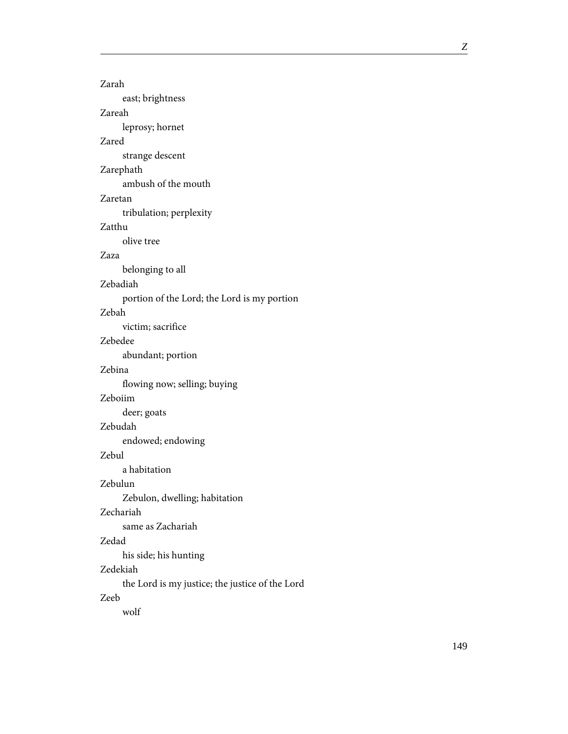| Zarah                                           |  |  |
|-------------------------------------------------|--|--|
| east; brightness                                |  |  |
| Zareah                                          |  |  |
| leprosy; hornet                                 |  |  |
| Zared                                           |  |  |
| strange descent                                 |  |  |
| Zarephath                                       |  |  |
| ambush of the mouth                             |  |  |
| Zaretan                                         |  |  |
| tribulation; perplexity                         |  |  |
| Zatthu                                          |  |  |
| olive tree                                      |  |  |
| Zaza                                            |  |  |
| belonging to all                                |  |  |
| Zebadiah                                        |  |  |
| portion of the Lord; the Lord is my portion     |  |  |
| Zebah                                           |  |  |
| victim; sacrifice                               |  |  |
| Zebedee                                         |  |  |
| abundant; portion                               |  |  |
| Zebina                                          |  |  |
| flowing now; selling; buying                    |  |  |
| Zeboiim                                         |  |  |
| deer; goats                                     |  |  |
| Zebudah                                         |  |  |
| endowed; endowing                               |  |  |
| Zebul                                           |  |  |
| a habitation                                    |  |  |
| Zebulun                                         |  |  |
| Zebulon, dwelling; habitation                   |  |  |
| Zechariah                                       |  |  |
| same as Zachariah                               |  |  |
| Zedad                                           |  |  |
| his side; his hunting                           |  |  |
| Zedekiah                                        |  |  |
| the Lord is my justice; the justice of the Lord |  |  |
| Zeeb                                            |  |  |
| wolf                                            |  |  |
|                                                 |  |  |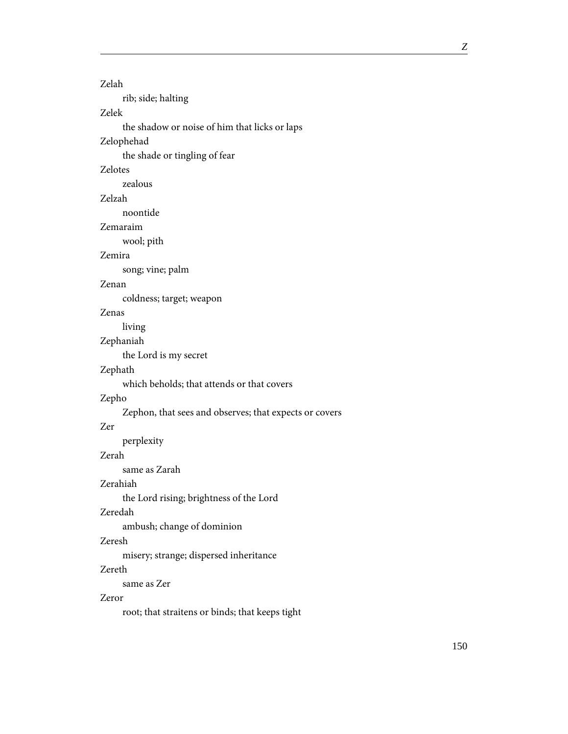#### Zelah

rib; side; halting

# Zelek

the shadow or noise of him that licks or laps

### Zelophehad

the shade or tingling of fear

### Zelotes

zealous

# Zelzah

noontide

## Zemaraim

wool; pith

### Zemira

song; vine; palm

### Zenan

coldness; target; weapon

### Zenas

living

# Zephaniah

the Lord is my secret

### Zephath

which beholds; that attends or that covers

#### Zepho

Zephon, that sees and observes; that expects or covers

### Zer

perplexity

#### Zerah

same as Zarah

### Zerahiah

the Lord rising; brightness of the Lord

### Zeredah

ambush; change of dominion

### Zeresh

misery; strange; dispersed inheritance

### Zereth

same as Zer

#### Zeror

root; that straitens or binds; that keeps tight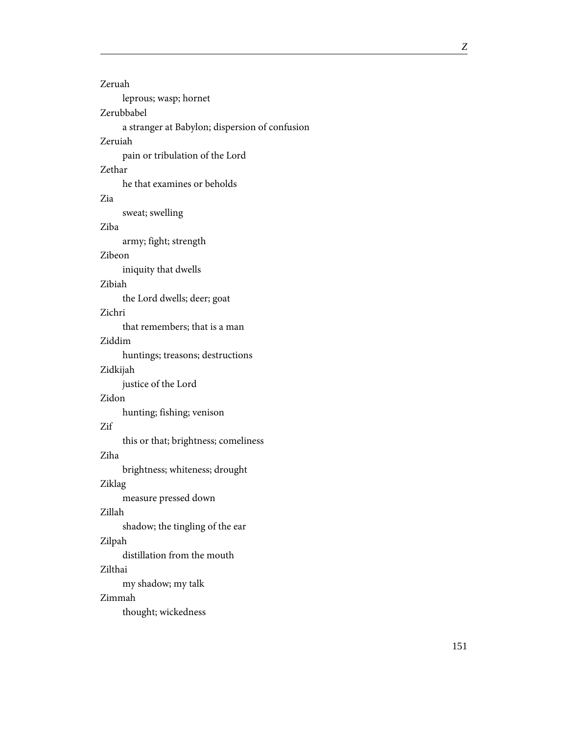| Zeruah                                         |
|------------------------------------------------|
| leprous; wasp; hornet                          |
| Zerubbabel                                     |
| a stranger at Babylon; dispersion of confusion |
| Zeruiah                                        |
| pain or tribulation of the Lord                |
| Zethar                                         |
| he that examines or beholds                    |
| Zia                                            |
| sweat; swelling                                |
| Ziba                                           |
| army; fight; strength                          |
| Zibeon                                         |
| iniquity that dwells                           |
| Zibiah                                         |
| the Lord dwells; deer; goat                    |
| Zichri                                         |
| that remembers; that is a man                  |
| Ziddim                                         |
| huntings; treasons; destructions               |
| Zidkijah                                       |
| justice of the Lord                            |
| Zidon                                          |
| hunting; fishing; venison                      |
| Zif                                            |
| this or that; brightness; comeliness           |
| Ziha                                           |
| brightness; whiteness; drought                 |
| Ziklag                                         |
| measure pressed down                           |
| Zillah                                         |
| shadow; the tingling of the ear                |
| Zilpah                                         |
| distillation from the mouth                    |
| Zilthai                                        |
| my shadow; my talk                             |
| Zimmah                                         |
| thought; wickedness                            |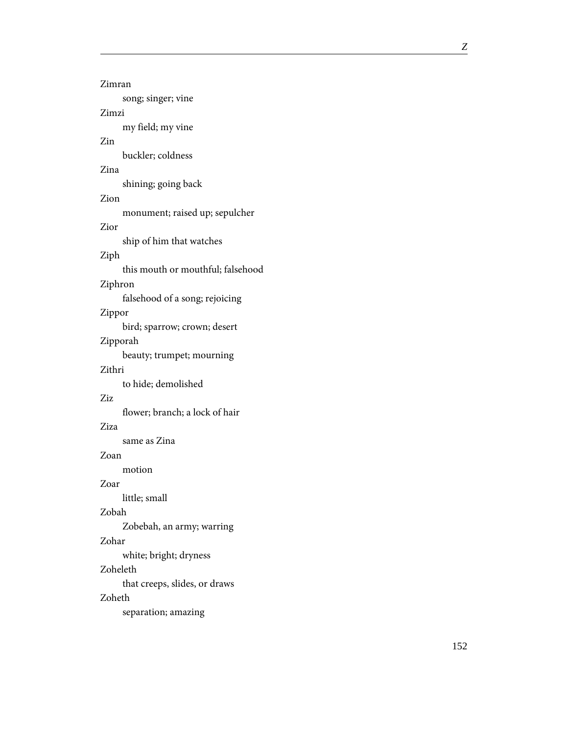| Zimran                                       |
|----------------------------------------------|
| song; singer; vine<br>Zimzi                  |
| my field; my vine                            |
| Zin<br>buckler; coldness                     |
| Zina                                         |
| shining; going back<br>Zion                  |
| monument; raised up; sepulcher               |
| Zior<br>ship of him that watches             |
| Ziph                                         |
| this mouth or mouthful; falsehood<br>Ziphron |
| falsehood of a song; rejoicing               |
| Zippor<br>bird; sparrow; crown; desert       |
| Zipporah                                     |
| beauty; trumpet; mourning<br>Zithri          |
| to hide; demolished                          |
| Ziz<br>flower; branch; a lock of hair        |
| Ziza                                         |
| same as Zina                                 |
| Zoan<br>motion                               |
| Zoar                                         |
| little; small<br>Zobah                       |
| Zobebah, an army; warring                    |
| Zohar<br>white; bright; dryness              |
| Zoheleth                                     |
| that creeps, slides, or draws<br>Zoheth      |
| separation; amazing                          |
|                                              |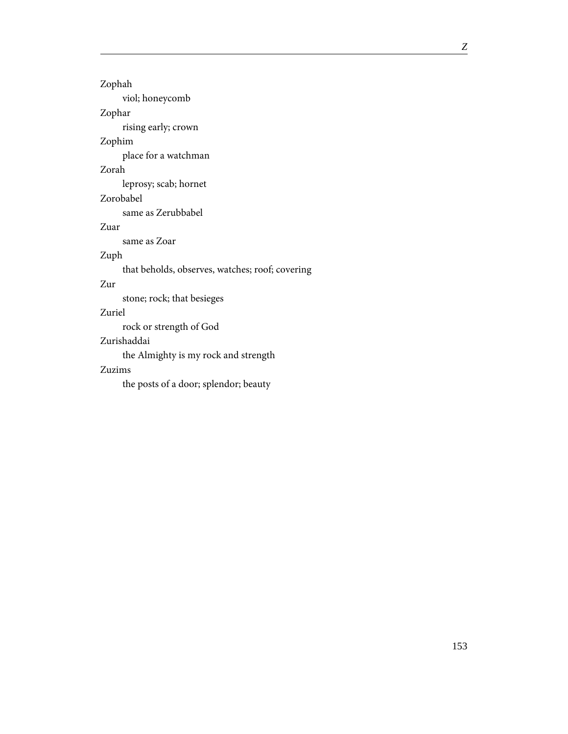Zophah

viol; honeycomb

Zophar

rising early; crown

# Zophim

place for a watchman

# Zorah

leprosy; scab; hornet

Zorobabel

same as Zerubbabel

Zuar

same as Zoar

# Zuph

that beholds, observes, watches; roof; covering

# Zur

stone; rock; that besieges

# Zuriel

rock or strength of God

### Zurishaddai

the Almighty is my rock and strength

### Zuzims

the posts of a door; splendor; beauty